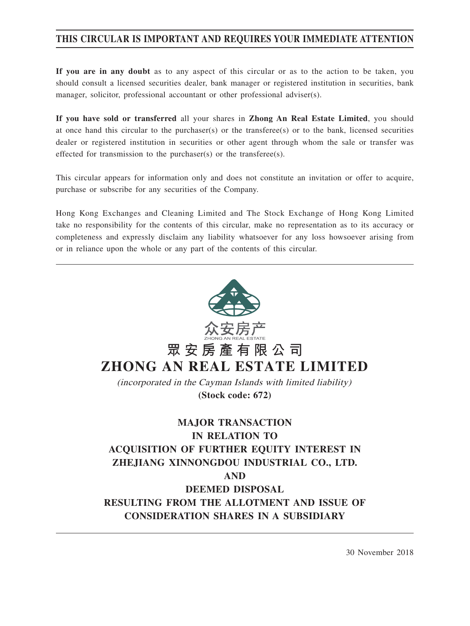# **THIS CIRCULAR IS IMPORTANT AND REQUIRES YOUR IMMEDIATE ATTENTION**

**If you are in any doubt** as to any aspect of this circular or as to the action to be taken, you should consult a licensed securities dealer, bank manager or registered institution in securities, bank manager, solicitor, professional accountant or other professional adviser(s).

**If you have sold or transferred** all your shares in **Zhong An Real Estate Limited**, you should at once hand this circular to the purchaser(s) or the transferee(s) or to the bank, licensed securities dealer or registered institution in securities or other agent through whom the sale or transfer was effected for transmission to the purchaser(s) or the transferee(s).

This circular appears for information only and does not constitute an invitation or offer to acquire, purchase or subscribe for any securities of the Company.

Hong Kong Exchanges and Cleaning Limited and The Stock Exchange of Hong Kong Limited take no responsibility for the contents of this circular, make no representation as to its accuracy or completeness and expressly disclaim any liability whatsoever for any loss howsoever arising from or in reliance upon the whole or any part of the contents of this circular.



30 November 2018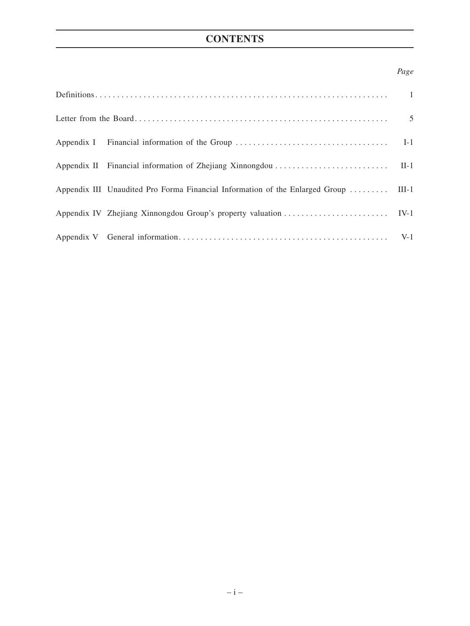# **CONTENTS**

## *Page*

| Appendix III Unaudited Pro Forma Financial Information of the Enlarged Group  III-1 |  |
|-------------------------------------------------------------------------------------|--|
|                                                                                     |  |
|                                                                                     |  |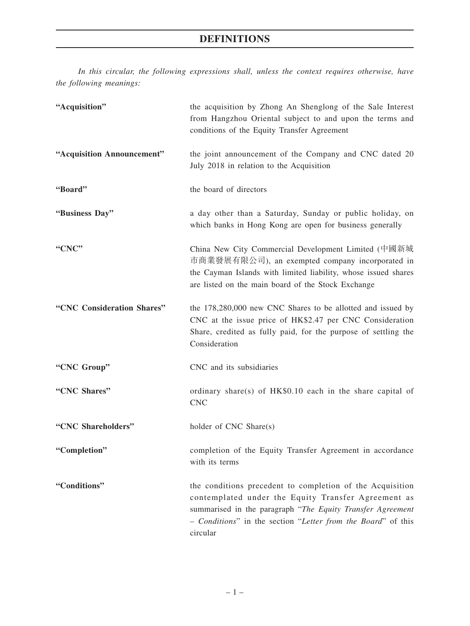*In this circular, the following expressions shall, unless the context requires otherwise, have the following meanings:*

| "Acquisition"              | the acquisition by Zhong An Shenglong of the Sale Interest<br>from Hangzhou Oriental subject to and upon the terms and<br>conditions of the Equity Transfer Agreement                                                                                      |
|----------------------------|------------------------------------------------------------------------------------------------------------------------------------------------------------------------------------------------------------------------------------------------------------|
| "Acquisition Announcement" | the joint announcement of the Company and CNC dated 20<br>July 2018 in relation to the Acquisition                                                                                                                                                         |
| "Board"                    | the board of directors                                                                                                                                                                                                                                     |
| "Business Day"             | a day other than a Saturday, Sunday or public holiday, on<br>which banks in Hong Kong are open for business generally                                                                                                                                      |
| "CNC"                      | China New City Commercial Development Limited (中國新城<br>市商業發展有限公司), an exempted company incorporated in<br>the Cayman Islands with limited liability, whose issued shares<br>are listed on the main board of the Stock Exchange                             |
| "CNC Consideration Shares" | the 178,280,000 new CNC Shares to be allotted and issued by<br>CNC at the issue price of HK\$2.47 per CNC Consideration<br>Share, credited as fully paid, for the purpose of settling the<br>Consideration                                                 |
| "CNC Group"                | CNC and its subsidiaries                                                                                                                                                                                                                                   |
| "CNC Shares"               | ordinary share(s) of $HK$0.10$ each in the share capital of<br><b>CNC</b>                                                                                                                                                                                  |
| "CNC Shareholders"         | holder of CNC Share(s)                                                                                                                                                                                                                                     |
| "Completion"               | completion of the Equity Transfer Agreement in accordance<br>with its terms                                                                                                                                                                                |
| "Conditions"               | the conditions precedent to completion of the Acquisition<br>contemplated under the Equity Transfer Agreement as<br>summarised in the paragraph "The Equity Transfer Agreement<br>- Conditions" in the section "Letter from the Board" of this<br>circular |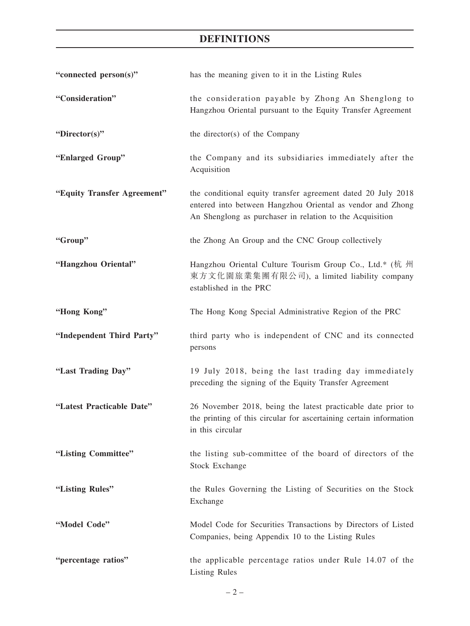# **DEFINITIONS**

| "connected person(s)"       | has the meaning given to it in the Listing Rules                                                                                                                                       |
|-----------------------------|----------------------------------------------------------------------------------------------------------------------------------------------------------------------------------------|
| "Consideration"             | the consideration payable by Zhong An Shenglong to<br>Hangzhou Oriental pursuant to the Equity Transfer Agreement                                                                      |
| "Director(s)"               | the director(s) of the Company                                                                                                                                                         |
| "Enlarged Group"            | the Company and its subsidiaries immediately after the<br>Acquisition                                                                                                                  |
| "Equity Transfer Agreement" | the conditional equity transfer agreement dated 20 July 2018<br>entered into between Hangzhou Oriental as vendor and Zhong<br>An Shenglong as purchaser in relation to the Acquisition |
| "Group"                     | the Zhong An Group and the CNC Group collectively                                                                                                                                      |
| "Hangzhou Oriental"         | Hangzhou Oriental Culture Tourism Group Co., Ltd.* (杭 州<br>東方文化園旅業集團有限公司), a limited liability company<br>established in the PRC                                                       |
| "Hong Kong"                 | The Hong Kong Special Administrative Region of the PRC                                                                                                                                 |
| "Independent Third Party"   | third party who is independent of CNC and its connected<br>persons                                                                                                                     |
| "Last Trading Day"          | 19 July 2018, being the last trading day immediately<br>preceding the signing of the Equity Transfer Agreement                                                                         |
| "Latest Practicable Date"   | 26 November 2018, being the latest practicable date prior to<br>the printing of this circular for ascertaining certain information<br>in this circular                                 |
| "Listing Committee"         | the listing sub-committee of the board of directors of the<br><b>Stock Exchange</b>                                                                                                    |
| "Listing Rules"             | the Rules Governing the Listing of Securities on the Stock<br>Exchange                                                                                                                 |
| "Model Code"                | Model Code for Securities Transactions by Directors of Listed<br>Companies, being Appendix 10 to the Listing Rules                                                                     |
| "percentage ratios"         | the applicable percentage ratios under Rule 14.07 of the<br><b>Listing Rules</b>                                                                                                       |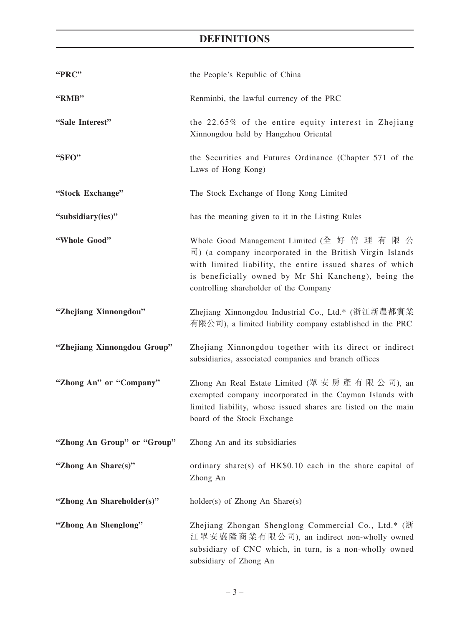# **DEFINITIONS**

| "PRC"                       | the People's Republic of China                                                                                                                                                                                                                                                                 |
|-----------------------------|------------------------------------------------------------------------------------------------------------------------------------------------------------------------------------------------------------------------------------------------------------------------------------------------|
| "RMB"                       | Renminbi, the lawful currency of the PRC                                                                                                                                                                                                                                                       |
| "Sale Interest"             | the 22.65% of the entire equity interest in Zhejiang<br>Xinnongdou held by Hangzhou Oriental                                                                                                                                                                                                   |
| "SFO"                       | the Securities and Futures Ordinance (Chapter 571 of the<br>Laws of Hong Kong)                                                                                                                                                                                                                 |
| "Stock Exchange"            | The Stock Exchange of Hong Kong Limited                                                                                                                                                                                                                                                        |
| "subsidiary(ies)"           | has the meaning given to it in the Listing Rules                                                                                                                                                                                                                                               |
| "Whole Good"                | Whole Good Management Limited (全 好 管 理 有 限 公<br>$\overline{\mathbb{E}}$ ) (a company incorporated in the British Virgin Islands<br>with limited liability, the entire issued shares of which<br>is beneficially owned by Mr Shi Kancheng), being the<br>controlling shareholder of the Company |
| "Zhejiang Xinnongdou"       | Zhejiang Xinnongdou Industrial Co., Ltd.* (浙江新農都實業<br>有限公司), a limited liability company established in the PRC                                                                                                                                                                                |
| "Zhejiang Xinnongdou Group" | Zhejiang Xinnongdou together with its direct or indirect<br>subsidiaries, associated companies and branch offices                                                                                                                                                                              |
| "Zhong An" or "Company"     | Zhong An Real Estate Limited (眾 安 房 產 有 限 公 司), an<br>exempted company incorporated in the Cayman Islands with<br>limited liability, whose issued shares are listed on the main<br>board of the Stock Exchange                                                                                 |
| "Zhong An Group" or "Group" | Zhong An and its subsidiaries                                                                                                                                                                                                                                                                  |
| "Zhong An Share(s)"         | ordinary share(s) of HK\$0.10 each in the share capital of<br>Zhong An                                                                                                                                                                                                                         |
| "Zhong An Shareholder(s)"   | $holder(s)$ of Zhong An Share $(s)$                                                                                                                                                                                                                                                            |
| "Zhong An Shenglong"        | Zhejiang Zhongan Shenglong Commercial Co., Ltd.* (浙<br>江眾安盛隆商業有限公司), an indirect non-wholly owned<br>subsidiary of CNC which, in turn, is a non-wholly owned<br>subsidiary of Zhong An                                                                                                         |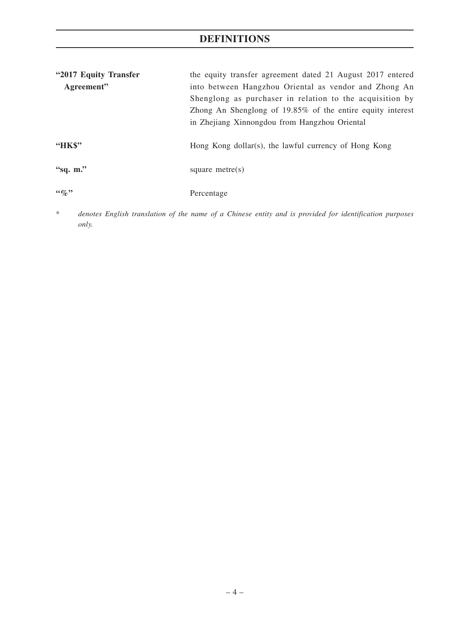# **DEFINITIONS**

| "2017 Equity Transfer" | the equity transfer agreement dated 21 August 2017 entered |
|------------------------|------------------------------------------------------------|
| Agreement"             | into between Hangzhou Oriental as vendor and Zhong An      |
|                        | Shenglong as purchaser in relation to the acquisition by   |
|                        | Zhong An Shenglong of 19.85% of the entire equity interest |
|                        | in Zhejiang Xinnongdou from Hangzhou Oriental              |
|                        |                                                            |
| "HK\$"                 | Hong Kong dollar(s), the lawful currency of Hong Kong      |
|                        |                                                            |
| "sq. $m$ ."            | square metre $(s)$                                         |
|                        |                                                            |
| $66\%$                 | Percentage                                                 |

\* *denotes English translation of the name of a Chinese entity and is provided for identification purposes only.*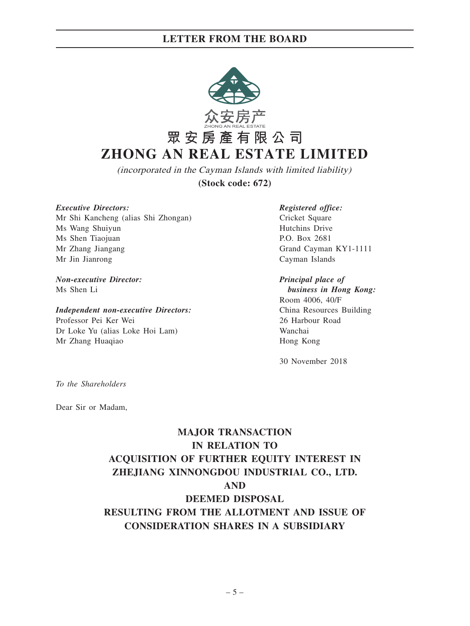

**(Stock code: 672)** (incorporated in the Cayman Islands with limited liability)

*Executive Directors: Registered office:*

Mr Shi Kancheng (alias Shi Zhongan) Cricket Square Ms Wang Shuiyun Hutchins Drive Ms Shen Tiaojuan P.O. Box 2681 Mr Zhang Jiangang Grand Cayman KY1-1111 Mr Jin Jianrong Cayman Islands

### *Non-executive Director: Principal place of* Ms Shen Li *business in Hong Kong:*

### *Independent non-executive Directors:* China Resources Building

Professor Pei Ker Wei 26 Harbour Road Dr Loke Yu (alias Loke Hoi Lam) Wanchai Mr Zhang Huaqiao **Hong Kong** 

Room 4006, 40/F

30 November 2018

*To the Shareholders*

Dear Sir or Madam,

# **MAJOR TRANSACTION IN RELATION TO ACQUISITION OF FURTHER EQUITY INTEREST IN ZHEJIANG XINNONGDOU INDUSTRIAL CO., LTD. AND DEEMED DISPOSAL RESULTING FROM THE ALLOTMENT AND ISSUE OF CONSIDERATION SHARES IN A SUBSIDIARY**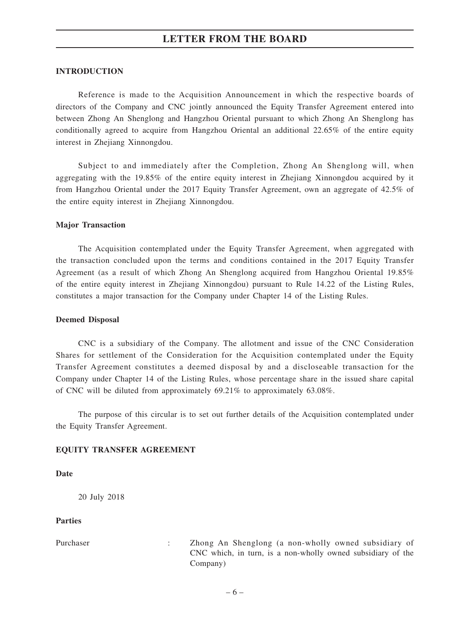### **INTRODUCTION**

Reference is made to the Acquisition Announcement in which the respective boards of directors of the Company and CNC jointly announced the Equity Transfer Agreement entered into between Zhong An Shenglong and Hangzhou Oriental pursuant to which Zhong An Shenglong has conditionally agreed to acquire from Hangzhou Oriental an additional 22.65% of the entire equity interest in Zhejiang Xinnongdou.

Subject to and immediately after the Completion, Zhong An Shenglong will, when aggregating with the 19.85% of the entire equity interest in Zhejiang Xinnongdou acquired by it from Hangzhou Oriental under the 2017 Equity Transfer Agreement, own an aggregate of 42.5% of the entire equity interest in Zhejiang Xinnongdou.

### **Major Transaction**

The Acquisition contemplated under the Equity Transfer Agreement, when aggregated with the transaction concluded upon the terms and conditions contained in the 2017 Equity Transfer Agreement (as a result of which Zhong An Shenglong acquired from Hangzhou Oriental 19.85% of the entire equity interest in Zhejiang Xinnongdou) pursuant to Rule 14.22 of the Listing Rules, constitutes a major transaction for the Company under Chapter 14 of the Listing Rules.

### **Deemed Disposal**

CNC is a subsidiary of the Company. The allotment and issue of the CNC Consideration Shares for settlement of the Consideration for the Acquisition contemplated under the Equity Transfer Agreement constitutes a deemed disposal by and a discloseable transaction for the Company under Chapter 14 of the Listing Rules, whose percentage share in the issued share capital of CNC will be diluted from approximately 69.21% to approximately 63.08%.

The purpose of this circular is to set out further details of the Acquisition contemplated under the Equity Transfer Agreement.

### **EQUITY TRANSFER AGREEMENT**

### **Date**

20 July 2018

### **Parties**

Purchaser : Zhong An Shenglong (a non-wholly owned subsidiary of CNC which, in turn, is a non-wholly owned subsidiary of the Company)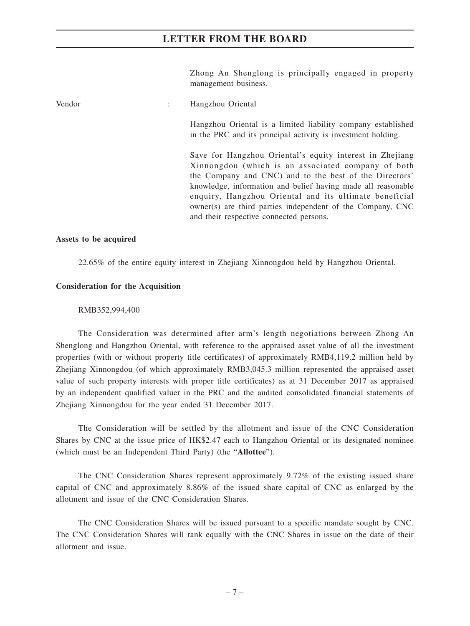Zhong An Shenglong is principally engaged in property management business.

| Vendor | Hangzhou Oriental                                                                                                                                                                                                                                                                                                                                                                                           |
|--------|-------------------------------------------------------------------------------------------------------------------------------------------------------------------------------------------------------------------------------------------------------------------------------------------------------------------------------------------------------------------------------------------------------------|
|        | Hangzhou Oriental is a limited liability company established<br>in the PRC and its principal activity is investment holding.                                                                                                                                                                                                                                                                                |
|        | Save for Hangzhou Oriental's equity interest in Zhejiang<br>Xinnongdou (which is an associated company of both<br>the Company and CNC) and to the best of the Directors'<br>knowledge, information and belief having made all reasonable<br>enquiry, Hangzhou Oriental and its ultimate beneficial<br>owner(s) are third parties independent of the Company, CNC<br>and their respective connected persons. |

### **Assets to be acquired**

22.65% of the entire equity interest in Zhejiang Xinnongdou held by Hangzhou Oriental.

### **Consideration for the Acquisition**

### RMB352,994,400

The Consideration was determined after arm's length negotiations between Zhong An Shenglong and Hangzhou Oriental, with reference to the appraised asset value of all the investment properties (with or without property title certificates) of approximately RMB4,119.2 million held by Zhejiang Xinnongdou (of which approximately RMB3,045.3 million represented the appraised asset value of such property interests with proper title certificates) as at 31 December 2017 as appraised by an independent qualified valuer in the PRC and the audited consolidated financial statements of Zhejiang Xinnongdou for the year ended 31 December 2017.

The Consideration will be settled by the allotment and issue of the CNC Consideration Shares by CNC at the issue price of HK\$2.47 each to Hangzhou Oriental or its designated nominee (which must be an Independent Third Party) (the "**Allottee**").

The CNC Consideration Shares represent approximately 9.72% of the existing issued share capital of CNC and approximately 8.86% of the issued share capital of CNC as enlarged by the allotment and issue of the CNC Consideration Shares.

The CNC Consideration Shares will be issued pursuant to a specific mandate sought by CNC. The CNC Consideration Shares will rank equally with the CNC Shares in issue on the date of their allotment and issue.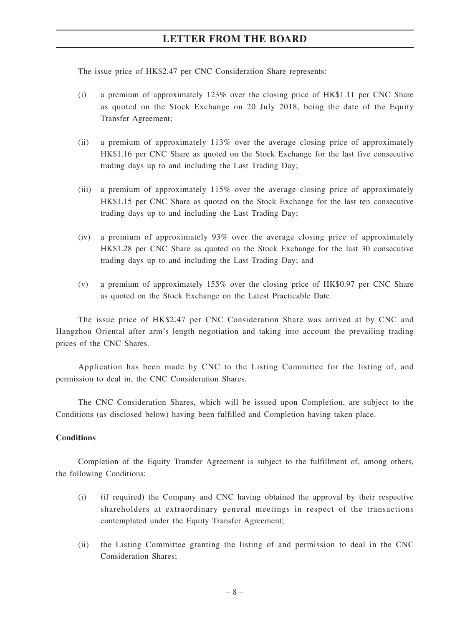The issue price of HK\$2.47 per CNC Consideration Share represents:

- (i) a premium of approximately 123% over the closing price of HK\$1.11 per CNC Share as quoted on the Stock Exchange on 20 July 2018, being the date of the Equity Transfer Agreement;
- (ii) a premium of approximately 113% over the average closing price of approximately HK\$1.16 per CNC Share as quoted on the Stock Exchange for the last five consecutive trading days up to and including the Last Trading Day;
- (iii) a premium of approximately 115% over the average closing price of approximately HK\$1.15 per CNC Share as quoted on the Stock Exchange for the last ten consecutive trading days up to and including the Last Trading Day;
- (iv) a premium of approximately 93% over the average closing price of approximately HK\$1.28 per CNC Share as quoted on the Stock Exchange for the last 30 consecutive trading days up to and including the Last Trading Day; and
- (v) a premium of approximately 155% over the closing price of HK\$0.97 per CNC Share as quoted on the Stock Exchange on the Latest Practicable Date.

The issue price of HK\$2.47 per CNC Consideration Share was arrived at by CNC and Hangzhou Oriental after arm's length negotiation and taking into account the prevailing trading prices of the CNC Shares.

Application has been made by CNC to the Listing Committee for the listing of, and permission to deal in, the CNC Consideration Shares.

The CNC Consideration Shares, which will be issued upon Completion, are subject to the Conditions (as disclosed below) having been fulfilled and Completion having taken place.

### **Conditions**

Completion of the Equity Transfer Agreement is subject to the fulfillment of, among others, the following Conditions:

- (i) (if required) the Company and CNC having obtained the approval by their respective shareholders at extraordinary general meetings in respect of the transactions contemplated under the Equity Transfer Agreement;
- (ii) the Listing Committee granting the listing of and permission to deal in the CNC Consideration Shares;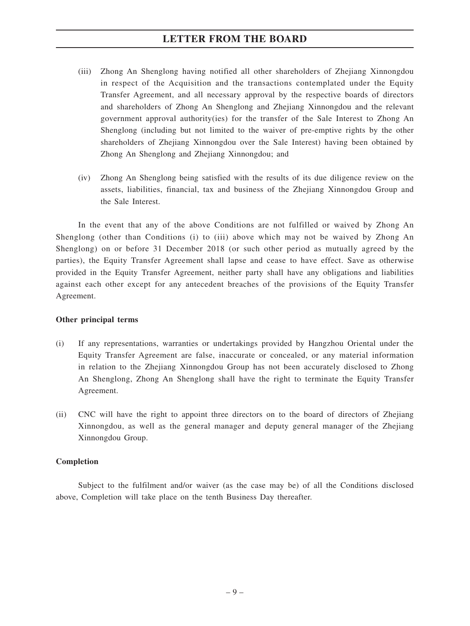- (iii) Zhong An Shenglong having notified all other shareholders of Zhejiang Xinnongdou in respect of the Acquisition and the transactions contemplated under the Equity Transfer Agreement, and all necessary approval by the respective boards of directors and shareholders of Zhong An Shenglong and Zhejiang Xinnongdou and the relevant government approval authority(ies) for the transfer of the Sale Interest to Zhong An Shenglong (including but not limited to the waiver of pre-emptive rights by the other shareholders of Zhejiang Xinnongdou over the Sale Interest) having been obtained by Zhong An Shenglong and Zhejiang Xinnongdou; and
- (iv) Zhong An Shenglong being satisfied with the results of its due diligence review on the assets, liabilities, financial, tax and business of the Zhejiang Xinnongdou Group and the Sale Interest.

In the event that any of the above Conditions are not fulfilled or waived by Zhong An Shenglong (other than Conditions (i) to (iii) above which may not be waived by Zhong An Shenglong) on or before 31 December 2018 (or such other period as mutually agreed by the parties), the Equity Transfer Agreement shall lapse and cease to have effect. Save as otherwise provided in the Equity Transfer Agreement, neither party shall have any obligations and liabilities against each other except for any antecedent breaches of the provisions of the Equity Transfer Agreement.

### **Other principal terms**

- (i) If any representations, warranties or undertakings provided by Hangzhou Oriental under the Equity Transfer Agreement are false, inaccurate or concealed, or any material information in relation to the Zhejiang Xinnongdou Group has not been accurately disclosed to Zhong An Shenglong, Zhong An Shenglong shall have the right to terminate the Equity Transfer Agreement.
- (ii) CNC will have the right to appoint three directors on to the board of directors of Zhejiang Xinnongdou, as well as the general manager and deputy general manager of the Zhejiang Xinnongdou Group.

### **Completion**

Subject to the fulfilment and/or waiver (as the case may be) of all the Conditions disclosed above, Completion will take place on the tenth Business Day thereafter.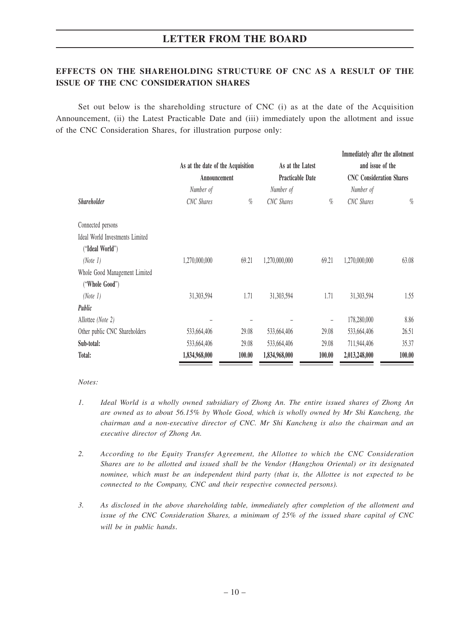## **EFFECTS ON THE SHAREHOLDING STRUCTURE OF CNC AS A RESULT OF THE ISSUE OF THE CNC CONSIDERATION SHARES**

Set out below is the shareholding structure of CNC (i) as at the date of the Acquisition Announcement, (ii) the Latest Practicable Date and (iii) immediately upon the allotment and issue of the CNC Consideration Shares, for illustration purpose only:

|                                 |                                   |        |                         |                   | Immediately after the allotment |        |
|---------------------------------|-----------------------------------|--------|-------------------------|-------------------|---------------------------------|--------|
|                                 | As at the date of the Acquisition |        | As at the Latest        |                   | and issue of the                |        |
|                                 | Announcement                      |        | <b>Practicable Date</b> |                   | <b>CNC</b> Consideration Shares |        |
|                                 | Number of                         |        | Number of               |                   | Number of                       |        |
| <b>Shareholder</b>              | <b>CNC</b> Shares                 | $\%$   | CNC Shares              | $\%$              | CNC Shares                      | $\%$   |
| Connected persons               |                                   |        |                         |                   |                                 |        |
| Ideal World Investments Limited |                                   |        |                         |                   |                                 |        |
| ("Ideal World")                 |                                   |        |                         |                   |                                 |        |
| (Note 1)                        | 1,270,000,000                     | 69.21  | 1,270,000,000           | 69.21             | 1,270,000,000                   | 63.08  |
| Whole Good Management Limited   |                                   |        |                         |                   |                                 |        |
| ("Whole Good")                  |                                   |        |                         |                   |                                 |        |
| (Note 1)                        | 31,303,594                        | 1.71   | 31,303,594              | 1.71              | 31,303,594                      | 1.55   |
| Public                          |                                   |        |                         |                   |                                 |        |
| Allottee (Note 2)               |                                   |        |                         | $\qquad \qquad -$ | 178,280,000                     | 8.86   |
| Other public CNC Shareholders   | 533,664,406                       | 29.08  | 533,664,406             | 29.08             | 533,664,406                     | 26.51  |
| Sub-total:                      | 533,664,406                       | 29.08  | 533,664,406             | 29.08             | 711,944,406                     | 35.37  |
| Total:                          | 1,834,968,000                     | 100.00 | 1,834,968,000           | 100.00            | 2,013,248,000                   | 100.00 |

*Notes:*

- *1. Ideal World is a wholly owned subsidiary of Zhong An. The entire issued shares of Zhong An are owned as to about 56.15% by Whole Good, which is wholly owned by Mr Shi Kancheng, the chairman and a non-executive director of CNC. Mr Shi Kancheng is also the chairman and an executive director of Zhong An.*
- *2. According to the Equity Transfer Agreement, the Allottee to which the CNC Consideration Shares are to be allotted and issued shall be the Vendor (Hangzhou Oriental) or its designated nominee, which must be an independent third party (that is, the Allottee is not expected to be connected to the Company, CNC and their respective connected persons).*
- *3. As disclosed in the above shareholding table, immediately after completion of the allotment and issue of the CNC Consideration Shares, a minimum of 25% of the issued share capital of CNC will be in public hands*.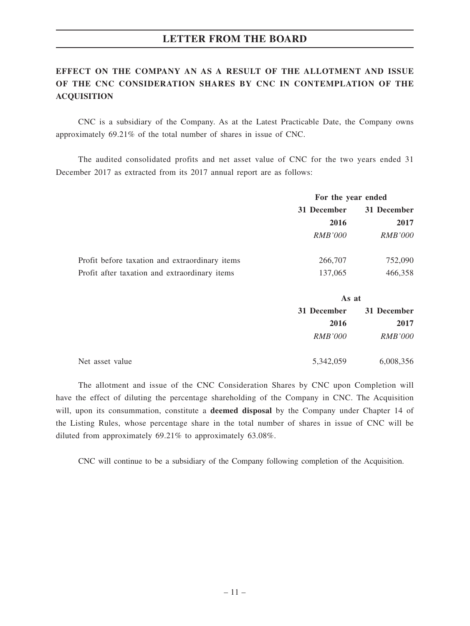# **EFFECT ON THE COMPANY AN AS A RESULT OF THE ALLOTMENT AND ISSUE OF THE CNC CONSIDERATION SHARES BY CNC IN CONTEMPLATION OF THE ACQUISITION**

CNC is a subsidiary of the Company. As at the Latest Practicable Date, the Company owns approximately 69.21% of the total number of shares in issue of CNC.

The audited consolidated profits and net asset value of CNC for the two years ended 31 December 2017 as extracted from its 2017 annual report are as follows:

|                                                | For the year ended         |                |
|------------------------------------------------|----------------------------|----------------|
|                                                | 31 December<br>31 December |                |
|                                                | 2016                       | 2017           |
|                                                | <i>RMB'000</i>             | <i>RMB'000</i> |
| Profit before taxation and extraordinary items | 266,707                    | 752,090        |
| Profit after taxation and extraordinary items  | 137,065                    | 466,358        |

|                 | As at                      |                |
|-----------------|----------------------------|----------------|
|                 | 31 December<br>31 December |                |
|                 | 2016                       | 2017           |
|                 | <i>RMB'000</i>             | <i>RMB'000</i> |
| Net asset value | 5,342,059                  | 6,008,356      |

The allotment and issue of the CNC Consideration Shares by CNC upon Completion will have the effect of diluting the percentage shareholding of the Company in CNC. The Acquisition will, upon its consummation, constitute a **deemed disposal** by the Company under Chapter 14 of the Listing Rules, whose percentage share in the total number of shares in issue of CNC will be diluted from approximately 69.21% to approximately 63.08%.

CNC will continue to be a subsidiary of the Company following completion of the Acquisition.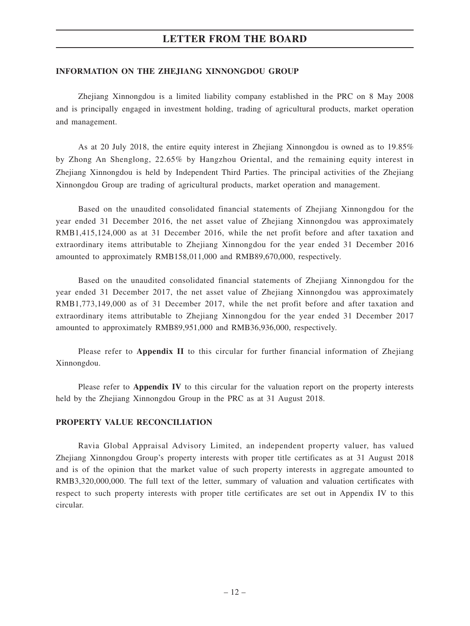### **INFORMATION ON THE ZHEJIANG XINNONGDOU GROUP**

Zhejiang Xinnongdou is a limited liability company established in the PRC on 8 May 2008 and is principally engaged in investment holding, trading of agricultural products, market operation and management.

As at 20 July 2018, the entire equity interest in Zhejiang Xinnongdou is owned as to 19.85% by Zhong An Shenglong, 22.65% by Hangzhou Oriental, and the remaining equity interest in Zhejiang Xinnongdou is held by Independent Third Parties. The principal activities of the Zhejiang Xinnongdou Group are trading of agricultural products, market operation and management.

Based on the unaudited consolidated financial statements of Zhejiang Xinnongdou for the year ended 31 December 2016, the net asset value of Zhejiang Xinnongdou was approximately RMB1,415,124,000 as at 31 December 2016, while the net profit before and after taxation and extraordinary items attributable to Zhejiang Xinnongdou for the year ended 31 December 2016 amounted to approximately RMB158,011,000 and RMB89,670,000, respectively.

Based on the unaudited consolidated financial statements of Zhejiang Xinnongdou for the year ended 31 December 2017, the net asset value of Zhejiang Xinnongdou was approximately RMB1,773,149,000 as of 31 December 2017, while the net profit before and after taxation and extraordinary items attributable to Zhejiang Xinnongdou for the year ended 31 December 2017 amounted to approximately RMB89,951,000 and RMB36,936,000, respectively.

Please refer to **Appendix II** to this circular for further financial information of Zhejiang Xinnongdou.

Please refer to **Appendix IV** to this circular for the valuation report on the property interests held by the Zhejiang Xinnongdou Group in the PRC as at 31 August 2018.

### **PROPERTY VALUE RECONCILIATION**

Ravia Global Appraisal Advisory Limited, an independent property valuer, has valued Zhejiang Xinnongdou Group's property interests with proper title certificates as at 31 August 2018 and is of the opinion that the market value of such property interests in aggregate amounted to RMB3,320,000,000. The full text of the letter, summary of valuation and valuation certificates with respect to such property interests with proper title certificates are set out in Appendix IV to this circular.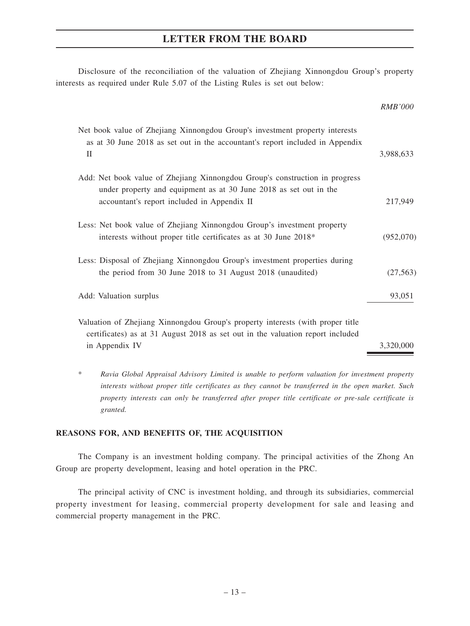Disclosure of the reconciliation of the valuation of Zhejiang Xinnongdou Group's property interests as required under Rule 5.07 of the Listing Rules is set out below:

| <b>RMB'000</b> |
|----------------|
| 3,988,633      |
| 217,949        |
| (952,070)      |
| (27, 563)      |
| 93,051         |
| 3,320,000      |
|                |

\* *Ravia Global Appraisal Advisory Limited is unable to perform valuation for investment property interests without proper title certificates as they cannot be transferred in the open market. Such property interests can only be transferred after proper title certificate or pre-sale certificate is granted.*

### **REASONS FOR, AND BENEFITS OF, THE ACQUISITION**

The Company is an investment holding company. The principal activities of the Zhong An Group are property development, leasing and hotel operation in the PRC.

The principal activity of CNC is investment holding, and through its subsidiaries, commercial property investment for leasing, commercial property development for sale and leasing and commercial property management in the PRC.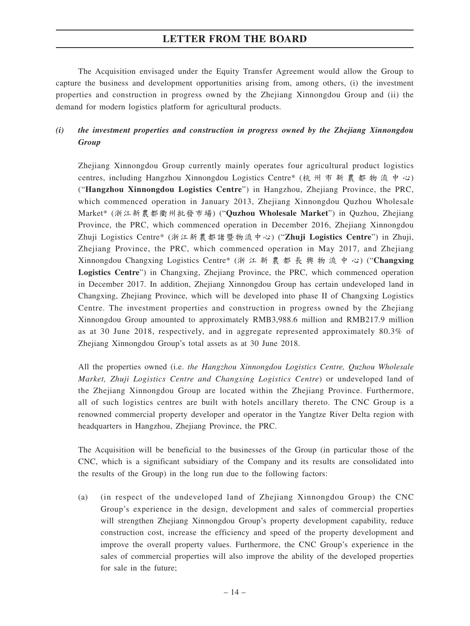The Acquisition envisaged under the Equity Transfer Agreement would allow the Group to capture the business and development opportunities arising from, among others, (i) the investment properties and construction in progress owned by the Zhejiang Xinnongdou Group and (ii) the demand for modern logistics platform for agricultural products.

## *(i) the investment properties and construction in progress owned by the Zhejiang Xinnongdou Group*

Zhejiang Xinnongdou Group currently mainly operates four agricultural product logistics centres, including Hangzhou Xinnongdou Logistics Centre\* (杭州市新農都物流中心) ("**Hangzhou Xinnongdou Logistics Centre**") in Hangzhou, Zhejiang Province, the PRC, which commenced operation in January 2013, Zhejiang Xinnongdou Quzhou Wholesale Market\* (浙江新農都衢州批發市場) ("**Quzhou Wholesale Market**") in Quzhou, Zhejiang Province, the PRC, which commenced operation in December 2016, Zhejiang Xinnongdou Zhuji Logistics Centre\* (浙江新農都諸暨物流中心) ("**Zhuji Logistics Centre**") in Zhuji, Zhejiang Province, the PRC, which commenced operation in May 2017, and Zhejiang Xinnongdou Changxing Logistics Centre\* (浙江新農都長興物流中心) ("**Changxing Logistics Centre**") in Changxing, Zhejiang Province, the PRC, which commenced operation in December 2017. In addition, Zhejiang Xinnongdou Group has certain undeveloped land in Changxing, Zhejiang Province, which will be developed into phase II of Changxing Logistics Centre. The investment properties and construction in progress owned by the Zhejiang Xinnongdou Group amounted to approximately RMB3,988.6 million and RMB217.9 million as at 30 June 2018, respectively, and in aggregate represented approximately 80.3% of Zhejiang Xinnongdou Group's total assets as at 30 June 2018.

All the properties owned (i.e. *the Hangzhou Xinnongdou Logistics Centre, Quzhou Wholesale Market, Zhuji Logistics Centre and Changxing Logistics Centre*) or undeveloped land of the Zhejiang Xinnongdou Group are located within the Zhejiang Province. Furthermore, all of such logistics centres are built with hotels ancillary thereto. The CNC Group is a renowned commercial property developer and operator in the Yangtze River Delta region with headquarters in Hangzhou, Zhejiang Province, the PRC.

The Acquisition will be beneficial to the businesses of the Group (in particular those of the CNC, which is a significant subsidiary of the Company and its results are consolidated into the results of the Group) in the long run due to the following factors:

(a) (in respect of the undeveloped land of Zhejiang Xinnongdou Group) the CNC Group's experience in the design, development and sales of commercial properties will strengthen Zhejiang Xinnongdou Group's property development capability, reduce construction cost, increase the efficiency and speed of the property development and improve the overall property values. Furthermore, the CNC Group's experience in the sales of commercial properties will also improve the ability of the developed properties for sale in the future;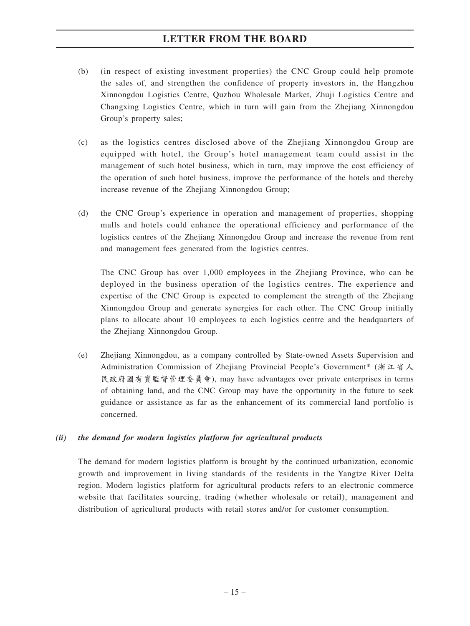- (b) (in respect of existing investment properties) the CNC Group could help promote the sales of, and strengthen the confidence of property investors in, the Hangzhou Xinnongdou Logistics Centre, Quzhou Wholesale Market, Zhuji Logistics Centre and Changxing Logistics Centre, which in turn will gain from the Zhejiang Xinnongdou Group's property sales;
- (c) as the logistics centres disclosed above of the Zhejiang Xinnongdou Group are equipped with hotel, the Group's hotel management team could assist in the management of such hotel business, which in turn, may improve the cost efficiency of the operation of such hotel business, improve the performance of the hotels and thereby increase revenue of the Zhejiang Xinnongdou Group;
- (d) the CNC Group's experience in operation and management of properties, shopping malls and hotels could enhance the operational efficiency and performance of the logistics centres of the Zhejiang Xinnongdou Group and increase the revenue from rent and management fees generated from the logistics centres.

The CNC Group has over 1,000 employees in the Zhejiang Province, who can be deployed in the business operation of the logistics centres. The experience and expertise of the CNC Group is expected to complement the strength of the Zhejiang Xinnongdou Group and generate synergies for each other. The CNC Group initially plans to allocate about 10 employees to each logistics centre and the headquarters of the Zhejiang Xinnongdou Group.

(e) Zhejiang Xinnongdou, as a company controlled by State-owned Assets Supervision and Administration Commission of Zhejiang Provincial People's Government\* (浙江省人 民政府國有資監督管理委員會), may have advantages over private enterprises in terms of obtaining land, and the CNC Group may have the opportunity in the future to seek guidance or assistance as far as the enhancement of its commercial land portfolio is concerned.

### *(ii) the demand for modern logistics platform for agricultural products*

The demand for modern logistics platform is brought by the continued urbanization, economic growth and improvement in living standards of the residents in the Yangtze River Delta region. Modern logistics platform for agricultural products refers to an electronic commerce website that facilitates sourcing, trading (whether wholesale or retail), management and distribution of agricultural products with retail stores and/or for customer consumption.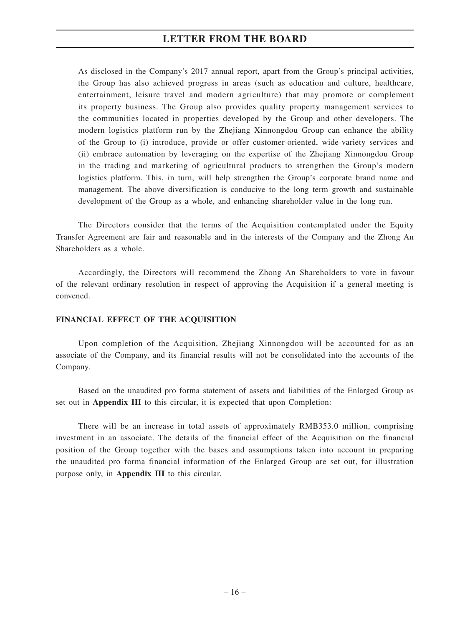As disclosed in the Company's 2017 annual report, apart from the Group's principal activities, the Group has also achieved progress in areas (such as education and culture, healthcare, entertainment, leisure travel and modern agriculture) that may promote or complement its property business. The Group also provides quality property management services to the communities located in properties developed by the Group and other developers. The modern logistics platform run by the Zhejiang Xinnongdou Group can enhance the ability of the Group to (i) introduce, provide or offer customer-oriented, wide-variety services and (ii) embrace automation by leveraging on the expertise of the Zhejiang Xinnongdou Group in the trading and marketing of agricultural products to strengthen the Group's modern logistics platform. This, in turn, will help strengthen the Group's corporate brand name and management. The above diversification is conducive to the long term growth and sustainable development of the Group as a whole, and enhancing shareholder value in the long run.

The Directors consider that the terms of the Acquisition contemplated under the Equity Transfer Agreement are fair and reasonable and in the interests of the Company and the Zhong An Shareholders as a whole.

Accordingly, the Directors will recommend the Zhong An Shareholders to vote in favour of the relevant ordinary resolution in respect of approving the Acquisition if a general meeting is convened.

### **FINANCIAL EFFECT OF THE ACQUISITION**

Upon completion of the Acquisition, Zhejiang Xinnongdou will be accounted for as an associate of the Company, and its financial results will not be consolidated into the accounts of the Company.

Based on the unaudited pro forma statement of assets and liabilities of the Enlarged Group as set out in **Appendix III** to this circular, it is expected that upon Completion:

There will be an increase in total assets of approximately RMB353.0 million, comprising investment in an associate. The details of the financial effect of the Acquisition on the financial position of the Group together with the bases and assumptions taken into account in preparing the unaudited pro forma financial information of the Enlarged Group are set out, for illustration purpose only, in **Appendix III** to this circular.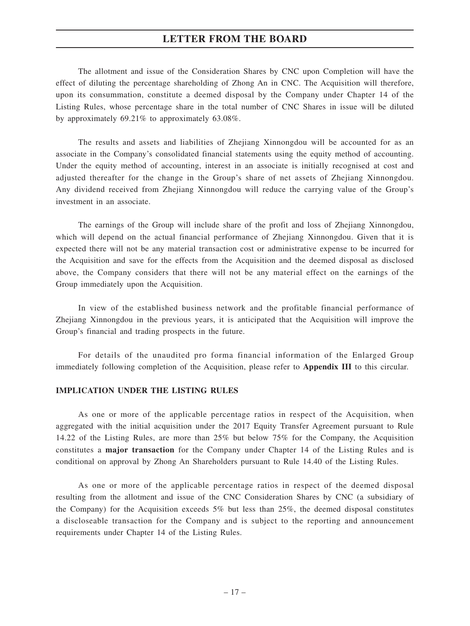The allotment and issue of the Consideration Shares by CNC upon Completion will have the effect of diluting the percentage shareholding of Zhong An in CNC. The Acquisition will therefore, upon its consummation, constitute a deemed disposal by the Company under Chapter 14 of the Listing Rules, whose percentage share in the total number of CNC Shares in issue will be diluted by approximately 69.21% to approximately 63.08%.

The results and assets and liabilities of Zhejiang Xinnongdou will be accounted for as an associate in the Company's consolidated financial statements using the equity method of accounting. Under the equity method of accounting, interest in an associate is initially recognised at cost and adjusted thereafter for the change in the Group's share of net assets of Zhejiang Xinnongdou. Any dividend received from Zhejiang Xinnongdou will reduce the carrying value of the Group's investment in an associate.

The earnings of the Group will include share of the profit and loss of Zhejiang Xinnongdou, which will depend on the actual financial performance of Zhejiang Xinnongdou. Given that it is expected there will not be any material transaction cost or administrative expense to be incurred for the Acquisition and save for the effects from the Acquisition and the deemed disposal as disclosed above, the Company considers that there will not be any material effect on the earnings of the Group immediately upon the Acquisition.

In view of the established business network and the profitable financial performance of Zhejiang Xinnongdou in the previous years, it is anticipated that the Acquisition will improve the Group's financial and trading prospects in the future.

For details of the unaudited pro forma financial information of the Enlarged Group immediately following completion of the Acquisition, please refer to **Appendix III** to this circular.

### **IMPLICATION UNDER THE LISTING RULES**

As one or more of the applicable percentage ratios in respect of the Acquisition, when aggregated with the initial acquisition under the 2017 Equity Transfer Agreement pursuant to Rule 14.22 of the Listing Rules, are more than 25% but below 75% for the Company, the Acquisition constitutes a **major transaction** for the Company under Chapter 14 of the Listing Rules and is conditional on approval by Zhong An Shareholders pursuant to Rule 14.40 of the Listing Rules.

As one or more of the applicable percentage ratios in respect of the deemed disposal resulting from the allotment and issue of the CNC Consideration Shares by CNC (a subsidiary of the Company) for the Acquisition exceeds 5% but less than 25%, the deemed disposal constitutes a discloseable transaction for the Company and is subject to the reporting and announcement requirements under Chapter 14 of the Listing Rules.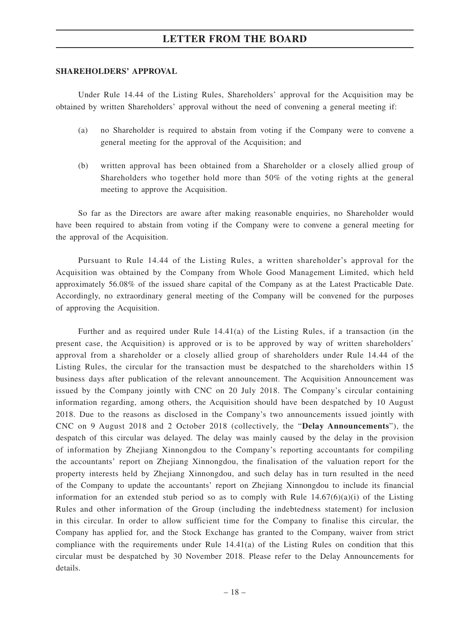### **SHAREHOLDERS' APPROVAL**

Under Rule 14.44 of the Listing Rules, Shareholders' approval for the Acquisition may be obtained by written Shareholders' approval without the need of convening a general meeting if:

- (a) no Shareholder is required to abstain from voting if the Company were to convene a general meeting for the approval of the Acquisition; and
- (b) written approval has been obtained from a Shareholder or a closely allied group of Shareholders who together hold more than 50% of the voting rights at the general meeting to approve the Acquisition.

So far as the Directors are aware after making reasonable enquiries, no Shareholder would have been required to abstain from voting if the Company were to convene a general meeting for the approval of the Acquisition.

Pursuant to Rule 14.44 of the Listing Rules, a written shareholder's approval for the Acquisition was obtained by the Company from Whole Good Management Limited, which held approximately 56.08% of the issued share capital of the Company as at the Latest Practicable Date. Accordingly, no extraordinary general meeting of the Company will be convened for the purposes of approving the Acquisition.

Further and as required under Rule 14.41(a) of the Listing Rules, if a transaction (in the present case, the Acquisition) is approved or is to be approved by way of written shareholders' approval from a shareholder or a closely allied group of shareholders under Rule 14.44 of the Listing Rules, the circular for the transaction must be despatched to the shareholders within 15 business days after publication of the relevant announcement. The Acquisition Announcement was issued by the Company jointly with CNC on 20 July 2018. The Company's circular containing information regarding, among others, the Acquisition should have been despatched by 10 August 2018. Due to the reasons as disclosed in the Company's two announcements issued jointly with CNC on 9 August 2018 and 2 October 2018 (collectively, the "**Delay Announcements**"), the despatch of this circular was delayed. The delay was mainly caused by the delay in the provision of information by Zhejiang Xinnongdou to the Company's reporting accountants for compiling the accountants' report on Zhejiang Xinnongdou, the finalisation of the valuation report for the property interests held by Zhejiang Xinnongdou, and such delay has in turn resulted in the need of the Company to update the accountants' report on Zhejiang Xinnongdou to include its financial information for an extended stub period so as to comply with Rule  $14.67(6)(a)(i)$  of the Listing Rules and other information of the Group (including the indebtedness statement) for inclusion in this circular. In order to allow sufficient time for the Company to finalise this circular, the Company has applied for, and the Stock Exchange has granted to the Company, waiver from strict compliance with the requirements under Rule 14.41(a) of the Listing Rules on condition that this circular must be despatched by 30 November 2018. Please refer to the Delay Announcements for details.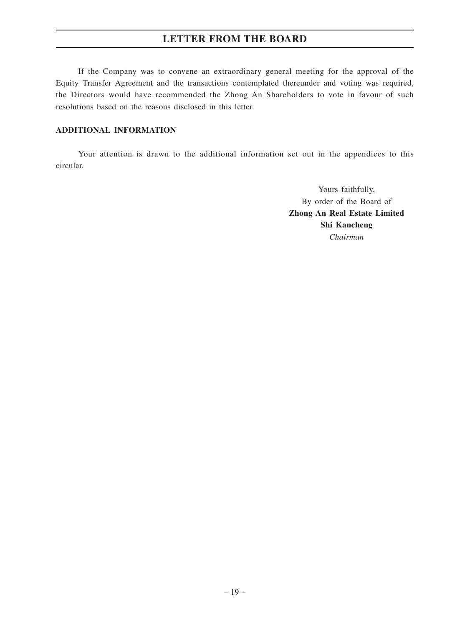If the Company was to convene an extraordinary general meeting for the approval of the Equity Transfer Agreement and the transactions contemplated thereunder and voting was required, the Directors would have recommended the Zhong An Shareholders to vote in favour of such resolutions based on the reasons disclosed in this letter.

### **ADDITIONAL INFORMATION**

Your attention is drawn to the additional information set out in the appendices to this circular.

> Yours faithfully, By order of the Board of **Zhong An Real Estate Limited Shi Kancheng** *Chairman*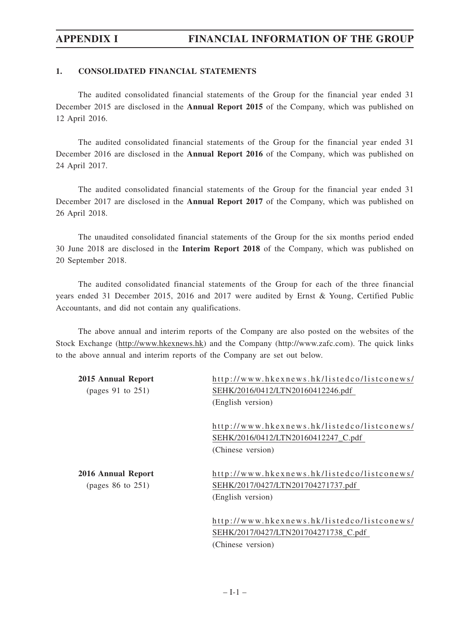### **1. CONSOLIDATED FINANCIAL STATEMENTS**

The audited consolidated financial statements of the Group for the financial year ended 31 December 2015 are disclosed in the **Annual Report 2015** of the Company, which was published on 12 April 2016.

The audited consolidated financial statements of the Group for the financial year ended 31 December 2016 are disclosed in the **Annual Report 2016** of the Company, which was published on 24 April 2017.

The audited consolidated financial statements of the Group for the financial year ended 31 December 2017 are disclosed in the **Annual Report 2017** of the Company, which was published on 26 April 2018.

The unaudited consolidated financial statements of the Group for the six months period ended 30 June 2018 are disclosed in the **Interim Report 2018** of the Company, which was published on 20 September 2018.

The audited consolidated financial statements of the Group for each of the three financial years ended 31 December 2015, 2016 and 2017 were audited by Ernst & Young, Certified Public Accountants, and did not contain any qualifications.

The above annual and interim reports of the Company are also posted on the websites of the Stock Exchange (http://www.hkexnews.hk) and the Company (http://www.zafc.com). The quick links to the above annual and interim reports of the Company are set out below.

| 2015 Annual Report<br>(pages $91$ to $251$ ) | http://www.hkexnews.hk/listedco/listconews/<br>SEHK/2016/0412/LTN20160412246.pdf                         |
|----------------------------------------------|----------------------------------------------------------------------------------------------------------|
|                                              | (English version)                                                                                        |
|                                              | http://www.hkexnews.hk/listedco/listconews/<br>SEHK/2016/0412/LTN20160412247_C.pdf<br>(Chinese version)  |
| 2016 Annual Report<br>(pages $86$ to $251$ ) | http://www.hkexnews.hk/listedco/listconews/<br>SEHK/2017/0427/LTN201704271737.pdf<br>(English version)   |
|                                              | http://www.hkexnews.hk/listedco/listconews/<br>SEHK/2017/0427/LTN201704271738_C.pdf<br>(Chinese version) |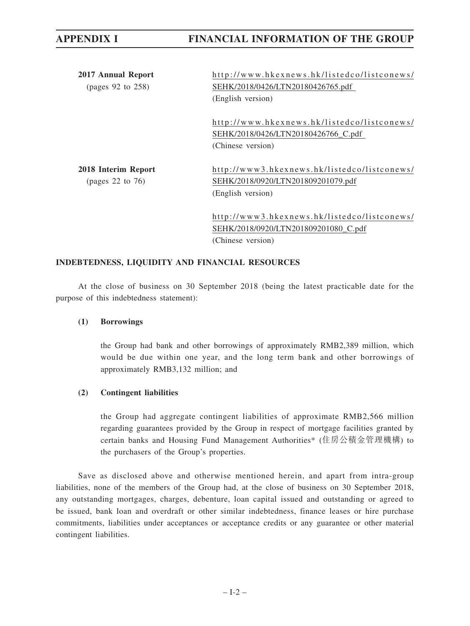# **APPENDIX I FINANCIAL INFORMATION OF THE GROUP**

| 2017 Annual Report<br>(pages $92$ to $258$ ) | http://www.hkexnews.hk/listedco/listconews/<br>SEHK/2018/0426/LTN20180426765.pdf<br>(English version)   |
|----------------------------------------------|---------------------------------------------------------------------------------------------------------|
|                                              | http://www.hkexnews.hk/listedco/listconews/<br>SEHK/2018/0426/LTN20180426766 C.pdf<br>(Chinese version) |
| 2018 Interim Report<br>(pages 22 to $76$ )   | http://www3.hkexnews.hk/listedco/listconews/<br>SEHK/2018/0920/LTN201809201079.pdf<br>(English version) |
|                                              | http://www3.hkexnews.hk/listedco/listconews/<br>SEHK/2018/0920/LTN201809201080 C.pdf                    |

(Chinese version)

### **INDEBTEDNESS, LIQUIDITY AND FINANCIAL RESOURCES**

At the close of business on 30 September 2018 (being the latest practicable date for the purpose of this indebtedness statement):

### **(1) Borrowings**

the Group had bank and other borrowings of approximately RMB2,389 million, which would be due within one year, and the long term bank and other borrowings of approximately RMB3,132 million; and

### **(2) Contingent liabilities**

the Group had aggregate contingent liabilities of approximate RMB2,566 million regarding guarantees provided by the Group in respect of mortgage facilities granted by certain banks and Housing Fund Management Authorities\* (住房公積金管理機構) to the purchasers of the Group's properties.

Save as disclosed above and otherwise mentioned herein, and apart from intra-group liabilities, none of the members of the Group had, at the close of business on 30 September 2018, any outstanding mortgages, charges, debenture, loan capital issued and outstanding or agreed to be issued, bank loan and overdraft or other similar indebtedness, finance leases or hire purchase commitments, liabilities under acceptances or acceptance credits or any guarantee or other material contingent liabilities.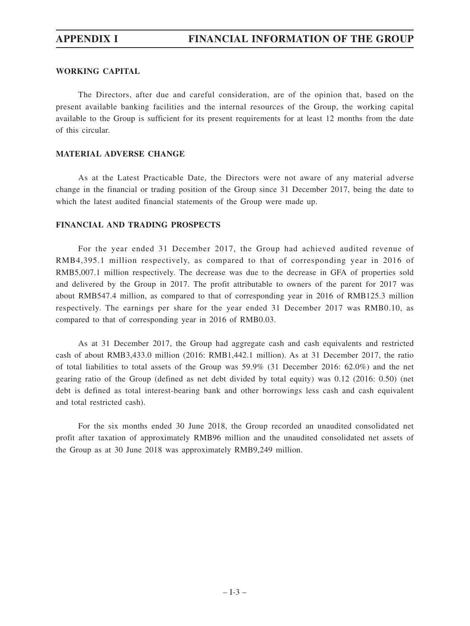### **WORKING CAPITAL**

The Directors, after due and careful consideration, are of the opinion that, based on the present available banking facilities and the internal resources of the Group, the working capital available to the Group is sufficient for its present requirements for at least 12 months from the date of this circular.

### **MATERIAL ADVERSE CHANGE**

As at the Latest Practicable Date, the Directors were not aware of any material adverse change in the financial or trading position of the Group since 31 December 2017, being the date to which the latest audited financial statements of the Group were made up.

### **FINANCIAL AND TRADING PROSPECTS**

For the year ended 31 December 2017, the Group had achieved audited revenue of RMB4,395.1 million respectively, as compared to that of corresponding year in 2016 of RMB5,007.1 million respectively. The decrease was due to the decrease in GFA of properties sold and delivered by the Group in 2017. The profit attributable to owners of the parent for 2017 was about RMB547.4 million, as compared to that of corresponding year in 2016 of RMB125.3 million respectively. The earnings per share for the year ended 31 December 2017 was RMB0.10, as compared to that of corresponding year in 2016 of RMB0.03.

As at 31 December 2017, the Group had aggregate cash and cash equivalents and restricted cash of about RMB3,433.0 million (2016: RMB1,442.1 million). As at 31 December 2017, the ratio of total liabilities to total assets of the Group was 59.9% (31 December 2016: 62.0%) and the net gearing ratio of the Group (defined as net debt divided by total equity) was 0.12 (2016: 0.50) (net debt is defined as total interest-bearing bank and other borrowings less cash and cash equivalent and total restricted cash).

For the six months ended 30 June 2018, the Group recorded an unaudited consolidated net profit after taxation of approximately RMB96 million and the unaudited consolidated net assets of the Group as at 30 June 2018 was approximately RMB9,249 million.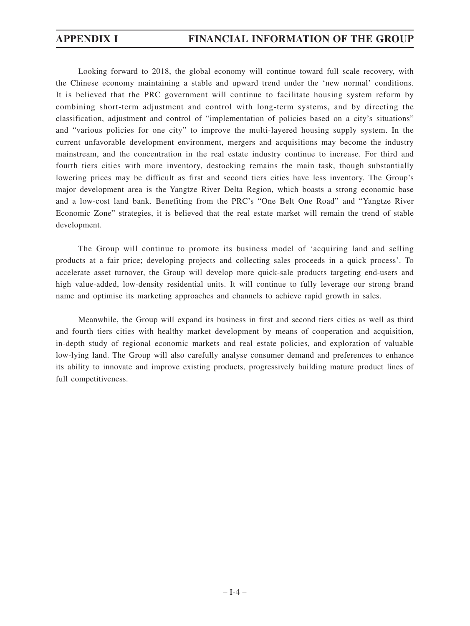# **APPENDIX I FINANCIAL INFORMATION OF THE GROUP**

Looking forward to 2018, the global economy will continue toward full scale recovery, with the Chinese economy maintaining a stable and upward trend under the 'new normal' conditions. It is believed that the PRC government will continue to facilitate housing system reform by combining short-term adjustment and control with long-term systems, and by directing the classification, adjustment and control of "implementation of policies based on a city's situations" and "various policies for one city" to improve the multi-layered housing supply system. In the current unfavorable development environment, mergers and acquisitions may become the industry mainstream, and the concentration in the real estate industry continue to increase. For third and fourth tiers cities with more inventory, destocking remains the main task, though substantially lowering prices may be difficult as first and second tiers cities have less inventory. The Group's major development area is the Yangtze River Delta Region, which boasts a strong economic base and a low-cost land bank. Benefiting from the PRC's "One Belt One Road" and "Yangtze River Economic Zone" strategies, it is believed that the real estate market will remain the trend of stable development.

The Group will continue to promote its business model of 'acquiring land and selling products at a fair price; developing projects and collecting sales proceeds in a quick process'. To accelerate asset turnover, the Group will develop more quick-sale products targeting end-users and high value-added, low-density residential units. It will continue to fully leverage our strong brand name and optimise its marketing approaches and channels to achieve rapid growth in sales.

Meanwhile, the Group will expand its business in first and second tiers cities as well as third and fourth tiers cities with healthy market development by means of cooperation and acquisition, in-depth study of regional economic markets and real estate policies, and exploration of valuable low-lying land. The Group will also carefully analyse consumer demand and preferences to enhance its ability to innovate and improve existing products, progressively building mature product lines of full competitiveness.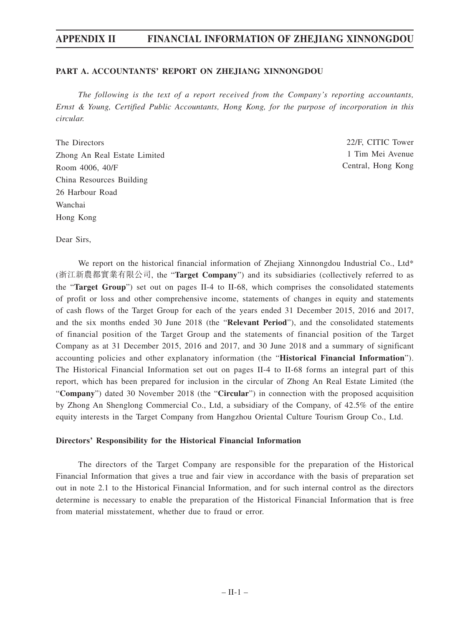### **PART A. ACCOUNTANTS' REPORT ON ZHEJIANG XINNONGDOU**

*The following is the text of a report received from the Company's reporting accountants, Ernst & Young, Certified Public Accountants, Hong Kong, for the purpose of incorporation in this circular.*

The Directors Zhong An Real Estate Limited Room 4006, 40/F China Resources Building 26 Harbour Road Wanchai Hong Kong

22/F, CITIC Tower 1 Tim Mei Avenue Central, Hong Kong

Dear Sirs,

We report on the historical financial information of Zhejiang Xinnongdou Industrial Co., Ltd\* (浙江新農都實業有限公司, the "**Target Company**") and its subsidiaries (collectively referred to as the "**Target Group**") set out on pages II-4 to II-68, which comprises the consolidated statements of profit or loss and other comprehensive income, statements of changes in equity and statements of cash flows of the Target Group for each of the years ended 31 December 2015, 2016 and 2017, and the six months ended 30 June 2018 (the "**Relevant Period**"), and the consolidated statements of financial position of the Target Group and the statements of financial position of the Target Company as at 31 December 2015, 2016 and 2017, and 30 June 2018 and a summary of significant accounting policies and other explanatory information (the "**Historical Financial Information**"). The Historical Financial Information set out on pages II-4 to II-68 forms an integral part of this report, which has been prepared for inclusion in the circular of Zhong An Real Estate Limited (the "**Company**") dated 30 November 2018 (the "**Circular**") in connection with the proposed acquisition by Zhong An Shenglong Commercial Co., Ltd, a subsidiary of the Company, of 42.5% of the entire equity interests in the Target Company from Hangzhou Oriental Culture Tourism Group Co., Ltd.

### **Directors' Responsibility for the Historical Financial Information**

The directors of the Target Company are responsible for the preparation of the Historical Financial Information that gives a true and fair view in accordance with the basis of preparation set out in note 2.1 to the Historical Financial Information, and for such internal control as the directors determine is necessary to enable the preparation of the Historical Financial Information that is free from material misstatement, whether due to fraud or error.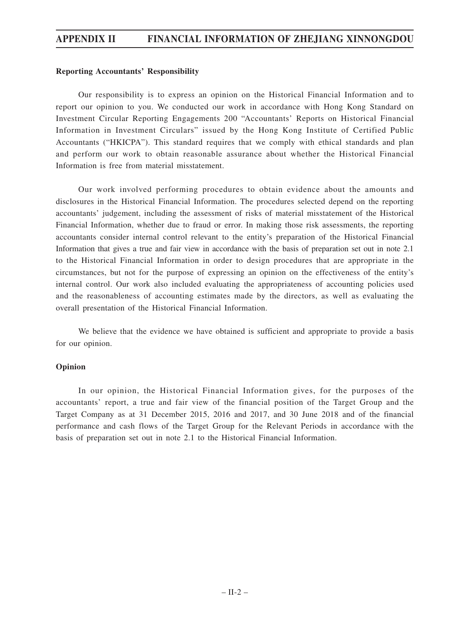### **Reporting Accountants' Responsibility**

Our responsibility is to express an opinion on the Historical Financial Information and to report our opinion to you. We conducted our work in accordance with Hong Kong Standard on Investment Circular Reporting Engagements 200 "Accountants' Reports on Historical Financial Information in Investment Circulars" issued by the Hong Kong Institute of Certified Public Accountants ("HKICPA"). This standard requires that we comply with ethical standards and plan and perform our work to obtain reasonable assurance about whether the Historical Financial Information is free from material misstatement.

Our work involved performing procedures to obtain evidence about the amounts and disclosures in the Historical Financial Information. The procedures selected depend on the reporting accountants' judgement, including the assessment of risks of material misstatement of the Historical Financial Information, whether due to fraud or error. In making those risk assessments, the reporting accountants consider internal control relevant to the entity's preparation of the Historical Financial Information that gives a true and fair view in accordance with the basis of preparation set out in note 2.1 to the Historical Financial Information in order to design procedures that are appropriate in the circumstances, but not for the purpose of expressing an opinion on the effectiveness of the entity's internal control. Our work also included evaluating the appropriateness of accounting policies used and the reasonableness of accounting estimates made by the directors, as well as evaluating the overall presentation of the Historical Financial Information.

We believe that the evidence we have obtained is sufficient and appropriate to provide a basis for our opinion.

### **Opinion**

In our opinion, the Historical Financial Information gives, for the purposes of the accountants' report, a true and fair view of the financial position of the Target Group and the Target Company as at 31 December 2015, 2016 and 2017, and 30 June 2018 and of the financial performance and cash flows of the Target Group for the Relevant Periods in accordance with the basis of preparation set out in note 2.1 to the Historical Financial Information.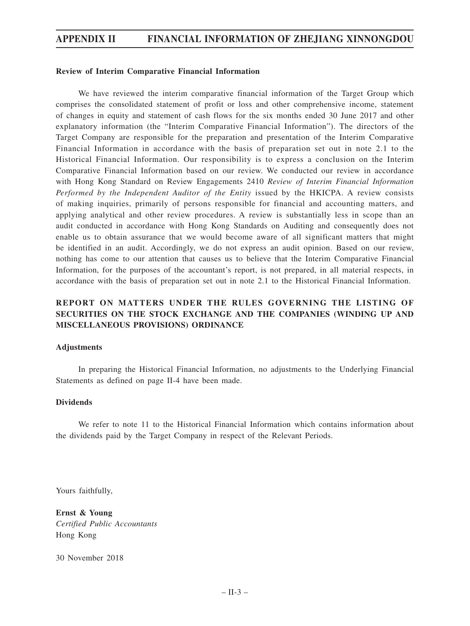### **Review of Interim Comparative Financial Information**

We have reviewed the interim comparative financial information of the Target Group which comprises the consolidated statement of profit or loss and other comprehensive income, statement of changes in equity and statement of cash flows for the six months ended 30 June 2017 and other explanatory information (the "Interim Comparative Financial Information"). The directors of the Target Company are responsible for the preparation and presentation of the Interim Comparative Financial Information in accordance with the basis of preparation set out in note 2.1 to the Historical Financial Information. Our responsibility is to express a conclusion on the Interim Comparative Financial Information based on our review. We conducted our review in accordance with Hong Kong Standard on Review Engagements 2410 *Review of Interim Financial Information Performed by the Independent Auditor of the Entity* issued by the HKICPA. A review consists of making inquiries, primarily of persons responsible for financial and accounting matters, and applying analytical and other review procedures. A review is substantially less in scope than an audit conducted in accordance with Hong Kong Standards on Auditing and consequently does not enable us to obtain assurance that we would become aware of all significant matters that might be identified in an audit. Accordingly, we do not express an audit opinion. Based on our review, nothing has come to our attention that causes us to believe that the Interim Comparative Financial Information, for the purposes of the accountant's report, is not prepared, in all material respects, in accordance with the basis of preparation set out in note 2.1 to the Historical Financial Information.

## **REPORT ON MATTERS UNDER THE RULES GOVERNING THE LISTING OF SECURITIES ON THE STOCK EXCHANGE AND THE COMPANIES (WINDING UP AND MISCELLANEOUS PROVISIONS) ORDINANCE**

### **Adjustments**

In preparing the Historical Financial Information, no adjustments to the Underlying Financial Statements as defined on page II-4 have been made.

### **Dividends**

We refer to note 11 to the Historical Financial Information which contains information about the dividends paid by the Target Company in respect of the Relevant Periods.

Yours faithfully,

**Ernst & Young** *Certified Public Accountants* Hong Kong

30 November 2018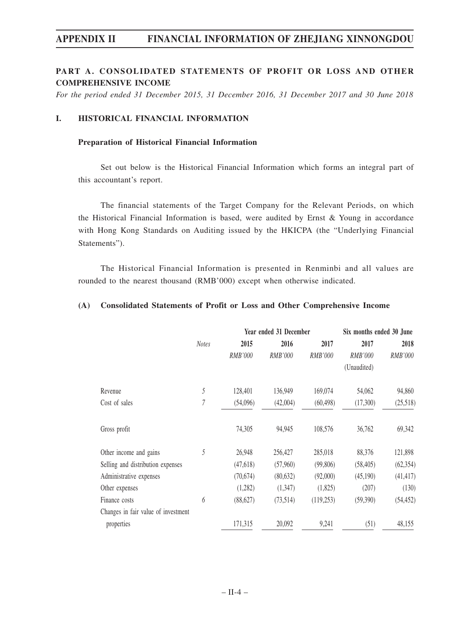### **PART A. CONSOLIDATED STATEMENTS OF PROFIT OR LOSS AND OTHER COMPREHENSIVE INCOME**

*For the period ended 31 December 2015, 31 December 2016, 31 December 2017 and 30 June 2018*

### **I. HISTORICAL FINANCIAL INFORMATION**

### **Preparation of Historical Financial Information**

Set out below is the Historical Financial Information which forms an integral part of this accountant's report.

The financial statements of the Target Company for the Relevant Periods, on which the Historical Financial Information is based, were audited by Ernst & Young in accordance with Hong Kong Standards on Auditing issued by the HKICPA (the "Underlying Financial Statements").

The Historical Financial Information is presented in Renminbi and all values are rounded to the nearest thousand (RMB'000) except when otherwise indicated.

### **(A) Consolidated Statements of Profit or Loss and Other Comprehensive Income**

|                                     |              | Year ended 31 December | Six months ended 30 June |           |             |           |
|-------------------------------------|--------------|------------------------|--------------------------|-----------|-------------|-----------|
|                                     | <b>Notes</b> | 2015                   | 2016                     | 2017      | 2017        | 2018      |
|                                     |              | RMB'000                | <i>RMB'000</i>           | RMB'000   | RMB'000     | RMB'000   |
|                                     |              |                        |                          |           | (Unaudited) |           |
| Revenue                             | 5            | 128,401                | 136,949                  | 169,074   | 54,062      | 94,860    |
| Cost of sales                       | 7            | (54,096)               | (42,004)                 | (60, 498) | (17,300)    | (25,518)  |
| Gross profit                        |              | 74,305                 | 94,945                   | 108,576   | 36,762      | 69,342    |
| Other income and gains              | 5            | 26,948                 | 256,427                  | 285,018   | 88,376      | 121,898   |
| Selling and distribution expenses   |              | (47,618)               | (57,960)                 | (99,806)  | (58, 405)   | (62, 354) |
| Administrative expenses             |              | (70,674)               | (80, 632)                | (92,000)  | (45,190)    | (41, 417) |
| Other expenses                      |              | (1,282)                | (1,347)                  | (1,825)   | (207)       | (130)     |
| Finance costs                       | 6            | (88,627)               | (73,514)                 | (119,253) | (59,390)    | (54, 452) |
| Changes in fair value of investment |              |                        |                          |           |             |           |
| properties                          |              | 171,315                | 20,092                   | 9,241     | (51)        | 48,155    |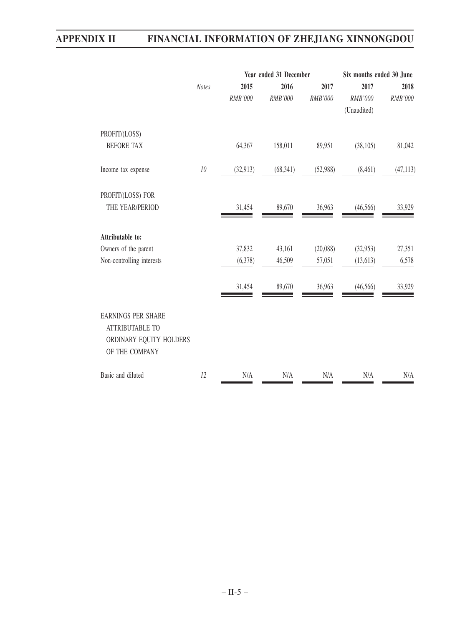|                                                                                                  |              |           | Year ended 31 December | Six months ended 30 June |             |           |
|--------------------------------------------------------------------------------------------------|--------------|-----------|------------------------|--------------------------|-------------|-----------|
|                                                                                                  | <b>Notes</b> | 2015      | 2016                   | 2017                     | 2017        | 2018      |
|                                                                                                  |              | RMB'000   | RMB'000                | RMB'000                  | RMB'000     | RMB'000   |
|                                                                                                  |              |           |                        |                          | (Unaudited) |           |
| PROFIT/(LOSS)                                                                                    |              |           |                        |                          |             |           |
| <b>BEFORE TAX</b>                                                                                |              | 64,367    | 158,011                | 89,951                   | (38,105)    | 81,042    |
| Income tax expense                                                                               | $10\,$       | (32, 913) | (68, 341)              | (52,988)                 | (8,461)     | (47, 113) |
| PROFIT/(LOSS) FOR                                                                                |              |           |                        |                          |             |           |
| THE YEAR/PERIOD                                                                                  |              | 31,454    | 89,670                 | 36,963                   | (46, 566)   | 33,929    |
| Attributable to:                                                                                 |              |           |                        |                          |             |           |
| Owners of the parent                                                                             |              | 37,832    | 43,161                 | (20,088)                 | (32,953)    | 27,351    |
| Non-controlling interests                                                                        |              | (6,378)   | 46,509                 | 57,051                   | (13,613)    | 6,578     |
|                                                                                                  |              | 31,454    | 89,670                 | 36,963                   | (46, 566)   | 33,929    |
| <b>EARNINGS PER SHARE</b><br><b>ATTRIBUTABLE TO</b><br>ORDINARY EQUITY HOLDERS<br>OF THE COMPANY |              |           |                        |                          |             |           |
| Basic and diluted                                                                                | 12           | N/A       | N/A                    | N/A                      | N/A         | N/A       |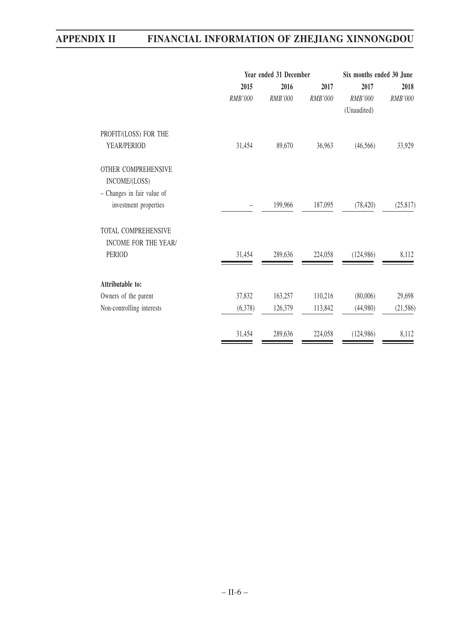|         | Six months ended 30 June |                |                                   |           |  |
|---------|--------------------------|----------------|-----------------------------------|-----------|--|
| 2015    | 2016                     | 2017           | 2017                              | 2018      |  |
| RMB'000 | <b>RMB'000</b>           | <b>RMB'000</b> | <b>RMB'000</b>                    | RMB'000   |  |
|         |                          |                | (Unaudited)                       |           |  |
|         |                          |                |                                   |           |  |
| 31,454  | 89,670                   | 36,963         | (46, 566)                         | 33,929    |  |
|         |                          |                |                                   |           |  |
|         |                          |                |                                   |           |  |
|         |                          |                |                                   |           |  |
|         | 199,966                  | 187,095        | (78, 420)                         | (25, 817) |  |
|         |                          |                |                                   |           |  |
|         |                          |                |                                   |           |  |
| 31,454  | 289,636                  | 224,058        | (124, 986)                        | 8,112     |  |
|         |                          |                |                                   |           |  |
|         |                          |                |                                   | 29,698    |  |
| (6,378) | 126,379                  | 113,842        | (44,980)                          | (21, 586) |  |
| 31,454  | 289,636                  | 224,058        | (124, 986)                        | 8,112     |  |
|         | 37,832                   | 163,257        | Year ended 31 December<br>110,216 | (80,006)  |  |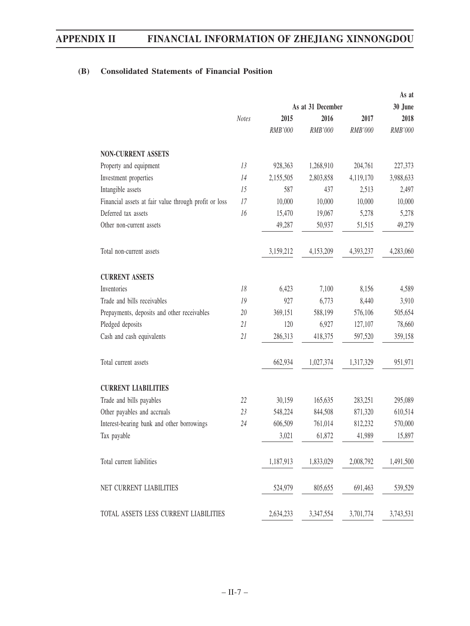# **(B) Consolidated Statements of Financial Position**

|                                                       | As at 31 December |           |           |           | 30 June   |  |  |  |
|-------------------------------------------------------|-------------------|-----------|-----------|-----------|-----------|--|--|--|
|                                                       | <b>Notes</b>      | 2015      | 2016      | 2017      | 2018      |  |  |  |
|                                                       |                   | RMB'000   | RMB'000   | RMB'000   | RMB'000   |  |  |  |
| <b>NON-CURRENT ASSETS</b>                             |                   |           |           |           |           |  |  |  |
| Property and equipment                                | 13                | 928,363   | 1,268,910 | 204,761   | 227,373   |  |  |  |
| Investment properties                                 | 14                | 2,155,505 | 2,803,858 | 4,119,170 | 3,988,633 |  |  |  |
| Intangible assets                                     | 15                | 587       | 437       | 2,513     | 2,497     |  |  |  |
| Financial assets at fair value through profit or loss | 17                | 10,000    | 10,000    | 10,000    | 10,000    |  |  |  |
| Deferred tax assets                                   | 16                | 15,470    | 19,067    | 5,278     | 5,278     |  |  |  |
| Other non-current assets                              |                   | 49,287    | 50,937    | 51,515    | 49,279    |  |  |  |
| Total non-current assets                              |                   | 3,159,212 | 4,153,209 | 4,393,237 | 4,283,060 |  |  |  |
| <b>CURRENT ASSETS</b>                                 |                   |           |           |           |           |  |  |  |
| Inventories                                           | 18                | 6,423     | 7,100     | 8,156     | 4,589     |  |  |  |
| Trade and bills receivables                           | 19                | 927       | 6,773     | 8,440     | 3,910     |  |  |  |
| Prepayments, deposits and other receivables           | 20                | 369,151   | 588,199   | 576,106   | 505,654   |  |  |  |
| Pledged deposits                                      | 21                | 120       | 6,927     | 127,107   | 78,660    |  |  |  |
| Cash and cash equivalents                             | 21                | 286,313   | 418,375   | 597,520   | 359,158   |  |  |  |
| Total current assets                                  |                   | 662,934   | 1,027,374 | 1,317,329 | 951,971   |  |  |  |
| <b>CURRENT LIABILITIES</b>                            |                   |           |           |           |           |  |  |  |
| Trade and bills payables                              | 22                | 30,159    | 165,635   | 283,251   | 295,089   |  |  |  |
| Other payables and accruals                           | 23                | 548,224   | 844,508   | 871,320   | 610,514   |  |  |  |
| Interest-bearing bank and other borrowings            | 24                | 606,509   | 761,014   | 812,232   | 570,000   |  |  |  |
| Tax payable                                           |                   | 3,021     | 61,872    | 41,989    | 15,897    |  |  |  |
| Total current liabilities                             |                   | 1,187,913 | 1,833,029 | 2,008,792 | 1,491,500 |  |  |  |
| NET CURRENT LIABILITIES                               |                   | 524,979   | 805,655   | 691,463   | 539,529   |  |  |  |
| TOTAL ASSETS LESS CURRENT LIABILITIES                 |                   | 2,634,233 | 3,347,554 | 3,701,774 | 3,743,531 |  |  |  |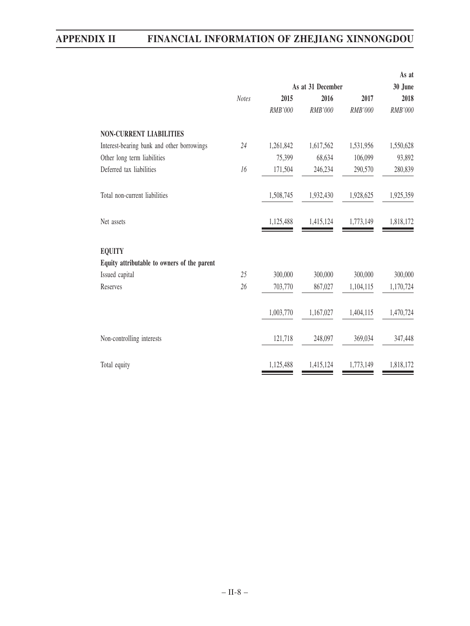|              |                   |           |           | As at     |  |
|--------------|-------------------|-----------|-----------|-----------|--|
|              | As at 31 December |           |           | 30 June   |  |
| <b>Notes</b> | 2015              | 2016      | 2017      | 2018      |  |
|              | RMB'000           | RMB'000   | RMB'000   | RMB'000   |  |
|              |                   |           |           |           |  |
| 24           | 1,261,842         | 1,617,562 | 1,531,956 | 1,550,628 |  |
|              | 75,399            | 68,634    | 106,099   | 93,892    |  |
| 16           | 171,504           | 246,234   | 290,570   | 280,839   |  |
|              | 1,508,745         | 1,932,430 | 1,928,625 | 1,925,359 |  |
|              | 1,125,488         | 1,415,124 | 1,773,149 | 1,818,172 |  |
|              |                   |           |           |           |  |
|              |                   |           |           |           |  |
| 25           | 300,000           | 300,000   | 300,000   | 300,000   |  |
| 26           | 703,770           | 867,027   | 1,104,115 | 1,170,724 |  |
|              | 1,003,770         | 1,167,027 | 1,404,115 | 1,470,724 |  |
|              | 121,718           | 248,097   | 369,034   | 347,448   |  |
|              | 1,125,488         | 1,415,124 | 1,773,149 | 1,818,172 |  |
|              |                   |           |           |           |  |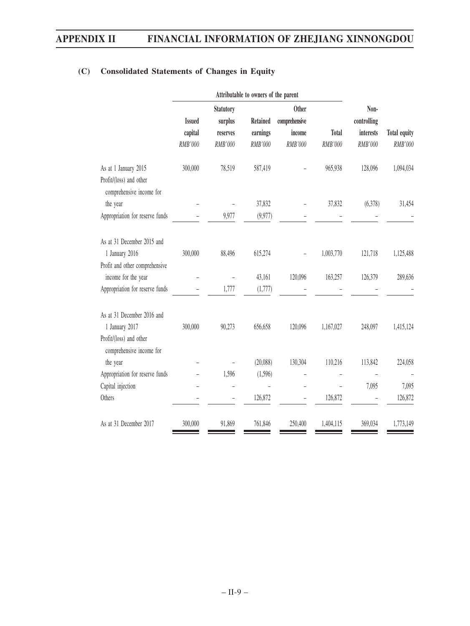|               | Statutory |          | <b>Other</b>    |                                                       | Non-           |              |
|---------------|-----------|----------|-----------------|-------------------------------------------------------|----------------|--------------|
| <b>Issued</b> | surplus   |          |                 |                                                       |                |              |
| capital       | reserves  | earnings | income          | <b>Total</b>                                          | interests      | Total equity |
| RMB'000       | RMB'000   | RMB'000  | RMB'000         | RMB'000                                               | <b>RMB'000</b> | RMB'000      |
| 300,000       | 78,519    | 587,419  |                 | 965,938                                               | 128,096        | 1,094,034    |
|               |           |          |                 |                                                       |                |              |
|               |           |          |                 |                                                       |                |              |
|               |           | 37,832   |                 | 37,832                                                | (6,378)        | 31,454       |
|               | 9,977     | (9,977)  |                 |                                                       |                |              |
|               |           |          |                 |                                                       |                |              |
| 300,000       | 88,496    | 615,274  |                 | 1,003,770                                             | 121,718        | 1,125,488    |
|               |           |          |                 |                                                       |                |              |
|               |           | 43,161   | 120,096         | 163,257                                               | 126,379        | 289,636      |
|               | 1,777     | (1,777)  |                 |                                                       |                |              |
|               |           |          |                 |                                                       |                |              |
| 300,000       | 90,273    | 656,658  | 120,096         | 1,167,027                                             | 248,097        | 1,415,124    |
|               |           |          |                 |                                                       |                |              |
|               |           |          |                 |                                                       |                |              |
|               |           | (20,088) | 130,304         | 110,216                                               | 113,842        | 224,058      |
|               | 1,596     | (1,596)  |                 |                                                       |                |              |
|               |           |          | L,              |                                                       | 7,095          | 7,095        |
|               |           | 126,872  |                 | 126,872                                               |                | 126,872      |
| 300,000       | 91,869    | 761,846  | 250,400         | 1,404,115                                             | 369,034        | 1,773,149    |
|               |           |          | <b>Retained</b> | Attributable to owners of the parent<br>comprehensive |                | controlling  |

# **(C) Consolidated Statements of Changes in Equity**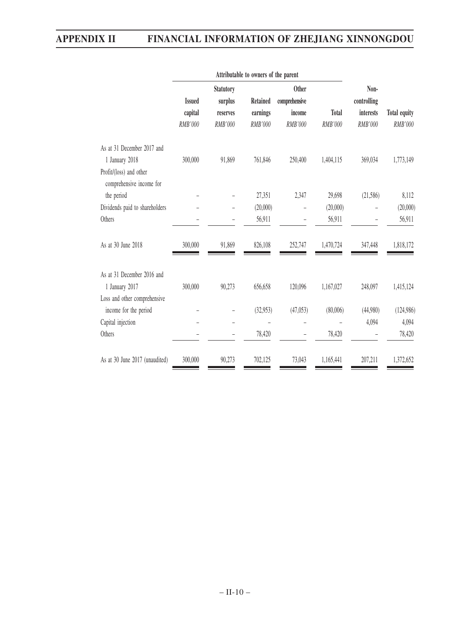| <b>Issued</b> | <b>Statutory</b><br>surplus | <b>Retained</b>     | <b>Other</b><br>comprehensive |                                                           | Non-<br>controlling                 |                      |
|---------------|-----------------------------|---------------------|-------------------------------|-----------------------------------------------------------|-------------------------------------|----------------------|
|               |                             |                     |                               |                                                           |                                     | <b>Total equity</b>  |
|               |                             |                     |                               |                                                           |                                     | RMB'000              |
|               |                             |                     |                               |                                                           |                                     |                      |
| 300,000       | 91,869                      | 761,846             | 250,400                       | 1,404,115                                                 | 369,034                             | 1,773,149            |
|               |                             |                     |                               |                                                           |                                     |                      |
|               |                             | 27,351              | 2,347                         | 29,698                                                    | (21, 586)                           | 8,112                |
|               |                             | (20,000)            |                               | (20,000)                                                  |                                     | (20,000)             |
|               |                             | 56,911              |                               | 56,911                                                    |                                     | 56,911               |
| 300,000       | 91,869                      | 826,108             | 252,747                       | 1,470,724                                                 | 347,448                             | 1,818,172            |
|               |                             |                     |                               |                                                           |                                     |                      |
| 300,000       | 90,273                      | 656,658             | 120,096                       | 1,167,027                                                 | 248,097                             | 1,415,124            |
|               |                             |                     |                               |                                                           |                                     |                      |
|               |                             | (32,953)            | (47,053)                      |                                                           | (44,980)                            | (124,986)            |
|               |                             |                     |                               |                                                           | 4,094                               | 4,094                |
|               |                             | 78,420              |                               | 78,420                                                    |                                     | 78,420               |
| 300,000       | 90,273                      | 702,125             | 73,043                        | 1,165,441                                                 | 207,211                             | 1,372,652            |
|               | capital<br>RMB'000          | reserves<br>RMB'000 | earnings<br>RMB'000           | Attributable to owners of the parent<br>income<br>RMB'000 | <b>Total</b><br>RMB'000<br>(80,006) | interests<br>RMB'000 |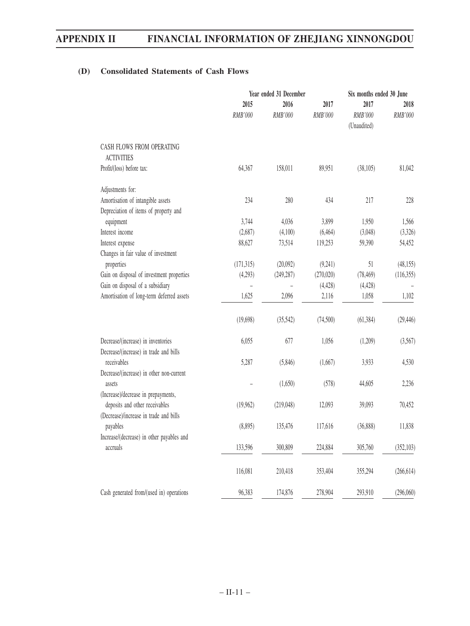# **(D) Consolidated Statements of Cash Flows**

|                                                                       | Year ended 31 December |                 |                 | Six months ended 30 June       |                 |  |
|-----------------------------------------------------------------------|------------------------|-----------------|-----------------|--------------------------------|-----------------|--|
|                                                                       | 2015<br>RMB'000        | 2016<br>RMB'000 | 2017<br>RMB'000 | 2017<br>RMB'000<br>(Unaudited) | 2018<br>RMB'000 |  |
| CASH FLOWS FROM OPERATING<br><b>ACTIVITIES</b>                        |                        |                 |                 |                                |                 |  |
| Profit/(loss) before tax:                                             | 64,367                 | 158,011         | 89,951          | (38,105)                       | 81,042          |  |
| Adjustments for:                                                      |                        |                 |                 |                                |                 |  |
| Amortisation of intangible assets                                     | 234                    | 280             | 434             | 217                            | 228             |  |
| Depreciation of items of property and                                 |                        |                 |                 |                                |                 |  |
| equipment                                                             | 3,744                  | 4,036           | 3,899           | 1,950                          | 1,566           |  |
| Interest income                                                       | (2,687)                | (4,100)         | (6, 464)        | (3,048)                        | (3,326)         |  |
| Interest expense                                                      | 88,627                 | 73,514          | 119,253         | 59,390                         | 54,452          |  |
| Changes in fair value of investment                                   |                        |                 |                 |                                |                 |  |
| properties                                                            | (171, 315)             | (20,092)        | (9,241)         | 51                             | (48, 155)       |  |
| Gain on disposal of investment properties                             | (4,293)                | (249, 287)      | (270,020)       | (78, 469)                      | (116,355)       |  |
| Gain on disposal of a subsidiary                                      |                        |                 | (4, 428)        | (4, 428)                       |                 |  |
| Amortisation of long-term deferred assets                             | 1,625                  | 2,096           | 2,116           | 1,058                          | 1,102           |  |
|                                                                       | (19,698)               | (35,542)        | (74, 500)       | (61, 384)                      | (29, 446)       |  |
| Decrease/(increase) in inventories                                    | 6,055                  | 677             | 1,056           | (1,209)                        | (3,567)         |  |
| Decrease/(increase) in trade and bills<br>receivables                 | 5,287                  | (5,846)         | (1,667)         | 3,933                          | 4,530           |  |
| Decrease/(increase) in other non-current                              |                        |                 |                 |                                |                 |  |
| assets                                                                |                        | (1,650)         | (578)           | 44,605                         | 2,236           |  |
| (Increase)/decrease in prepayments,<br>deposits and other receivables | (19,962)               | (219, 048)      | 12,093          | 39,093                         | 70,452          |  |
| (Decrease)/increase in trade and bills<br>payables                    | (8,895)                | 135,476         | 117,616         | (36,888)                       | 11,838          |  |
| Increase/(decrease) in other payables and                             |                        |                 |                 |                                |                 |  |
| accruals                                                              | 133,596                | 300,809         | 224,884         | 305,760                        | (352, 103)      |  |
|                                                                       | 116,081                | 210,418         | 353,404         | 355,294                        | (266, 614)      |  |
| Cash generated from/(used in) operations                              | 96,383                 | 174,876         | 278,904         | 293,910                        | (296,060)       |  |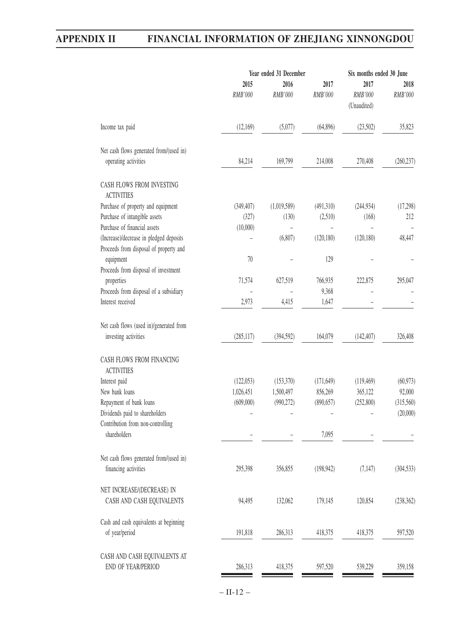|                                                                 | Year ended 31 December |                 |                 | Six months ended 30 June       |                 |
|-----------------------------------------------------------------|------------------------|-----------------|-----------------|--------------------------------|-----------------|
|                                                                 | 2015<br>RMB'000        | 2016<br>RMB'000 | 2017<br>RMB'000 | 2017<br>RMB'000<br>(Unaudited) | 2018<br>RMB'000 |
| Income tax paid                                                 | (12,169)               | (5,077)         | (64, 896)       | (23,502)                       | 35,823          |
| Net cash flows generated from/(used in)                         |                        |                 |                 |                                |                 |
| operating activities                                            | 84,214                 | 169,799         | 214,008         | 270,408                        | (260, 237)      |
| CASH FLOWS FROM INVESTING<br><b>ACTIVITIES</b>                  |                        |                 |                 |                                |                 |
| Purchase of property and equipment                              | (349, 407)             | (1,019,589)     | (491,310)       | (244, 934)                     | (17,298)        |
| Purchase of intangible assets                                   | (327)                  | (130)           | (2,510)         | (168)                          | 212             |
| Purchase of financial assets                                    | (10,000)               |                 |                 |                                |                 |
| (Increase)/decrease in pledged deposits                         |                        | (6,807)         | (120, 180)      | (120, 180)                     | 48,447          |
| Proceeds from disposal of property and                          |                        |                 |                 |                                |                 |
| equipment                                                       | 70                     |                 | 129             |                                |                 |
| Proceeds from disposal of investment                            |                        |                 |                 |                                |                 |
| properties                                                      | 71,574                 | 627,519         | 766,935         | 222,875                        | 295,047         |
| Proceeds from disposal of a subsidiary                          |                        |                 | 9,368           |                                |                 |
| Interest received                                               | 2,973                  | 4,415           | 1,647           |                                |                 |
| Net cash flows (used in)/generated from<br>investing activities | (285, 117)             | (394, 592)      | 164,079         | (142, 407)                     | 326,408         |
| CASH FLOWS FROM FINANCING<br><b>ACTIVITIES</b>                  |                        |                 |                 |                                |                 |
| Interest paid                                                   | (122,053)              | (153,370)       | (171, 649)      | (119, 469)                     | (60, 973)       |
| New bank loans                                                  | 1,026,451              | 1,500,497       | 856,269         | 365,122                        | 92,000          |
| Repayment of bank loans                                         | (609,000)              | (990, 272)      | (890, 657)      | (252,800)                      | (315,560)       |
| Dividends paid to shareholders                                  |                        |                 |                 |                                | (20,000)        |
| Contribution from non-controlling<br>shareholders               |                        |                 | 7,095           |                                |                 |
| Net cash flows generated from/(used in)                         |                        |                 |                 |                                |                 |
| financing activities                                            | 295,398                | 356,855         | (198, 942)      | (7, 147)                       | (304, 533)      |
| NET INCREASE/(DECREASE) IN<br>CASH AND CASH EQUIVALENTS         | 94,495                 | 132,062         | 179,145         | 120,854                        | (238, 362)      |
| Cash and cash equivalents at beginning<br>of year/period        | 191,818                | 286,313         | 418,375         | 418,375                        | 597,520         |
| CASH AND CASH EQUIVALENTS AT<br>END OF YEAR/PERIOD              | 286,313                | 418,375         | 597,520         | 539,229                        | 359,158         |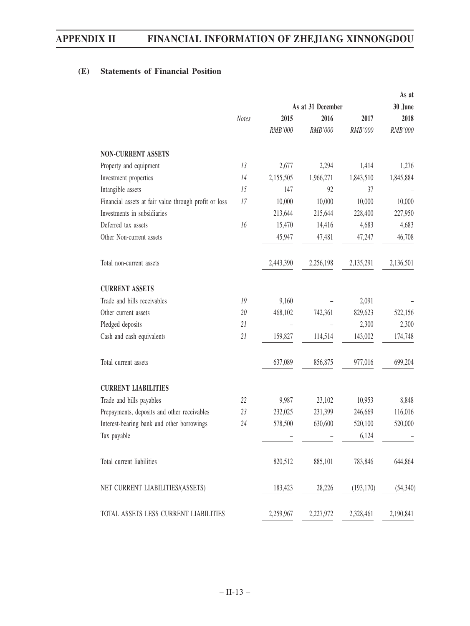# **(E) Statements of Financial Position**

|                                                       |              |           |                   |            | As at     |
|-------------------------------------------------------|--------------|-----------|-------------------|------------|-----------|
|                                                       |              |           | As at 31 December |            | 30 June   |
|                                                       | <b>Notes</b> | 2015      | 2016              | 2017       | 2018      |
|                                                       |              | RMB'000   | RMB'000           | RMB'000    | RMB'000   |
| <b>NON-CURRENT ASSETS</b>                             |              |           |                   |            |           |
| Property and equipment                                | 13           | 2,677     | 2,294             | 1,414      | 1,276     |
| Investment properties                                 | 14           | 2,155,505 | 1,966,271         | 1,843,510  | 1,845,884 |
| Intangible assets                                     | 15           | 147       | 92                | 37         |           |
| Financial assets at fair value through profit or loss | 17           | 10,000    | 10,000            | 10,000     | 10,000    |
| Investments in subsidiaries                           |              | 213,644   | 215,644           | 228,400    | 227,950   |
| Deferred tax assets                                   | 16           | 15,470    | 14,416            | 4,683      | 4,683     |
| Other Non-current assets                              |              | 45,947    | 47,481            | 47,247     | 46,708    |
| Total non-current assets                              |              | 2,443,390 | 2,256,198         | 2,135,291  | 2,136,501 |
| <b>CURRENT ASSETS</b>                                 |              |           |                   |            |           |
| Trade and bills receivables                           | 19           | 9,160     |                   | 2,091      |           |
| Other current assets                                  | 20           | 468,102   | 742,361           | 829,623    | 522,156   |
| Pledged deposits                                      | 21           |           |                   | 2,300      | 2,300     |
| Cash and cash equivalents                             | 21           | 159,827   | 114,514           | 143,002    | 174,748   |
| Total current assets                                  |              | 637,089   | 856,875           | 977,016    | 699,204   |
| <b>CURRENT LIABILITIES</b>                            |              |           |                   |            |           |
| Trade and bills payables                              | 22           | 9,987     | 23,102            | 10,953     | 8,848     |
| Prepayments, deposits and other receivables           | 23           | 232,025   | 231,399           | 246,669    | 116,016   |
| Interest-bearing bank and other borrowings            | 24           | 578,500   | 630,600           | 520,100    | 520,000   |
| Tax payable                                           |              |           |                   | 6,124      |           |
| Total current liabilities                             |              | 820,512   | 885,101           | 783,846    | 644,864   |
| NET CURRENT LIABILITIES/(ASSETS)                      |              | 183,423   | 28,226            | (193, 170) | (54,340)  |
| TOTAL ASSETS LESS CURRENT LIABILITIES                 |              | 2,259,967 | 2,227,972         | 2,328,461  | 2,190,841 |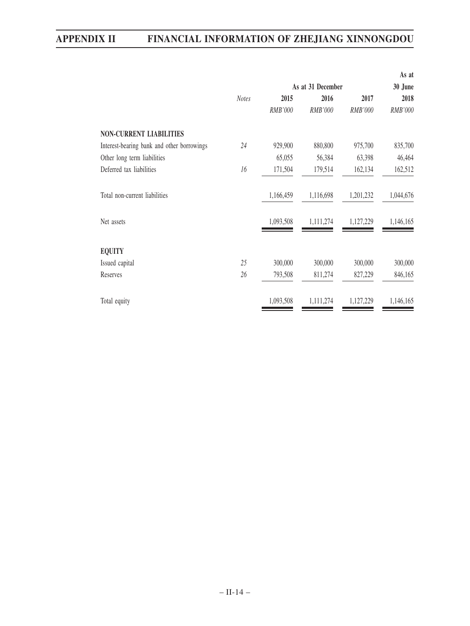|                                            |              |                   |           |           | As at     |
|--------------------------------------------|--------------|-------------------|-----------|-----------|-----------|
|                                            |              | As at 31 December | 30 June   |           |           |
|                                            | <b>Notes</b> | 2015              | 2016      | 2017      | 2018      |
|                                            |              | RMB'000           | RMB'000   | RMB'000   | RMB'000   |
| <b>NON-CURRENT LIABILITIES</b>             |              |                   |           |           |           |
| Interest-bearing bank and other borrowings | 24           | 929,900           | 880,800   | 975,700   | 835,700   |
| Other long term liabilities                |              | 65,055            | 56,384    | 63,398    | 46,464    |
| Deferred tax liabilities                   | 16           | 171,504           | 179,514   | 162,134   | 162,512   |
| Total non-current liabilities              |              | 1,166,459         | 1,116,698 | 1,201,232 | 1,044,676 |
| Net assets                                 |              | 1,093,508         | 1,111,274 | 1,127,229 | 1,146,165 |
| <b>EQUITY</b>                              |              |                   |           |           |           |
| Issued capital                             | 25           | 300,000           | 300,000   | 300,000   | 300,000   |
| Reserves                                   | 26           | 793,508           | 811,274   | 827,229   | 846,165   |
| Total equity                               |              | 1,093,508         | 1,111,274 | 1,127,229 | 1,146,165 |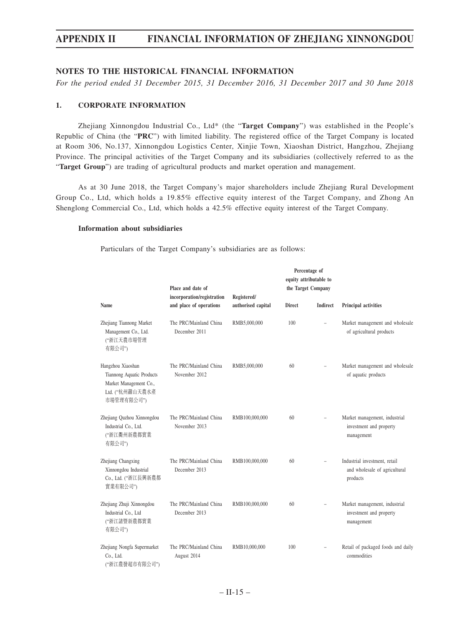## **NOTES TO THE HISTORICAL FINANCIAL INFORMATION**

*For the period ended 31 December 2015, 31 December 2016, 31 December 2017 and 30 June 2018*

## **1. CORPORATE INFORMATION**

Zhejiang Xinnongdou Industrial Co., Ltd\* (the "**Target Company**") was established in the People's Republic of China (the "**PRC**") with limited liability. The registered office of the Target Company is located at Room 306, No.137, Xinnongdou Logistics Center, Xinjie Town, Xiaoshan District, Hangzhou, Zhejiang Province. The principal activities of the Target Company and its subsidiaries (collectively referred to as the "**Target Group**") are trading of agricultural products and market operation and management.

As at 30 June 2018, the Target Company's major shareholders include Zhejiang Rural Development Group Co., Ltd, which holds a 19.85% effective equity interest of the Target Company, and Zhong An Shenglong Commercial Co., Ltd, which holds a 42.5% effective equity interest of the Target Company.

## **Information about subsidiaries**

Particulars of the Target Company's subsidiaries are as follows:

|                                                                                                           | Place and date of                                     |                                   |               | Percentage of<br>equity attributable to<br>the Target Company |                                                                            |
|-----------------------------------------------------------------------------------------------------------|-------------------------------------------------------|-----------------------------------|---------------|---------------------------------------------------------------|----------------------------------------------------------------------------|
| Name                                                                                                      | incorporation/registration<br>and place of operations | Registered/<br>authorised capital | <b>Direct</b> | Indirect                                                      | Principal activities                                                       |
| Zhejiang Tiannong Market<br>Management Co., Ltd.<br>("浙江天農市場管理<br>有限公司")                                  | The PRC/Mainland China<br>December 2011               | RMB5,000,000                      | 100           |                                                               | Market management and wholesale<br>of agricultural products                |
| Hangzhou Xiaoshan<br>Tiannong Aquatic Products<br>Market Management Co.,<br>Ltd. ("杭州蕭山天農水產<br>市場管理有限公司") | The PRC/Mainland China<br>November 2012               | RMB5,000,000                      | 60            |                                                               | Market management and wholesale<br>of aquatic products                     |
| Zhejiang Quzhou Xinnongdou<br>Industrial Co., Ltd.<br>("浙江衢州新農都實業<br>有限公司")                               | The PRC/Mainland China<br>November 2013               | RMB100,000,000                    | 60            |                                                               | Market management, industrial<br>investment and property<br>management     |
| Zhejiang Changxing<br>Xinnongdou Industrial<br>Co., Ltd. ("浙江長興新農都<br>實業有限公司")                            | The PRC/Mainland China<br>December 2013               | RMB100,000,000                    | 60            | $\equiv$                                                      | Industrial investment, retail<br>and wholesale of agricultural<br>products |
| Zhejiang Zhuji Xinnongdou<br>Industrial Co., Ltd<br>("浙江諸暨新農都實業<br>有限公司")                                 | The PRC/Mainland China<br>December 2013               | RMB100,000,000                    | 60            |                                                               | Market management, industrial<br>investment and property<br>management     |
| Zhejiang Nongfa Supermarket<br>Co., Ltd.<br>("浙江農發超市有限公司")                                                | The PRC/Mainland China<br>August 2014                 | RMB10,000,000                     | 100           |                                                               | Retail of packaged foods and daily<br>commodities                          |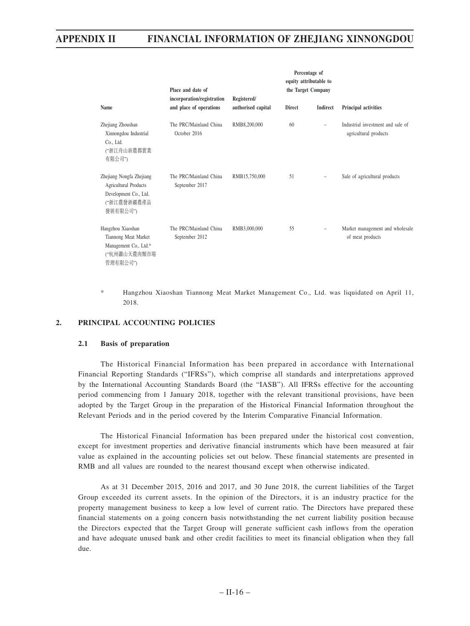|                                                                                                              | Place and date of                                     |                                   |               | Percentage of<br>equity attributable to<br>the Target Company |                                                            |  |
|--------------------------------------------------------------------------------------------------------------|-------------------------------------------------------|-----------------------------------|---------------|---------------------------------------------------------------|------------------------------------------------------------|--|
| Name                                                                                                         | incorporation/registration<br>and place of operations | Registered/<br>authorised capital | <b>Direct</b> | Indirect                                                      | Principal activities                                       |  |
| Zhejiang Zhoushan<br>Xinnongdou Industrial<br>Co., Ltd.<br>("浙江舟山新農都實業<br>有限公司")                             | The PRC/Mainland China<br>October 2016                | RMB8,200,000                      | 60            | $\frac{1}{2}$                                                 | Industrial investment and sale of<br>agricultural products |  |
| Zhejiang Nongfa Zhejiang<br><b>Agricultural Products</b><br>Development Co., Ltd.<br>("浙江農發浙疆農產品<br>發展有限公司") | The PRC/Mainland China<br>September 2017              | RMB15,750,000                     | 51            |                                                               | Sale of agricultural products                              |  |
| Hangzhou Xiaoshan<br>Tiannong Meat Market<br>Management Co., Ltd.*<br>("杭州蕭山天農肉類市場<br>管理有限公司")               | The PRC/Mainland China<br>September 2012              | RMB3,000,000                      | 55            | $\overline{\phantom{m}}$                                      | Market management and wholesale<br>of meat products        |  |

\* Hangzhou Xiaoshan Tiannong Meat Market Management Co., Ltd. was liquidated on April 11, 2018.

## **2. PRINCIPAL ACCOUNTING POLICIES**

## **2.1 Basis of preparation**

The Historical Financial Information has been prepared in accordance with International Financial Reporting Standards ("IFRSs"), which comprise all standards and interpretations approved by the International Accounting Standards Board (the "IASB"). All IFRSs effective for the accounting period commencing from 1 January 2018, together with the relevant transitional provisions, have been adopted by the Target Group in the preparation of the Historical Financial Information throughout the Relevant Periods and in the period covered by the Interim Comparative Financial Information.

The Historical Financial Information has been prepared under the historical cost convention, except for investment properties and derivative financial instruments which have been measured at fair value as explained in the accounting policies set out below. These financial statements are presented in RMB and all values are rounded to the nearest thousand except when otherwise indicated.

As at 31 December 2015, 2016 and 2017, and 30 June 2018, the current liabilities of the Target Group exceeded its current assets. In the opinion of the Directors, it is an industry practice for the property management business to keep a low level of current ratio. The Directors have prepared these financial statements on a going concern basis notwithstanding the net current liability position because the Directors expected that the Target Group will generate sufficient cash inflows from the operation and have adequate unused bank and other credit facilities to meet its financial obligation when they fall due.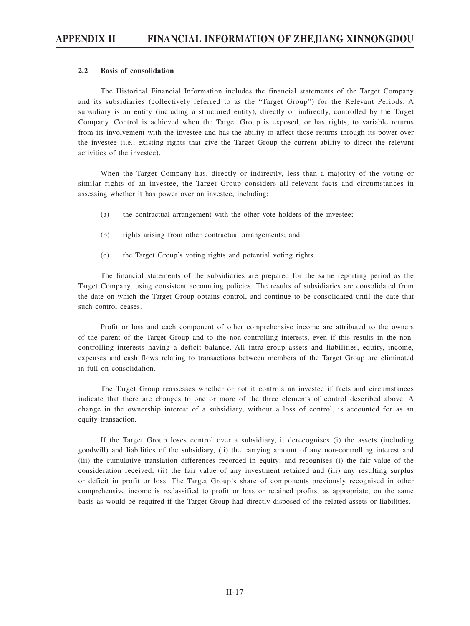## **2.2 Basis of consolidation**

The Historical Financial Information includes the financial statements of the Target Company and its subsidiaries (collectively referred to as the "Target Group") for the Relevant Periods. A subsidiary is an entity (including a structured entity), directly or indirectly, controlled by the Target Company. Control is achieved when the Target Group is exposed, or has rights, to variable returns from its involvement with the investee and has the ability to affect those returns through its power over the investee (i.e., existing rights that give the Target Group the current ability to direct the relevant activities of the investee).

When the Target Company has, directly or indirectly, less than a majority of the voting or similar rights of an investee, the Target Group considers all relevant facts and circumstances in assessing whether it has power over an investee, including:

- (a) the contractual arrangement with the other vote holders of the investee;
- (b) rights arising from other contractual arrangements; and
- (c) the Target Group's voting rights and potential voting rights.

The financial statements of the subsidiaries are prepared for the same reporting period as the Target Company, using consistent accounting policies. The results of subsidiaries are consolidated from the date on which the Target Group obtains control, and continue to be consolidated until the date that such control ceases.

Profit or loss and each component of other comprehensive income are attributed to the owners of the parent of the Target Group and to the non-controlling interests, even if this results in the noncontrolling interests having a deficit balance. All intra-group assets and liabilities, equity, income, expenses and cash flows relating to transactions between members of the Target Group are eliminated in full on consolidation.

The Target Group reassesses whether or not it controls an investee if facts and circumstances indicate that there are changes to one or more of the three elements of control described above. A change in the ownership interest of a subsidiary, without a loss of control, is accounted for as an equity transaction.

If the Target Group loses control over a subsidiary, it derecognises (i) the assets (including goodwill) and liabilities of the subsidiary, (ii) the carrying amount of any non-controlling interest and (iii) the cumulative translation differences recorded in equity; and recognises (i) the fair value of the consideration received, (ii) the fair value of any investment retained and (iii) any resulting surplus or deficit in profit or loss. The Target Group's share of components previously recognised in other comprehensive income is reclassified to profit or loss or retained profits, as appropriate, on the same basis as would be required if the Target Group had directly disposed of the related assets or liabilities.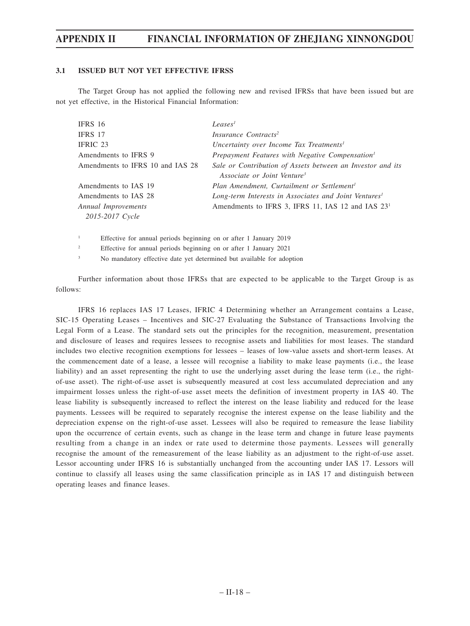## **3.1 ISSUED BUT NOT YET EFFECTIVE IFRSS**

The Target Group has not applied the following new and revised IFRSs that have been issued but are not yet effective, in the Historical Financial Information:

| IFRS 16                          | Leases <sup>1</sup>                                               |
|----------------------------------|-------------------------------------------------------------------|
| IFRS 17                          | Insurance Contracts <sup>2</sup>                                  |
| IFRIC 23                         | Uncertainty over Income Tax Treatments <sup>1</sup>               |
| Amendments to IFRS 9             | Prepayment Features with Negative Compensation <sup>1</sup>       |
| Amendments to IFRS 10 and IAS 28 | Sale or Contribution of Assets between an Investor and its        |
|                                  | Associate or Joint Venture <sup>3</sup>                           |
| Amendments to IAS 19             | Plan Amendment, Curtailment or Settlement <sup>1</sup>            |
| Amendments to IAS 28             | Long-term Interests in Associates and Joint Ventures <sup>1</sup> |
| Annual Improvements              | Amendments to IFRS 3, IFRS 11, IAS 12 and IAS 23 <sup>1</sup>     |
| 2015-2017 Cycle                  |                                                                   |
|                                  |                                                                   |

1 Effective for annual periods beginning on or after 1 January 2019

 $\overline{2}$ Effective for annual periods beginning on or after 1 January 2021

3 No mandatory effective date yet determined but available for adoption

Further information about those IFRSs that are expected to be applicable to the Target Group is as follows:

IFRS 16 replaces IAS 17 Leases, IFRIC 4 Determining whether an Arrangement contains a Lease, SIC-15 Operating Leases – Incentives and SIC-27 Evaluating the Substance of Transactions Involving the Legal Form of a Lease. The standard sets out the principles for the recognition, measurement, presentation and disclosure of leases and requires lessees to recognise assets and liabilities for most leases. The standard includes two elective recognition exemptions for lessees – leases of low-value assets and short-term leases. At the commencement date of a lease, a lessee will recognise a liability to make lease payments (i.e., the lease liability) and an asset representing the right to use the underlying asset during the lease term (i.e., the rightof-use asset). The right-of-use asset is subsequently measured at cost less accumulated depreciation and any impairment losses unless the right-of-use asset meets the definition of investment property in IAS 40. The lease liability is subsequently increased to reflect the interest on the lease liability and reduced for the lease payments. Lessees will be required to separately recognise the interest expense on the lease liability and the depreciation expense on the right-of-use asset. Lessees will also be required to remeasure the lease liability upon the occurrence of certain events, such as change in the lease term and change in future lease payments resulting from a change in an index or rate used to determine those payments. Lessees will generally recognise the amount of the remeasurement of the lease liability as an adjustment to the right-of-use asset. Lessor accounting under IFRS 16 is substantially unchanged from the accounting under IAS 17. Lessors will continue to classify all leases using the same classification principle as in IAS 17 and distinguish between operating leases and finance leases.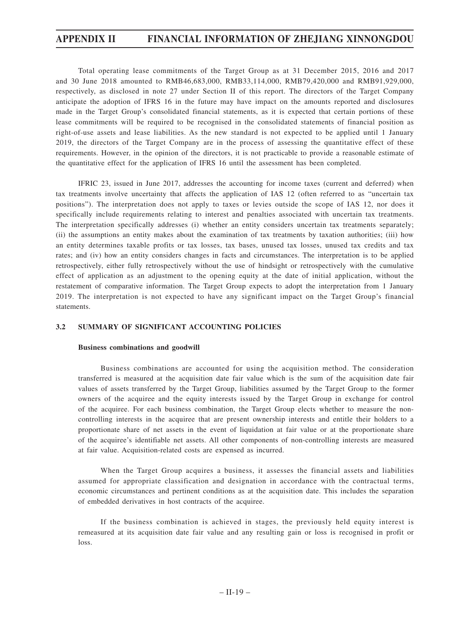Total operating lease commitments of the Target Group as at 31 December 2015, 2016 and 2017 and 30 June 2018 amounted to RMB46,683,000, RMB33,114,000, RMB79,420,000 and RMB91,929,000, respectively, as disclosed in note 27 under Section II of this report. The directors of the Target Company anticipate the adoption of IFRS 16 in the future may have impact on the amounts reported and disclosures made in the Target Group's consolidated financial statements, as it is expected that certain portions of these lease commitments will be required to be recognised in the consolidated statements of financial position as right-of-use assets and lease liabilities. As the new standard is not expected to be applied until 1 January 2019, the directors of the Target Company are in the process of assessing the quantitative effect of these requirements. However, in the opinion of the directors, it is not practicable to provide a reasonable estimate of the quantitative effect for the application of IFRS 16 until the assessment has been completed.

IFRIC 23, issued in June 2017, addresses the accounting for income taxes (current and deferred) when tax treatments involve uncertainty that affects the application of IAS 12 (often referred to as "uncertain tax positions"). The interpretation does not apply to taxes or levies outside the scope of IAS 12, nor does it specifically include requirements relating to interest and penalties associated with uncertain tax treatments. The interpretation specifically addresses (i) whether an entity considers uncertain tax treatments separately; (ii) the assumptions an entity makes about the examination of tax treatments by taxation authorities; (iii) how an entity determines taxable profits or tax losses, tax bases, unused tax losses, unused tax credits and tax rates; and (iv) how an entity considers changes in facts and circumstances. The interpretation is to be applied retrospectively, either fully retrospectively without the use of hindsight or retrospectively with the cumulative effect of application as an adjustment to the opening equity at the date of initial application, without the restatement of comparative information. The Target Group expects to adopt the interpretation from 1 January 2019. The interpretation is not expected to have any significant impact on the Target Group's financial statements.

## **3.2 SUMMARY OF SIGNIFICANT ACCOUNTING POLICIES**

## **Business combinations and goodwill**

Business combinations are accounted for using the acquisition method. The consideration transferred is measured at the acquisition date fair value which is the sum of the acquisition date fair values of assets transferred by the Target Group, liabilities assumed by the Target Group to the former owners of the acquiree and the equity interests issued by the Target Group in exchange for control of the acquiree. For each business combination, the Target Group elects whether to measure the noncontrolling interests in the acquiree that are present ownership interests and entitle their holders to a proportionate share of net assets in the event of liquidation at fair value or at the proportionate share of the acquiree's identifiable net assets. All other components of non-controlling interests are measured at fair value. Acquisition-related costs are expensed as incurred.

When the Target Group acquires a business, it assesses the financial assets and liabilities assumed for appropriate classification and designation in accordance with the contractual terms, economic circumstances and pertinent conditions as at the acquisition date. This includes the separation of embedded derivatives in host contracts of the acquiree.

If the business combination is achieved in stages, the previously held equity interest is remeasured at its acquisition date fair value and any resulting gain or loss is recognised in profit or loss.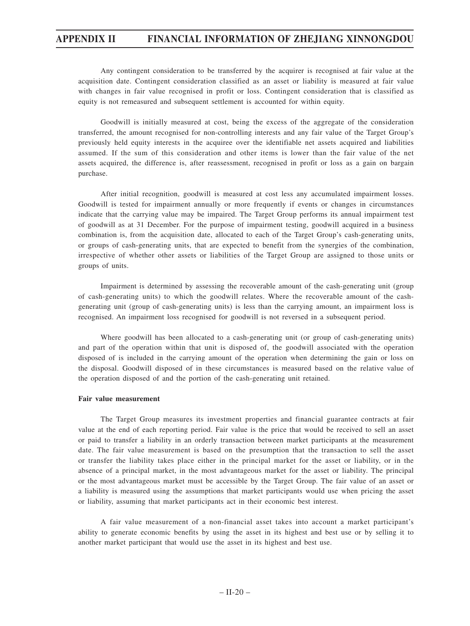Any contingent consideration to be transferred by the acquirer is recognised at fair value at the acquisition date. Contingent consideration classified as an asset or liability is measured at fair value with changes in fair value recognised in profit or loss. Contingent consideration that is classified as equity is not remeasured and subsequent settlement is accounted for within equity.

Goodwill is initially measured at cost, being the excess of the aggregate of the consideration transferred, the amount recognised for non-controlling interests and any fair value of the Target Group's previously held equity interests in the acquiree over the identifiable net assets acquired and liabilities assumed. If the sum of this consideration and other items is lower than the fair value of the net assets acquired, the difference is, after reassessment, recognised in profit or loss as a gain on bargain purchase.

After initial recognition, goodwill is measured at cost less any accumulated impairment losses. Goodwill is tested for impairment annually or more frequently if events or changes in circumstances indicate that the carrying value may be impaired. The Target Group performs its annual impairment test of goodwill as at 31 December. For the purpose of impairment testing, goodwill acquired in a business combination is, from the acquisition date, allocated to each of the Target Group's cash-generating units, or groups of cash-generating units, that are expected to benefit from the synergies of the combination, irrespective of whether other assets or liabilities of the Target Group are assigned to those units or groups of units.

Impairment is determined by assessing the recoverable amount of the cash-generating unit (group of cash-generating units) to which the goodwill relates. Where the recoverable amount of the cashgenerating unit (group of cash-generating units) is less than the carrying amount, an impairment loss is recognised. An impairment loss recognised for goodwill is not reversed in a subsequent period.

Where goodwill has been allocated to a cash-generating unit (or group of cash-generating units) and part of the operation within that unit is disposed of, the goodwill associated with the operation disposed of is included in the carrying amount of the operation when determining the gain or loss on the disposal. Goodwill disposed of in these circumstances is measured based on the relative value of the operation disposed of and the portion of the cash-generating unit retained.

## **Fair value measurement**

The Target Group measures its investment properties and financial guarantee contracts at fair value at the end of each reporting period. Fair value is the price that would be received to sell an asset or paid to transfer a liability in an orderly transaction between market participants at the measurement date. The fair value measurement is based on the presumption that the transaction to sell the asset or transfer the liability takes place either in the principal market for the asset or liability, or in the absence of a principal market, in the most advantageous market for the asset or liability. The principal or the most advantageous market must be accessible by the Target Group. The fair value of an asset or a liability is measured using the assumptions that market participants would use when pricing the asset or liability, assuming that market participants act in their economic best interest.

A fair value measurement of a non-financial asset takes into account a market participant's ability to generate economic benefits by using the asset in its highest and best use or by selling it to another market participant that would use the asset in its highest and best use.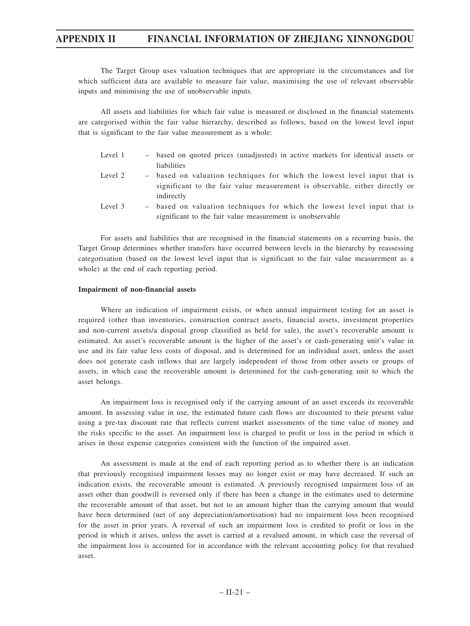The Target Group uses valuation techniques that are appropriate in the circumstances and for which sufficient data are available to measure fair value, maximising the use of relevant observable inputs and minimising the use of unobservable inputs.

All assets and liabilities for which fair value is measured or disclosed in the financial statements are categorised within the fair value hierarchy, described as follows, based on the lowest level input that is significant to the fair value measurement as a whole:

- Level 1 based on quoted prices (unadjusted) in active markets for identical assets or liabilities
- Level 2 based on valuation techniques for which the lowest level input that is significant to the fair value measurement is observable, either directly or indirectly
- Level 3 based on valuation techniques for which the lowest level input that is significant to the fair value measurement is unobservable

For assets and liabilities that are recognised in the financial statements on a recurring basis, the Target Group determines whether transfers have occurred between levels in the hierarchy by reassessing categorisation (based on the lowest level input that is significant to the fair value measurement as a whole) at the end of each reporting period.

#### **Impairment of non-financial assets**

Where an indication of impairment exists, or when annual impairment testing for an asset is required (other than inventories, construction contract assets, financial assets, investment properties and non-current assets/a disposal group classified as held for sale), the asset's recoverable amount is estimated. An asset's recoverable amount is the higher of the asset's or cash-generating unit's value in use and its fair value less costs of disposal, and is determined for an individual asset, unless the asset does not generate cash inflows that are largely independent of those from other assets or groups of assets, in which case the recoverable amount is determined for the cash-generating unit to which the asset belongs.

An impairment loss is recognised only if the carrying amount of an asset exceeds its recoverable amount. In assessing value in use, the estimated future cash flows are discounted to their present value using a pre-tax discount rate that reflects current market assessments of the time value of money and the risks specific to the asset. An impairment loss is charged to profit or loss in the period in which it arises in those expense categories consistent with the function of the impaired asset.

An assessment is made at the end of each reporting period as to whether there is an indication that previously recognised impairment losses may no longer exist or may have decreased. If such an indication exists, the recoverable amount is estimated. A previously recognised impairment loss of an asset other than goodwill is reversed only if there has been a change in the estimates used to determine the recoverable amount of that asset, but not to an amount higher than the carrying amount that would have been determined (net of any depreciation/amortisation) had no impairment loss been recognised for the asset in prior years. A reversal of such an impairment loss is credited to profit or loss in the period in which it arises, unless the asset is carried at a revalued amount, in which case the reversal of the impairment loss is accounted for in accordance with the relevant accounting policy for that revalued asset.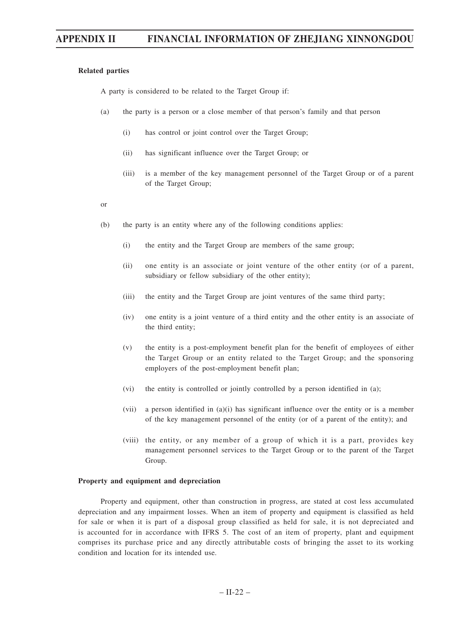#### **Related parties**

A party is considered to be related to the Target Group if:

- (a) the party is a person or a close member of that person's family and that person
	- (i) has control or joint control over the Target Group;
	- (ii) has significant influence over the Target Group; or
	- (iii) is a member of the key management personnel of the Target Group or of a parent of the Target Group;
- or
- (b) the party is an entity where any of the following conditions applies:
	- (i) the entity and the Target Group are members of the same group;
	- (ii) one entity is an associate or joint venture of the other entity (or of a parent, subsidiary or fellow subsidiary of the other entity);
	- (iii) the entity and the Target Group are joint ventures of the same third party;
	- (iv) one entity is a joint venture of a third entity and the other entity is an associate of the third entity;
	- (v) the entity is a post-employment benefit plan for the benefit of employees of either the Target Group or an entity related to the Target Group; and the sponsoring employers of the post-employment benefit plan;
	- (vi) the entity is controlled or jointly controlled by a person identified in (a);
	- (vii) a person identified in  $(a)(i)$  has significant influence over the entity or is a member of the key management personnel of the entity (or of a parent of the entity); and
	- (viii) the entity, or any member of a group of which it is a part, provides key management personnel services to the Target Group or to the parent of the Target Group.

## **Property and equipment and depreciation**

Property and equipment, other than construction in progress, are stated at cost less accumulated depreciation and any impairment losses. When an item of property and equipment is classified as held for sale or when it is part of a disposal group classified as held for sale, it is not depreciated and is accounted for in accordance with IFRS 5. The cost of an item of property, plant and equipment comprises its purchase price and any directly attributable costs of bringing the asset to its working condition and location for its intended use.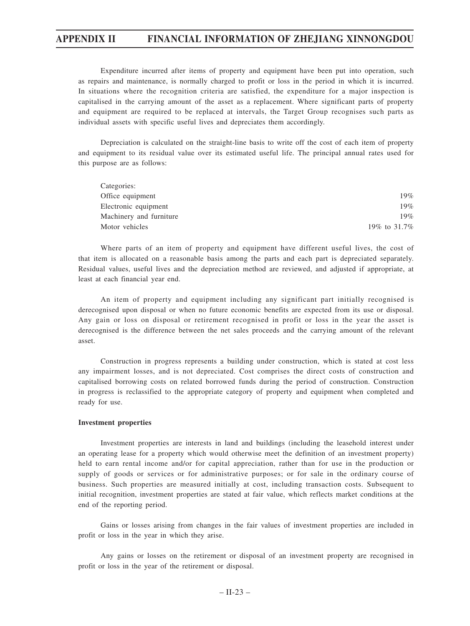Expenditure incurred after items of property and equipment have been put into operation, such as repairs and maintenance, is normally charged to profit or loss in the period in which it is incurred. In situations where the recognition criteria are satisfied, the expenditure for a major inspection is capitalised in the carrying amount of the asset as a replacement. Where significant parts of property and equipment are required to be replaced at intervals, the Target Group recognises such parts as individual assets with specific useful lives and depreciates them accordingly.

Depreciation is calculated on the straight-line basis to write off the cost of each item of property and equipment to its residual value over its estimated useful life. The principal annual rates used for this purpose are as follows:

| Categories:             |              |
|-------------------------|--------------|
| Office equipment        | 19%          |
| Electronic equipment    | 19%          |
| Machinery and furniture | 19%          |
| Motor vehicles          | 19% to 31.7% |

Where parts of an item of property and equipment have different useful lives, the cost of that item is allocated on a reasonable basis among the parts and each part is depreciated separately. Residual values, useful lives and the depreciation method are reviewed, and adjusted if appropriate, at least at each financial year end.

An item of property and equipment including any significant part initially recognised is derecognised upon disposal or when no future economic benefits are expected from its use or disposal. Any gain or loss on disposal or retirement recognised in profit or loss in the year the asset is derecognised is the difference between the net sales proceeds and the carrying amount of the relevant asset.

Construction in progress represents a building under construction, which is stated at cost less any impairment losses, and is not depreciated. Cost comprises the direct costs of construction and capitalised borrowing costs on related borrowed funds during the period of construction. Construction in progress is reclassified to the appropriate category of property and equipment when completed and ready for use.

## **Investment properties**

Investment properties are interests in land and buildings (including the leasehold interest under an operating lease for a property which would otherwise meet the definition of an investment property) held to earn rental income and/or for capital appreciation, rather than for use in the production or supply of goods or services or for administrative purposes; or for sale in the ordinary course of business. Such properties are measured initially at cost, including transaction costs. Subsequent to initial recognition, investment properties are stated at fair value, which reflects market conditions at the end of the reporting period.

Gains or losses arising from changes in the fair values of investment properties are included in profit or loss in the year in which they arise.

Any gains or losses on the retirement or disposal of an investment property are recognised in profit or loss in the year of the retirement or disposal.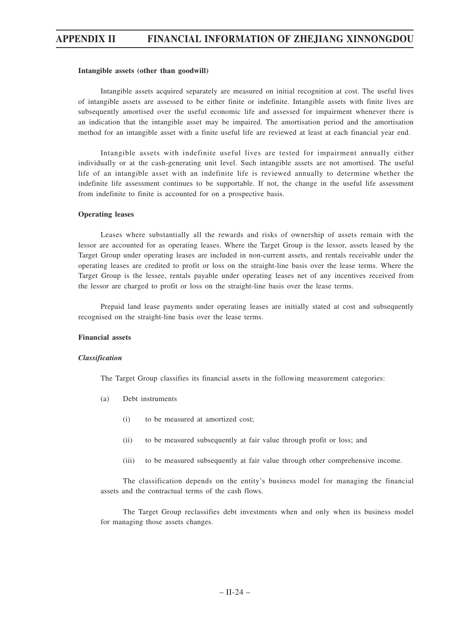#### **Intangible assets (other than goodwill)**

Intangible assets acquired separately are measured on initial recognition at cost. The useful lives of intangible assets are assessed to be either finite or indefinite. Intangible assets with finite lives are subsequently amortised over the useful economic life and assessed for impairment whenever there is an indication that the intangible asset may be impaired. The amortisation period and the amortisation method for an intangible asset with a finite useful life are reviewed at least at each financial year end.

Intangible assets with indefinite useful lives are tested for impairment annually either individually or at the cash-generating unit level. Such intangible assets are not amortised. The useful life of an intangible asset with an indefinite life is reviewed annually to determine whether the indefinite life assessment continues to be supportable. If not, the change in the useful life assessment from indefinite to finite is accounted for on a prospective basis.

#### **Operating leases**

Leases where substantially all the rewards and risks of ownership of assets remain with the lessor are accounted for as operating leases. Where the Target Group is the lessor, assets leased by the Target Group under operating leases are included in non-current assets, and rentals receivable under the operating leases are credited to profit or loss on the straight-line basis over the lease terms. Where the Target Group is the lessee, rentals payable under operating leases net of any incentives received from the lessor are charged to profit or loss on the straight-line basis over the lease terms.

Prepaid land lease payments under operating leases are initially stated at cost and subsequently recognised on the straight-line basis over the lease terms.

## **Financial assets**

#### *Classification*

The Target Group classifies its financial assets in the following measurement categories:

- (a) Debt instruments
	- (i) to be measured at amortized cost;
	- (ii) to be measured subsequently at fair value through profit or loss; and
	- (iii) to be measured subsequently at fair value through other comprehensive income.

The classification depends on the entity's business model for managing the financial assets and the contractual terms of the cash flows.

The Target Group reclassifies debt investments when and only when its business model for managing those assets changes.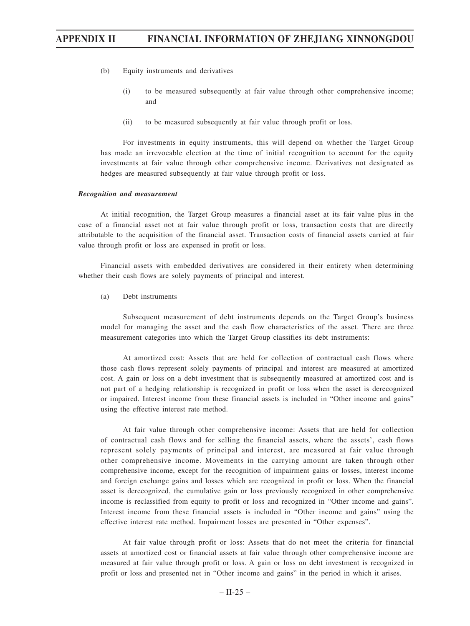- (b) Equity instruments and derivatives
	- (i) to be measured subsequently at fair value through other comprehensive income; and
	- (ii) to be measured subsequently at fair value through profit or loss.

For investments in equity instruments, this will depend on whether the Target Group has made an irrevocable election at the time of initial recognition to account for the equity investments at fair value through other comprehensive income. Derivatives not designated as hedges are measured subsequently at fair value through profit or loss.

#### *Recognition and measurement*

At initial recognition, the Target Group measures a financial asset at its fair value plus in the case of a financial asset not at fair value through profit or loss, transaction costs that are directly attributable to the acquisition of the financial asset. Transaction costs of financial assets carried at fair value through profit or loss are expensed in profit or loss.

Financial assets with embedded derivatives are considered in their entirety when determining whether their cash flows are solely payments of principal and interest.

(a) Debt instruments

Subsequent measurement of debt instruments depends on the Target Group's business model for managing the asset and the cash flow characteristics of the asset. There are three measurement categories into which the Target Group classifies its debt instruments:

At amortized cost: Assets that are held for collection of contractual cash flows where those cash flows represent solely payments of principal and interest are measured at amortized cost. A gain or loss on a debt investment that is subsequently measured at amortized cost and is not part of a hedging relationship is recognized in profit or loss when the asset is derecognized or impaired. Interest income from these financial assets is included in "Other income and gains" using the effective interest rate method.

At fair value through other comprehensive income: Assets that are held for collection of contractual cash flows and for selling the financial assets, where the assets', cash flows represent solely payments of principal and interest, are measured at fair value through other comprehensive income. Movements in the carrying amount are taken through other comprehensive income, except for the recognition of impairment gains or losses, interest income and foreign exchange gains and losses which are recognized in profit or loss. When the financial asset is derecognized, the cumulative gain or loss previously recognized in other comprehensive income is reclassified from equity to profit or loss and recognized in "Other income and gains". Interest income from these financial assets is included in "Other income and gains" using the effective interest rate method. Impairment losses are presented in "Other expenses".

At fair value through profit or loss: Assets that do not meet the criteria for financial assets at amortized cost or financial assets at fair value through other comprehensive income are measured at fair value through profit or loss. A gain or loss on debt investment is recognized in profit or loss and presented net in "Other income and gains" in the period in which it arises.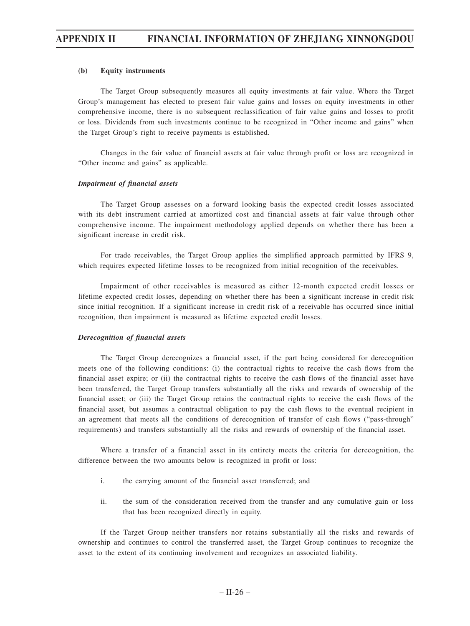### **(b) Equity instruments**

The Target Group subsequently measures all equity investments at fair value. Where the Target Group's management has elected to present fair value gains and losses on equity investments in other comprehensive income, there is no subsequent reclassification of fair value gains and losses to profit or loss. Dividends from such investments continue to be recognized in "Other income and gains" when the Target Group's right to receive payments is established.

Changes in the fair value of financial assets at fair value through profit or loss are recognized in "Other income and gains" as applicable.

#### *Impairment of financial assets*

The Target Group assesses on a forward looking basis the expected credit losses associated with its debt instrument carried at amortized cost and financial assets at fair value through other comprehensive income. The impairment methodology applied depends on whether there has been a significant increase in credit risk.

For trade receivables, the Target Group applies the simplified approach permitted by IFRS 9, which requires expected lifetime losses to be recognized from initial recognition of the receivables.

Impairment of other receivables is measured as either 12-month expected credit losses or lifetime expected credit losses, depending on whether there has been a significant increase in credit risk since initial recognition. If a significant increase in credit risk of a receivable has occurred since initial recognition, then impairment is measured as lifetime expected credit losses.

#### *Derecognition of financial assets*

The Target Group derecognizes a financial asset, if the part being considered for derecognition meets one of the following conditions: (i) the contractual rights to receive the cash flows from the financial asset expire; or (ii) the contractual rights to receive the cash flows of the financial asset have been transferred, the Target Group transfers substantially all the risks and rewards of ownership of the financial asset; or (iii) the Target Group retains the contractual rights to receive the cash flows of the financial asset, but assumes a contractual obligation to pay the cash flows to the eventual recipient in an agreement that meets all the conditions of derecognition of transfer of cash flows ("pass-through" requirements) and transfers substantially all the risks and rewards of ownership of the financial asset.

Where a transfer of a financial asset in its entirety meets the criteria for derecognition, the difference between the two amounts below is recognized in profit or loss:

- i. the carrying amount of the financial asset transferred; and
- ii. the sum of the consideration received from the transfer and any cumulative gain or loss that has been recognized directly in equity.

If the Target Group neither transfers nor retains substantially all the risks and rewards of ownership and continues to control the transferred asset, the Target Group continues to recognize the asset to the extent of its continuing involvement and recognizes an associated liability.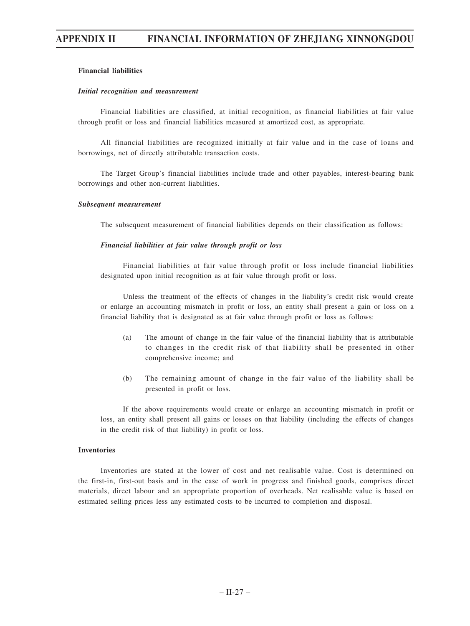## **Financial liabilities**

#### *Initial recognition and measurement*

Financial liabilities are classified, at initial recognition, as financial liabilities at fair value through profit or loss and financial liabilities measured at amortized cost, as appropriate.

All financial liabilities are recognized initially at fair value and in the case of loans and borrowings, net of directly attributable transaction costs.

The Target Group's financial liabilities include trade and other payables, interest-bearing bank borrowings and other non-current liabilities.

#### *Subsequent measurement*

The subsequent measurement of financial liabilities depends on their classification as follows:

## *Financial liabilities at fair value through profit or loss*

Financial liabilities at fair value through profit or loss include financial liabilities designated upon initial recognition as at fair value through profit or loss.

Unless the treatment of the effects of changes in the liability's credit risk would create or enlarge an accounting mismatch in profit or loss, an entity shall present a gain or loss on a financial liability that is designated as at fair value through profit or loss as follows:

- (a) The amount of change in the fair value of the financial liability that is attributable to changes in the credit risk of that liability shall be presented in other comprehensive income; and
- (b) The remaining amount of change in the fair value of the liability shall be presented in profit or loss.

If the above requirements would create or enlarge an accounting mismatch in profit or loss, an entity shall present all gains or losses on that liability (including the effects of changes in the credit risk of that liability) in profit or loss.

#### **Inventories**

Inventories are stated at the lower of cost and net realisable value. Cost is determined on the first-in, first-out basis and in the case of work in progress and finished goods, comprises direct materials, direct labour and an appropriate proportion of overheads. Net realisable value is based on estimated selling prices less any estimated costs to be incurred to completion and disposal.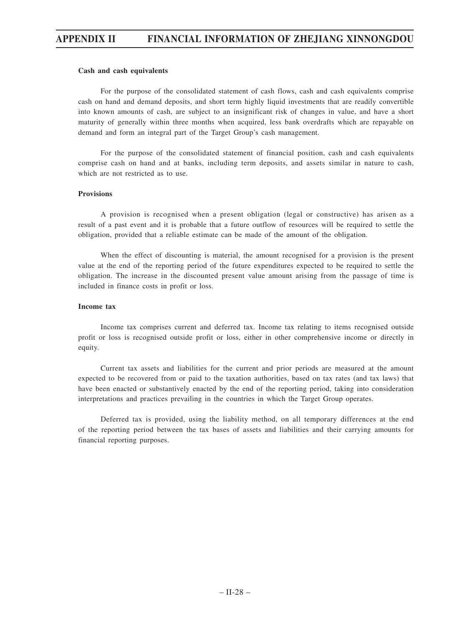### **Cash and cash equivalents**

For the purpose of the consolidated statement of cash flows, cash and cash equivalents comprise cash on hand and demand deposits, and short term highly liquid investments that are readily convertible into known amounts of cash, are subject to an insignificant risk of changes in value, and have a short maturity of generally within three months when acquired, less bank overdrafts which are repayable on demand and form an integral part of the Target Group's cash management.

For the purpose of the consolidated statement of financial position, cash and cash equivalents comprise cash on hand and at banks, including term deposits, and assets similar in nature to cash, which are not restricted as to use.

### **Provisions**

A provision is recognised when a present obligation (legal or constructive) has arisen as a result of a past event and it is probable that a future outflow of resources will be required to settle the obligation, provided that a reliable estimate can be made of the amount of the obligation.

When the effect of discounting is material, the amount recognised for a provision is the present value at the end of the reporting period of the future expenditures expected to be required to settle the obligation. The increase in the discounted present value amount arising from the passage of time is included in finance costs in profit or loss.

## **Income tax**

Income tax comprises current and deferred tax. Income tax relating to items recognised outside profit or loss is recognised outside profit or loss, either in other comprehensive income or directly in equity.

Current tax assets and liabilities for the current and prior periods are measured at the amount expected to be recovered from or paid to the taxation authorities, based on tax rates (and tax laws) that have been enacted or substantively enacted by the end of the reporting period, taking into consideration interpretations and practices prevailing in the countries in which the Target Group operates.

Deferred tax is provided, using the liability method, on all temporary differences at the end of the reporting period between the tax bases of assets and liabilities and their carrying amounts for financial reporting purposes.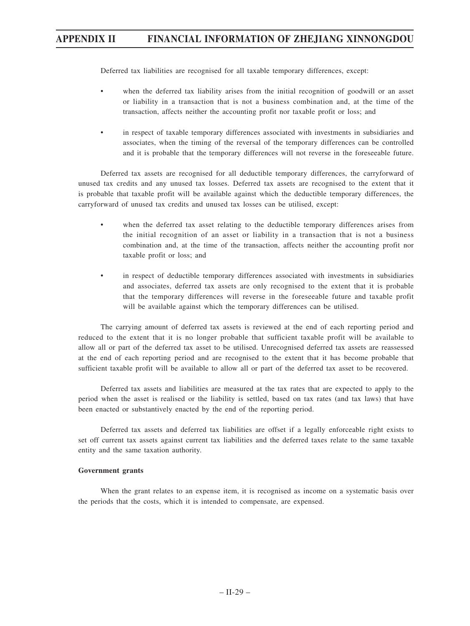Deferred tax liabilities are recognised for all taxable temporary differences, except:

- when the deferred tax liability arises from the initial recognition of goodwill or an asset or liability in a transaction that is not a business combination and, at the time of the transaction, affects neither the accounting profit nor taxable profit or loss; and
- in respect of taxable temporary differences associated with investments in subsidiaries and associates, when the timing of the reversal of the temporary differences can be controlled and it is probable that the temporary differences will not reverse in the foreseeable future.

Deferred tax assets are recognised for all deductible temporary differences, the carryforward of unused tax credits and any unused tax losses. Deferred tax assets are recognised to the extent that it is probable that taxable profit will be available against which the deductible temporary differences, the carryforward of unused tax credits and unused tax losses can be utilised, except:

- when the deferred tax asset relating to the deductible temporary differences arises from the initial recognition of an asset or liability in a transaction that is not a business combination and, at the time of the transaction, affects neither the accounting profit nor taxable profit or loss; and
- in respect of deductible temporary differences associated with investments in subsidiaries and associates, deferred tax assets are only recognised to the extent that it is probable that the temporary differences will reverse in the foreseeable future and taxable profit will be available against which the temporary differences can be utilised.

The carrying amount of deferred tax assets is reviewed at the end of each reporting period and reduced to the extent that it is no longer probable that sufficient taxable profit will be available to allow all or part of the deferred tax asset to be utilised. Unrecognised deferred tax assets are reassessed at the end of each reporting period and are recognised to the extent that it has become probable that sufficient taxable profit will be available to allow all or part of the deferred tax asset to be recovered.

Deferred tax assets and liabilities are measured at the tax rates that are expected to apply to the period when the asset is realised or the liability is settled, based on tax rates (and tax laws) that have been enacted or substantively enacted by the end of the reporting period.

Deferred tax assets and deferred tax liabilities are offset if a legally enforceable right exists to set off current tax assets against current tax liabilities and the deferred taxes relate to the same taxable entity and the same taxation authority.

### **Government grants**

When the grant relates to an expense item, it is recognised as income on a systematic basis over the periods that the costs, which it is intended to compensate, are expensed.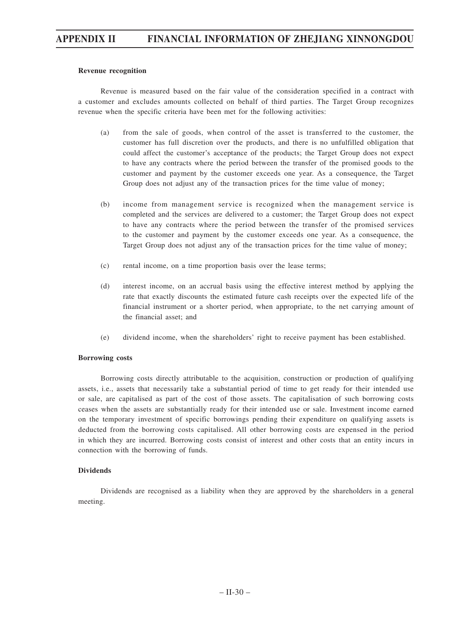### **Revenue recognition**

Revenue is measured based on the fair value of the consideration specified in a contract with a customer and excludes amounts collected on behalf of third parties. The Target Group recognizes revenue when the specific criteria have been met for the following activities:

- (a) from the sale of goods, when control of the asset is transferred to the customer, the customer has full discretion over the products, and there is no unfulfilled obligation that could affect the customer's acceptance of the products; the Target Group does not expect to have any contracts where the period between the transfer of the promised goods to the customer and payment by the customer exceeds one year. As a consequence, the Target Group does not adjust any of the transaction prices for the time value of money;
- (b) income from management service is recognized when the management service is completed and the services are delivered to a customer; the Target Group does not expect to have any contracts where the period between the transfer of the promised services to the customer and payment by the customer exceeds one year. As a consequence, the Target Group does not adjust any of the transaction prices for the time value of money;
- (c) rental income, on a time proportion basis over the lease terms;
- (d) interest income, on an accrual basis using the effective interest method by applying the rate that exactly discounts the estimated future cash receipts over the expected life of the financial instrument or a shorter period, when appropriate, to the net carrying amount of the financial asset; and
- (e) dividend income, when the shareholders' right to receive payment has been established.

#### **Borrowing costs**

Borrowing costs directly attributable to the acquisition, construction or production of qualifying assets, i.e., assets that necessarily take a substantial period of time to get ready for their intended use or sale, are capitalised as part of the cost of those assets. The capitalisation of such borrowing costs ceases when the assets are substantially ready for their intended use or sale. Investment income earned on the temporary investment of specific borrowings pending their expenditure on qualifying assets is deducted from the borrowing costs capitalised. All other borrowing costs are expensed in the period in which they are incurred. Borrowing costs consist of interest and other costs that an entity incurs in connection with the borrowing of funds.

## **Dividends**

Dividends are recognised as a liability when they are approved by the shareholders in a general meeting.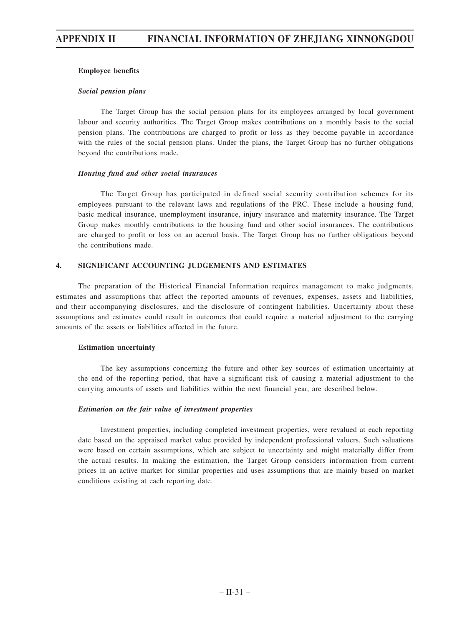## **Employee benefits**

#### *Social pension plans*

The Target Group has the social pension plans for its employees arranged by local government labour and security authorities. The Target Group makes contributions on a monthly basis to the social pension plans. The contributions are charged to profit or loss as they become payable in accordance with the rules of the social pension plans. Under the plans, the Target Group has no further obligations beyond the contributions made.

### *Housing fund and other social insurances*

The Target Group has participated in defined social security contribution schemes for its employees pursuant to the relevant laws and regulations of the PRC. These include a housing fund, basic medical insurance, unemployment insurance, injury insurance and maternity insurance. The Target Group makes monthly contributions to the housing fund and other social insurances. The contributions are charged to profit or loss on an accrual basis. The Target Group has no further obligations beyond the contributions made.

## **4. SIGNIFICANT ACCOUNTING JUDGEMENTS AND ESTIMATES**

The preparation of the Historical Financial Information requires management to make judgments, estimates and assumptions that affect the reported amounts of revenues, expenses, assets and liabilities, and their accompanying disclosures, and the disclosure of contingent liabilities. Uncertainty about these assumptions and estimates could result in outcomes that could require a material adjustment to the carrying amounts of the assets or liabilities affected in the future.

#### **Estimation uncertainty**

The key assumptions concerning the future and other key sources of estimation uncertainty at the end of the reporting period, that have a significant risk of causing a material adjustment to the carrying amounts of assets and liabilities within the next financial year, are described below.

## *Estimation on the fair value of investment properties*

Investment properties, including completed investment properties, were revalued at each reporting date based on the appraised market value provided by independent professional valuers. Such valuations were based on certain assumptions, which are subject to uncertainty and might materially differ from the actual results. In making the estimation, the Target Group considers information from current prices in an active market for similar properties and uses assumptions that are mainly based on market conditions existing at each reporting date.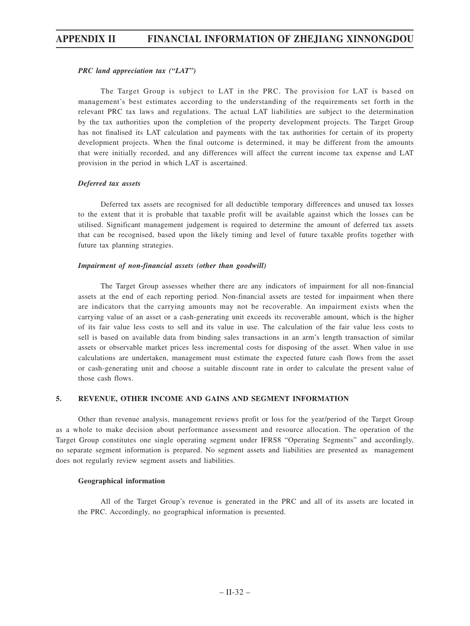## *PRC land appreciation tax ("LAT")*

The Target Group is subject to LAT in the PRC. The provision for LAT is based on management's best estimates according to the understanding of the requirements set forth in the relevant PRC tax laws and regulations. The actual LAT liabilities are subject to the determination by the tax authorities upon the completion of the property development projects. The Target Group has not finalised its LAT calculation and payments with the tax authorities for certain of its property development projects. When the final outcome is determined, it may be different from the amounts that were initially recorded, and any differences will affect the current income tax expense and LAT provision in the period in which LAT is ascertained.

## *Deferred tax assets*

Deferred tax assets are recognised for all deductible temporary differences and unused tax losses to the extent that it is probable that taxable profit will be available against which the losses can be utilised. Significant management judgement is required to determine the amount of deferred tax assets that can be recognised, based upon the likely timing and level of future taxable profits together with future tax planning strategies.

## *Impairment of non-financial assets (other than goodwill)*

The Target Group assesses whether there are any indicators of impairment for all non-financial assets at the end of each reporting period. Non-financial assets are tested for impairment when there are indicators that the carrying amounts may not be recoverable. An impairment exists when the carrying value of an asset or a cash-generating unit exceeds its recoverable amount, which is the higher of its fair value less costs to sell and its value in use. The calculation of the fair value less costs to sell is based on available data from binding sales transactions in an arm's length transaction of similar assets or observable market prices less incremental costs for disposing of the asset. When value in use calculations are undertaken, management must estimate the expected future cash flows from the asset or cash-generating unit and choose a suitable discount rate in order to calculate the present value of those cash flows.

## **5. REVENUE, OTHER INCOME AND GAINS AND SEGMENT INFORMATION**

Other than revenue analysis, management reviews profit or loss for the year/period of the Target Group as a whole to make decision about performance assessment and resource allocation. The operation of the Target Group constitutes one single operating segment under IFRS8 "Operating Segments" and accordingly, no separate segment information is prepared. No segment assets and liabilities are presented as management does not regularly review segment assets and liabilities.

#### **Geographical information**

All of the Target Group's revenue is generated in the PRC and all of its assets are located in the PRC. Accordingly, no geographical information is presented.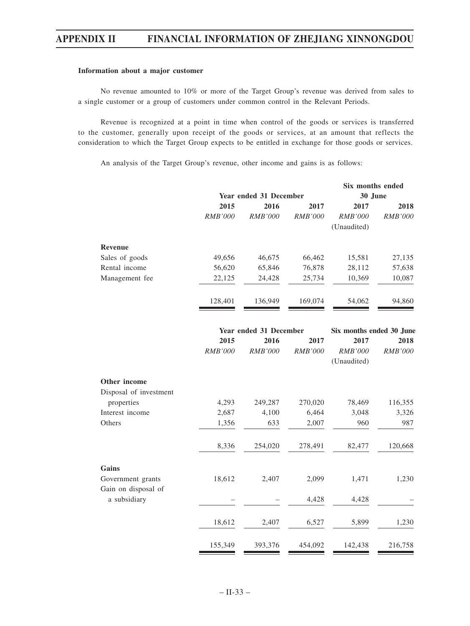## **Information about a major customer**

No revenue amounted to 10% or more of the Target Group's revenue was derived from sales to a single customer or a group of customers under common control in the Relevant Periods.

Revenue is recognized at a point in time when control of the goods or services is transferred to the customer, generally upon receipt of the goods or services, at an amount that reflects the consideration to which the Target Group expects to be entitled in exchange for those goods or services.

An analysis of the Target Group's revenue, other income and gains is as follows:

|                        |                |                        |                | Six months ended         |                |  |
|------------------------|----------------|------------------------|----------------|--------------------------|----------------|--|
|                        |                | Year ended 31 December |                | 30 June                  |                |  |
|                        | 2015           | 2016                   | 2017           | 2017                     | 2018           |  |
|                        | <b>RMB'000</b> | <b>RMB'000</b>         | <b>RMB'000</b> | <b>RMB'000</b>           | <b>RMB'000</b> |  |
|                        |                |                        |                | (Unaudited)              |                |  |
| <b>Revenue</b>         |                |                        |                |                          |                |  |
| Sales of goods         | 49,656         | 46,675                 | 66,462         | 15,581                   | 27,135         |  |
| Rental income          | 56,620         | 65,846                 | 76,878         | 28,112                   | 57,638         |  |
| Management fee         | 22,125         | 24,428                 | 25,734         | 10,369                   | 10,087         |  |
|                        | 128,401        | 136,949                | 169,074        | 54,062                   | 94,860         |  |
|                        |                | Year ended 31 December |                | Six months ended 30 June |                |  |
|                        | 2015           | 2016                   | 2017           | 2017                     | 2018           |  |
|                        | RMB'000        | RMB'000                | <b>RMB'000</b> | <b>RMB'000</b>           | RMB'000        |  |
|                        |                |                        |                | (Unaudited)              |                |  |
| Other income           |                |                        |                |                          |                |  |
| Disposal of investment |                |                        |                |                          |                |  |
| properties             | 4,293          | 249,287                | 270,020        | 78,469                   | 116,355        |  |
| Interest income        | 2,687          | 4,100                  | 6,464          | 3,048                    | 3,326          |  |
| Others                 | 1,356          | 633                    | 2,007          | 960                      | 987            |  |
|                        | 8,336          | 254,020                | 278,491        | 82,477                   | 120,668        |  |
| Gains                  |                |                        |                |                          |                |  |
| Government grants      | 18,612         | 2,407                  | 2,099          | 1,471                    | 1,230          |  |
| Gain on disposal of    |                |                        |                |                          |                |  |
| a subsidiary           |                |                        | 4,428          | 4,428                    |                |  |
|                        | 18,612         | 2,407                  | 6,527          | 5,899                    | 1,230          |  |
|                        |                |                        |                |                          |                |  |
|                        | 155,349        | 393,376                | 454,092        | 142,438                  | 216,758        |  |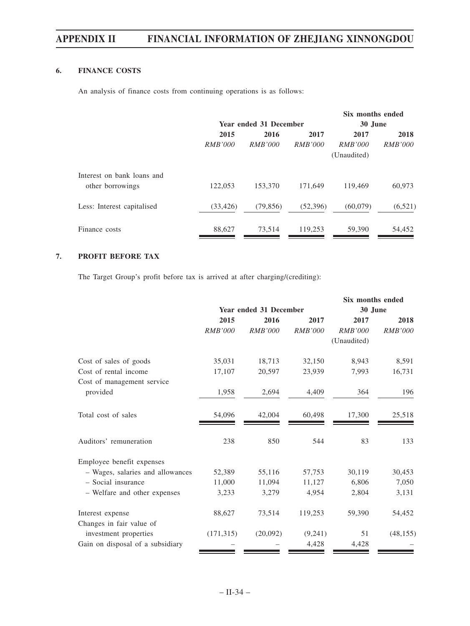# **6. FINANCE COSTS**

An analysis of finance costs from continuing operations is as follows:

|                            |                |                               |                | Six months ended |                |  |
|----------------------------|----------------|-------------------------------|----------------|------------------|----------------|--|
|                            |                | <b>Year ended 31 December</b> |                |                  | 30 June        |  |
|                            | 2015           | 2016                          | 2017           | 2017             | 2018           |  |
|                            | <i>RMB'000</i> | <i>RMB'000</i>                | <i>RMB'000</i> | <i>RMB'000</i>   | <i>RMB'000</i> |  |
|                            |                |                               |                | (Unaudited)      |                |  |
| Interest on bank loans and |                |                               |                |                  |                |  |
| other borrowings           | 122,053        | 153,370                       | 171,649        | 119,469          | 60,973         |  |
| Less: Interest capitalised | (33, 426)      | (79, 856)                     | (52, 396)      | (60,079)         | (6,521)        |  |
| Finance costs              | 88,627         | 73,514                        | 119,253        | 59,390           | 54,452         |  |

# **7. PROFIT BEFORE TAX**

The Target Group's profit before tax is arrived at after charging/(crediting):

|                                  |                |                               |                | Six months ended |                |
|----------------------------------|----------------|-------------------------------|----------------|------------------|----------------|
|                                  |                | <b>Year ended 31 December</b> |                | 30 June          |                |
|                                  | 2015           | 2016                          | 2017           | 2017             | 2018           |
|                                  | <b>RMB'000</b> | <i>RMB'000</i>                | <b>RMB'000</b> | <b>RMB'000</b>   | <i>RMB'000</i> |
|                                  |                |                               |                | (Unaudited)      |                |
| Cost of sales of goods           | 35,031         | 18,713                        | 32,150         | 8,943            | 8,591          |
| Cost of rental income            | 17,107         | 20,597                        | 23,939         | 7,993            | 16,731         |
| Cost of management service       |                |                               |                |                  |                |
| provided                         | 1,958          | 2,694                         | 4,409          | 364              | 196            |
|                                  |                |                               |                |                  |                |
| Total cost of sales              | 54,096         | 42,004                        | 60,498         | 17,300           | 25,518         |
|                                  |                |                               |                |                  |                |
| Auditors' remuneration           | 238            | 850                           | 544            | 83               | 133            |
| Employee benefit expenses        |                |                               |                |                  |                |
| - Wages, salaries and allowances | 52,389         | 55,116                        | 57,753         | 30,119           | 30,453         |
| - Social insurance               | 11,000         | 11,094                        | 11,127         | 6,806            | 7,050          |
| - Welfare and other expenses     | 3,233          | 3,279                         | 4,954          | 2,804            | 3,131          |
|                                  |                |                               |                |                  |                |
| Interest expense                 | 88,627         | 73,514                        | 119,253        | 59,390           | 54,452         |
| Changes in fair value of         |                |                               |                |                  |                |
| investment properties            | (171, 315)     | (20,092)                      | (9,241)        | 51               | (48, 155)      |
| Gain on disposal of a subsidiary |                |                               | 4,428          | 4,428            |                |
|                                  |                |                               |                |                  |                |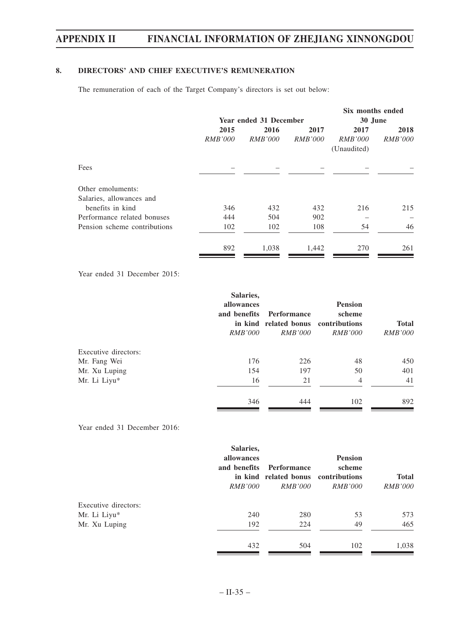# **8. DIRECTORS' AND CHIEF EXECUTIVE'S REMUNERATION**

The remuneration of each of the Target Company's directors is set out below:

|                |                |                | Six months ended       |                |  |
|----------------|----------------|----------------|------------------------|----------------|--|
|                |                |                |                        | 30 June        |  |
| 2015           | 2016           | 2017           | 2017                   | 2018           |  |
| <i>RMB'000</i> | <i>RMB'000</i> | <i>RMB'000</i> | <i>RMB'000</i>         | <i>RMB'000</i> |  |
|                |                |                | (Unaudited)            |                |  |
|                |                |                |                        |                |  |
|                |                |                |                        |                |  |
|                |                |                |                        |                |  |
| 346            | 432            | 432            | 216                    | 215            |  |
| 444            | 504            | 902            |                        |                |  |
| 102            | 102            | 108            | 54                     | 46             |  |
| 892            | 1,038          | 1,442          | 270                    | 261            |  |
|                |                |                | Year ended 31 December |                |  |

Year ended 31 December 2015:

|                      | Salaries,<br>allowances<br>and benefits<br><i>RMB'000</i> | Performance<br>in kind related bonus contributions<br><i>RMB'000</i> | <b>Pension</b><br>scheme<br><i>RMB'000</i> | <b>Total</b><br><i>RMB'000</i> |
|----------------------|-----------------------------------------------------------|----------------------------------------------------------------------|--------------------------------------------|--------------------------------|
| Executive directors: |                                                           |                                                                      |                                            |                                |
| Mr. Fang Wei         | 176                                                       | 226                                                                  | 48                                         | 450                            |
| Mr. Xu Luping        | 154                                                       | 197                                                                  | 50                                         | 401                            |
| Mr. Li Liyu*         | 16                                                        | 21                                                                   | $\overline{4}$                             | 41                             |
|                      | 346                                                       | 444                                                                  | 102                                        | 892                            |

Year ended 31 December 2016:

|                      | Salaries,<br>allowances<br>and benefits<br><i>RMB'000</i> | Performance<br>in kind related bonus contributions<br><i>RMB'000</i> | <b>Pension</b><br>scheme<br><i>RMB'000</i> | <b>Total</b><br><i>RMB'000</i> |
|----------------------|-----------------------------------------------------------|----------------------------------------------------------------------|--------------------------------------------|--------------------------------|
| Executive directors: |                                                           |                                                                      |                                            |                                |
| Mr. Li Liyu*         | 240                                                       | 280                                                                  | 53                                         | 573                            |
| Mr. Xu Luping        | 192                                                       | 224                                                                  | 49                                         | 465                            |
|                      | 432                                                       | 504                                                                  | 102                                        | 1,038                          |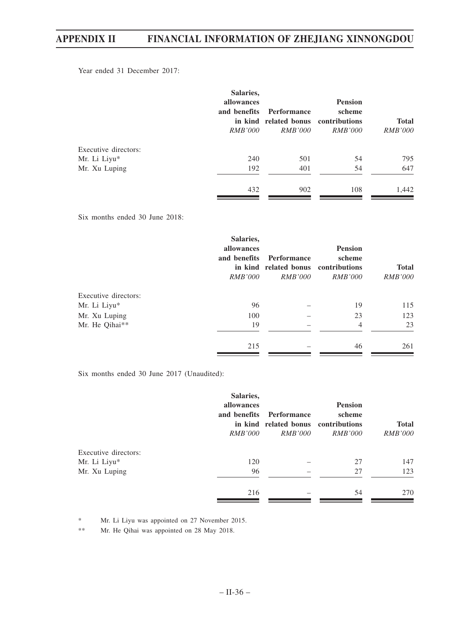Year ended 31 December 2017:

|                      | Salaries,<br>allowances<br>and benefits<br><i>RMB'000</i> | Performance<br>in kind related bonus contributions<br><i>RMB'000</i> | <b>Pension</b><br>scheme<br><i>RMB'000</i> | <b>Total</b><br><i>RMB'000</i> |
|----------------------|-----------------------------------------------------------|----------------------------------------------------------------------|--------------------------------------------|--------------------------------|
| Executive directors: |                                                           |                                                                      |                                            |                                |
| Mr. Li Liyu*         | 240                                                       | 501                                                                  | 54                                         | 795                            |
| Mr. Xu Luping        | 192                                                       | 401                                                                  | 54                                         | 647                            |
|                      | 432                                                       | 902                                                                  | 108                                        | 1,442                          |

Six months ended 30 June 2018:

|                      | Salaries,<br>allowances<br>and benefits<br><i>RMB'000</i> | Performance<br>in kind related bonus contributions<br><i>RMB'000</i> | <b>Pension</b><br>scheme<br><i>RMB'000</i> | <b>Total</b><br><i>RMB'000</i> |
|----------------------|-----------------------------------------------------------|----------------------------------------------------------------------|--------------------------------------------|--------------------------------|
| Executive directors: |                                                           |                                                                      |                                            |                                |
| Mr. Li Liyu*         | 96                                                        |                                                                      | 19                                         | 115                            |
| Mr. Xu Luping        | 100                                                       |                                                                      | 23                                         | 123                            |
| Mr. He Qihai**       | 19                                                        |                                                                      | 4                                          | 23                             |
|                      | 215                                                       |                                                                      | 46                                         | 261                            |

Six months ended 30 June 2017 (Unaudited):

|                      | Salaries,<br>allowances<br>and benefits<br><i>RMB'000</i> | Performance<br>in kind related bonus contributions<br><i>RMB'000</i> | <b>Pension</b><br>scheme<br><i>RMB'000</i> | <b>Total</b><br><i>RMB'000</i> |
|----------------------|-----------------------------------------------------------|----------------------------------------------------------------------|--------------------------------------------|--------------------------------|
| Executive directors: |                                                           |                                                                      |                                            |                                |
| Mr. Li Liyu*         | 120                                                       |                                                                      | 27                                         | 147                            |
| Mr. Xu Luping        | 96                                                        |                                                                      | 27                                         | 123                            |
|                      | 216                                                       |                                                                      | 54                                         | 270                            |

\* Mr. Li Liyu was appointed on 27 November 2015.

\*\* Mr. He Qihai was appointed on 28 May 2018.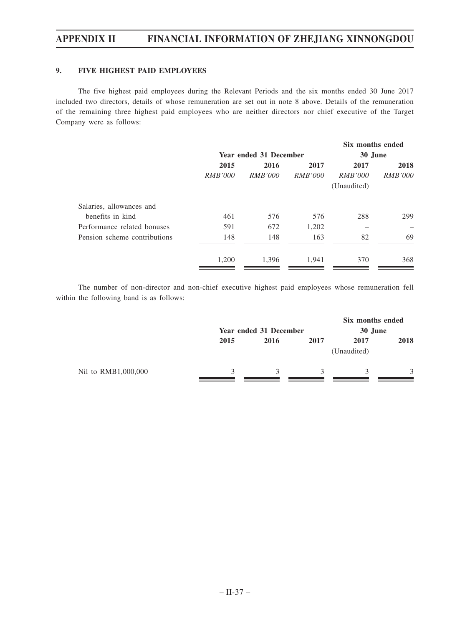# **9. FIVE HIGHEST PAID EMPLOYEES**

The five highest paid employees during the Relevant Periods and the six months ended 30 June 2017 included two directors, details of whose remuneration are set out in note 8 above. Details of the remuneration of the remaining three highest paid employees who are neither directors nor chief executive of the Target Company were as follows:

|                              |                |                        |                | Six months ended |                |
|------------------------------|----------------|------------------------|----------------|------------------|----------------|
|                              |                | Year ended 31 December |                | 30 June          |                |
|                              | 2015           | 2016                   | 2017           | 2017             | 2018           |
|                              | <i>RMB'000</i> | <i>RMB'000</i>         | <i>RMB'000</i> | <i>RMB'000</i>   | <i>RMB'000</i> |
|                              |                |                        |                | (Unaudited)      |                |
| Salaries, allowances and     |                |                        |                |                  |                |
| benefits in kind             | 461            | 576                    | 576            | 288              | 299            |
| Performance related bonuses  | 591            | 672                    | 1,202          |                  |                |
| Pension scheme contributions | 148            | 148                    | 163            | 82               | 69             |
|                              | 1,200          | 1.396                  | 1.941          | 370              | 368            |
|                              |                |                        |                |                  |                |

The number of non-director and non-chief executive highest paid employees whose remuneration fell within the following band is as follows:

|                     |              | Year ended 31 December |      |                     | Six months ended<br>30 June |  |
|---------------------|--------------|------------------------|------|---------------------|-----------------------------|--|
|                     | 2015         | 2016                   | 2017 | 2017<br>(Unaudited) | 2018                        |  |
| Nil to RMB1,000,000 | $\mathbf{z}$ | 3                      | 3    |                     | 3                           |  |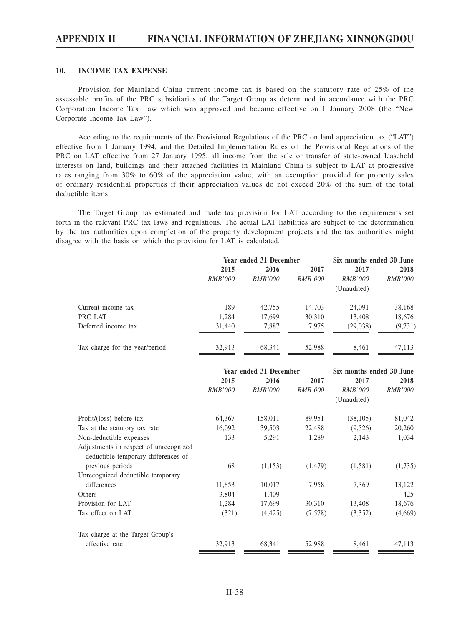## **10. INCOME TAX EXPENSE**

Provision for Mainland China current income tax is based on the statutory rate of 25% of the assessable profits of the PRC subsidiaries of the Target Group as determined in accordance with the PRC Corporation Income Tax Law which was approved and became effective on 1 January 2008 (the "New Corporate Income Tax Law").

According to the requirements of the Provisional Regulations of the PRC on land appreciation tax ("LAT") effective from 1 January 1994, and the Detailed Implementation Rules on the Provisional Regulations of the PRC on LAT effective from 27 January 1995, all income from the sale or transfer of state-owned leasehold interests on land, buildings and their attached facilities in Mainland China is subject to LAT at progressive rates ranging from 30% to 60% of the appreciation value, with an exemption provided for property sales of ordinary residential properties if their appreciation values do not exceed 20% of the sum of the total deductible items.

The Target Group has estimated and made tax provision for LAT according to the requirements set forth in the relevant PRC tax laws and regulations. The actual LAT liabilities are subject to the determination by the tax authorities upon completion of the property development projects and the tax authorities might disagree with the basis on which the provision for LAT is calculated.

|                                | Year ended 31 December |                |                | Six months ended 30 June |                |
|--------------------------------|------------------------|----------------|----------------|--------------------------|----------------|
|                                | 2015                   | 2016           | 2017           | 2017                     | 2018           |
|                                | <b>RMB'000</b>         | <i>RMB'000</i> | <b>RMB'000</b> | <i>RMB'000</i>           | <i>RMB'000</i> |
|                                |                        |                |                | (Unaudited)              |                |
| Current income tax             | 189                    | 42,755         | 14,703         | 24.091                   | 38,168         |
| PRC LAT                        | 1,284                  | 17,699         | 30,310         | 13,408                   | 18,676         |
| Deferred income tax            | 31,440                 | 7,887          | 7.975          | (29,038)                 | (9,731)        |
| Tax charge for the year/period | 32.913                 | 68.341         | 52.988         | 8.461                    | 47.113         |

|                                                                               | Year ended 31 December |                |                | Six months ended 30 June |                |
|-------------------------------------------------------------------------------|------------------------|----------------|----------------|--------------------------|----------------|
|                                                                               | 2015                   | 2016           | 2017           | 2017                     | 2018           |
|                                                                               | <b>RMB'000</b>         | <b>RMB'000</b> | <i>RMB'000</i> | <i>RMB'000</i>           | <i>RMB'000</i> |
|                                                                               |                        |                |                | (Unaudited)              |                |
| Profit/(loss) before tax                                                      | 64,367                 | 158,011        | 89,951         | (38, 105)                | 81,042         |
| Tax at the statutory tax rate                                                 | 16,092                 | 39,503         | 22,488         | (9,526)                  | 20,260         |
| Non-deductible expenses                                                       | 133                    | 5,291          | 1,289          | 2,143                    | 1,034          |
| Adjustments in respect of unrecognized<br>deductible temporary differences of |                        |                |                |                          |                |
| previous periods                                                              | 68                     | (1,153)        | (1, 479)       | (1,581)                  | (1,735)        |
| Unrecognized deductible temporary                                             |                        |                |                |                          |                |
| differences                                                                   | 11,853                 | 10,017         | 7,958          | 7,369                    | 13,122         |
| Others                                                                        | 3,804                  | 1,409          |                |                          | 425            |
| Provision for LAT                                                             | 1,284                  | 17,699         | 30,310         | 13,408                   | 18,676         |
| Tax effect on LAT                                                             | (321)                  | (4, 425)       | (7,578)        | (3,352)                  | (4,669)        |
| Tax charge at the Target Group's                                              |                        |                |                |                          |                |
| effective rate                                                                | 32,913                 | 68,341         | 52,988         | 8,461                    | 47,113         |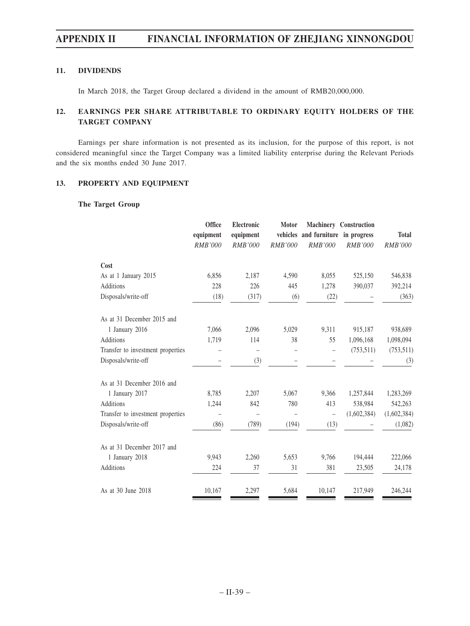# **11. DIVIDENDS**

In March 2018, the Target Group declared a dividend in the amount of RMB20,000,000.

# **12. EARNINGS PER SHARE ATTRIBUTABLE TO ORDINARY EQUITY HOLDERS OF THE TARGET COMPANY**

Earnings per share information is not presented as its inclusion, for the purpose of this report, is not considered meaningful since the Target Company was a limited liability enterprise during the Relevant Periods and the six months ended 30 June 2017.

## **13. PROPERTY AND EQUIPMENT**

## **The Target Group**

|                                   | Office<br>equipment<br><b>RMB'000</b> | Electronic<br>equipment<br><b>RMB'000</b> | <b>Motor</b><br>RMB'000 | vehicles and furniture in progress<br><b>RMB'000</b> | <b>Machinery Construction</b><br>RMB'000 | <b>Total</b><br><b>RMB'000</b> |
|-----------------------------------|---------------------------------------|-------------------------------------------|-------------------------|------------------------------------------------------|------------------------------------------|--------------------------------|
| Cost                              |                                       |                                           |                         |                                                      |                                          |                                |
| As at 1 January 2015              | 6,856                                 | 2,187                                     | 4,590                   | 8,055                                                | 525,150                                  | 546,838                        |
| <b>Additions</b>                  | 228                                   | 226                                       | 445                     | 1,278                                                | 390,037                                  | 392,214                        |
| Disposals/write-off               | (18)                                  | (317)                                     | (6)                     | (22)                                                 |                                          | (363)                          |
| As at 31 December 2015 and        |                                       |                                           |                         |                                                      |                                          |                                |
| 1 January 2016                    | 7,066                                 | 2,096                                     | 5,029                   | 9,311                                                | 915,187                                  | 938,689                        |
| <b>Additions</b>                  | 1,719                                 | 114                                       | 38                      | 55                                                   | 1,096,168                                | 1,098,094                      |
| Transfer to investment properties |                                       | $\qquad \qquad -$                         |                         |                                                      | (753, 511)                               | (753, 511)                     |
| Disposals/write-off               |                                       | (3)                                       |                         |                                                      |                                          | (3)                            |
| As at 31 December 2016 and        |                                       |                                           |                         |                                                      |                                          |                                |
| 1 January 2017                    | 8,785                                 | 2,207                                     | 5,067                   | 9,366                                                | 1,257,844                                | 1,283,269                      |
| <b>Additions</b>                  | 1,244                                 | 842                                       | 780                     | 413                                                  | 538,984                                  | 542,263                        |
| Transfer to investment properties |                                       |                                           |                         | $\overline{\phantom{0}}$                             | (1,602,384)                              | (1,602,384)                    |
| Disposals/write-off               | (86)                                  | (789)                                     | (194)                   | (13)                                                 |                                          | (1,082)                        |
| As at 31 December 2017 and        |                                       |                                           |                         |                                                      |                                          |                                |
| 1 January 2018                    | 9,943                                 | 2,260                                     | 5,653                   | 9,766                                                | 194,444                                  | 222,066                        |
| <b>Additions</b>                  | 224                                   | 37                                        | 31                      | 381                                                  | 23,505                                   | 24,178                         |
| As at 30 June 2018                | 10,167                                | 2,297                                     | 5,684                   | 10,147                                               | 217,949                                  | 246,244                        |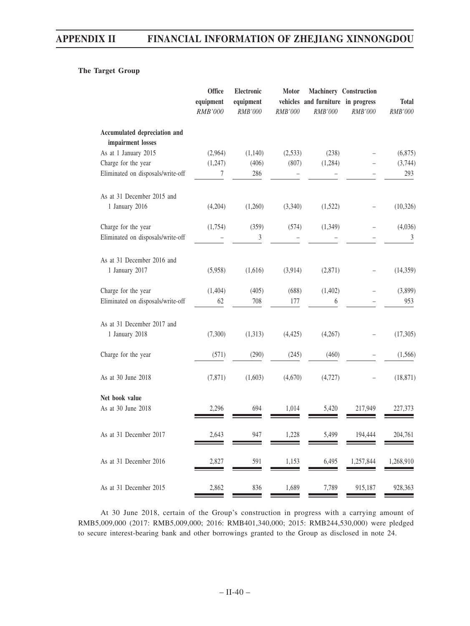# **The Target Group**

|                                                   | Office<br>equipment<br>RMB'000 | Electronic<br>equipment<br><b>RMB'000</b> | <b>Motor</b><br>RMB'000 | vehicles and furniture in progress<br><b>RMB'000</b> | Machinery Construction<br>RMB'000 | <b>Total</b><br>RMB'000 |
|---------------------------------------------------|--------------------------------|-------------------------------------------|-------------------------|------------------------------------------------------|-----------------------------------|-------------------------|
| Accumulated depreciation and<br>impairment losses |                                |                                           |                         |                                                      |                                   |                         |
| As at 1 January 2015                              | (2,964)                        | (1,140)                                   | (2,533)                 | (238)                                                |                                   | (6,875)                 |
| Charge for the year                               | (1,247)                        | (406)                                     | (807)                   | (1,284)                                              |                                   | (3,744)                 |
| Eliminated on disposals/write-off                 | 7                              | 286                                       |                         |                                                      |                                   | 293                     |
| As at 31 December 2015 and                        |                                |                                           |                         |                                                      |                                   |                         |
| 1 January 2016                                    | (4,204)                        | (1,260)                                   | (3,340)                 | (1,522)                                              |                                   | (10, 326)               |
| Charge for the year                               | (1,754)                        | (359)                                     | (574)                   | (1,349)                                              |                                   | (4,036)                 |
| Eliminated on disposals/write-off                 |                                | 3                                         |                         |                                                      |                                   | $\sqrt{3}$              |
| As at 31 December 2016 and                        |                                |                                           |                         |                                                      |                                   |                         |
| 1 January 2017                                    | (5,958)                        | (1,616)                                   | (3,914)                 | (2,871)                                              |                                   | (14, 359)               |
| Charge for the year                               | (1,404)                        | (405)                                     | (688)                   | (1, 402)                                             |                                   | (3,899)                 |
| Eliminated on disposals/write-off                 | 62                             | 708                                       | 177                     | 6                                                    |                                   | 953                     |
| As at 31 December 2017 and<br>1 January 2018      | (7,300)                        | (1,313)                                   | (4, 425)                | (4,267)                                              |                                   | (17,305)                |
| Charge for the year                               | (571)                          | (290)                                     | (245)                   | (460)                                                |                                   | (1, 566)                |
| As at 30 June 2018                                | (7, 871)                       | (1,603)                                   | (4,670)                 | (4, 727)                                             |                                   | (18, 871)               |
| Net book value<br>As at 30 June 2018              | 2,296                          | 694                                       | 1,014                   | 5,420                                                | 217,949                           | 227,373                 |
| As at 31 December 2017                            | 2,643                          | 947                                       | 1,228                   | 5,499                                                | 194,444                           | 204,761                 |
| As at 31 December 2016                            | 2,827                          | 591                                       | 1,153                   | 6,495                                                | 1,257,844                         | 1,268,910               |
| As at 31 December 2015                            | 2,862                          | 836                                       | 1,689                   | 7,789                                                | 915,187                           | 928,363                 |

At 30 June 2018, certain of the Group's construction in progress with a carrying amount of RMB5,009,000 (2017: RMB5,009,000; 2016: RMB401,340,000; 2015: RMB244,530,000) were pledged to secure interest-bearing bank and other borrowings granted to the Group as disclosed in note 24.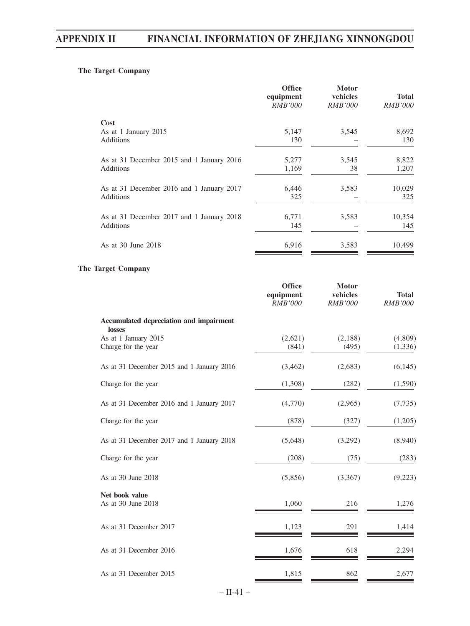# **The Target Company**

| <b>Office</b><br>equipment<br><i>RMB'000</i> | <b>Motor</b><br>vehicles<br><b>RMB'000</b> | <b>Total</b><br><i>RMB'000</i> |
|----------------------------------------------|--------------------------------------------|--------------------------------|
|                                              |                                            |                                |
|                                              |                                            | 8,692                          |
| 130                                          |                                            | 130                            |
| 5,277                                        | 3,545                                      | 8,822                          |
| 1,169                                        | 38                                         | 1,207                          |
| 6,446                                        | 3,583                                      | 10,029                         |
| 325                                          |                                            | 325                            |
|                                              |                                            | 10,354                         |
| 145                                          |                                            | 145                            |
| 6,916                                        | 3,583                                      | 10,499                         |
|                                              | 5,147<br>6,771                             | 3,545<br>3,583                 |

# **The Target Company**

|                                                   | <b>Office</b><br>equipment<br><b>RMB'000</b> | <b>Motor</b><br>vehicles<br><b>RMB'000</b> | <b>Total</b><br><b>RMB'000</b> |
|---------------------------------------------------|----------------------------------------------|--------------------------------------------|--------------------------------|
| Accumulated depreciation and impairment<br>losses |                                              |                                            |                                |
| As at 1 January 2015<br>Charge for the year       | (2,621)<br>(841)                             | (2,188)<br>(495)                           | (4,809)<br>(1, 336)            |
| As at 31 December 2015 and 1 January 2016         | (3, 462)                                     | (2,683)                                    | (6,145)                        |
| Charge for the year                               | (1,308)                                      | (282)                                      | (1,590)                        |
| As at 31 December 2016 and 1 January 2017         | (4,770)                                      | (2,965)                                    | (7, 735)                       |
| Charge for the year                               | (878)                                        | (327)                                      | (1,205)                        |
| As at 31 December 2017 and 1 January 2018         | (5,648)                                      | (3,292)                                    | (8,940)                        |
| Charge for the year                               | (208)                                        | (75)                                       | (283)                          |
| As at 30 June 2018                                | (5,856)                                      | (3,367)                                    | (9,223)                        |
| Net book value<br>As at 30 June 2018              | 1,060                                        | 216                                        | 1,276                          |
| As at 31 December 2017                            | 1,123                                        | 291                                        | 1,414                          |
| As at 31 December 2016                            | 1,676                                        | 618                                        | 2,294                          |
| As at 31 December 2015                            | 1,815                                        | 862                                        | 2,677                          |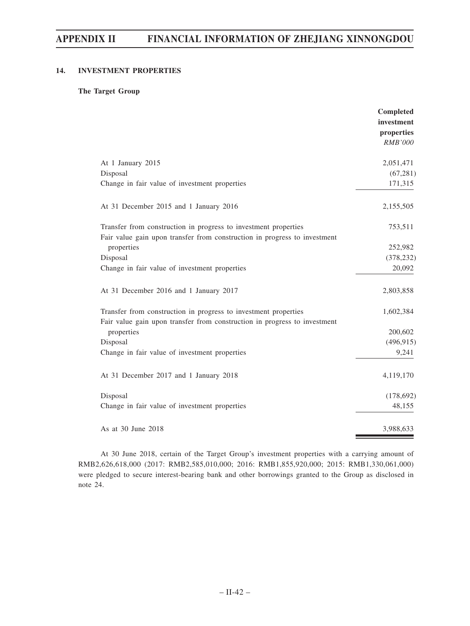# **14. INVESTMENT PROPERTIES**

## **The Target Group**

|                                                                                                                                              | Completed<br>investment<br>properties<br><b>RMB'000</b> |
|----------------------------------------------------------------------------------------------------------------------------------------------|---------------------------------------------------------|
| At 1 January 2015                                                                                                                            | 2,051,471                                               |
| Disposal                                                                                                                                     | (67, 281)                                               |
| Change in fair value of investment properties                                                                                                | 171,315                                                 |
| At 31 December 2015 and 1 January 2016                                                                                                       | 2,155,505                                               |
| Transfer from construction in progress to investment properties                                                                              | 753,511                                                 |
| Fair value gain upon transfer from construction in progress to investment                                                                    |                                                         |
| properties                                                                                                                                   | 252,982                                                 |
| Disposal                                                                                                                                     | (378, 232)                                              |
| Change in fair value of investment properties                                                                                                | 20,092                                                  |
| At 31 December 2016 and 1 January 2017                                                                                                       | 2,803,858                                               |
| Transfer from construction in progress to investment properties<br>Fair value gain upon transfer from construction in progress to investment | 1,602,384                                               |
| properties                                                                                                                                   | 200,602                                                 |
| Disposal                                                                                                                                     | (496, 915)                                              |
| Change in fair value of investment properties                                                                                                | 9,241                                                   |
| At 31 December 2017 and 1 January 2018                                                                                                       | 4,119,170                                               |
| Disposal                                                                                                                                     | (178,692)                                               |
| Change in fair value of investment properties                                                                                                | 48,155                                                  |
| As at 30 June 2018                                                                                                                           | 3,988,633                                               |

At 30 June 2018, certain of the Target Group's investment properties with a carrying amount of RMB2,626,618,000 (2017: RMB2,585,010,000; 2016: RMB1,855,920,000; 2015: RMB1,330,061,000) were pledged to secure interest-bearing bank and other borrowings granted to the Group as disclosed in note 24.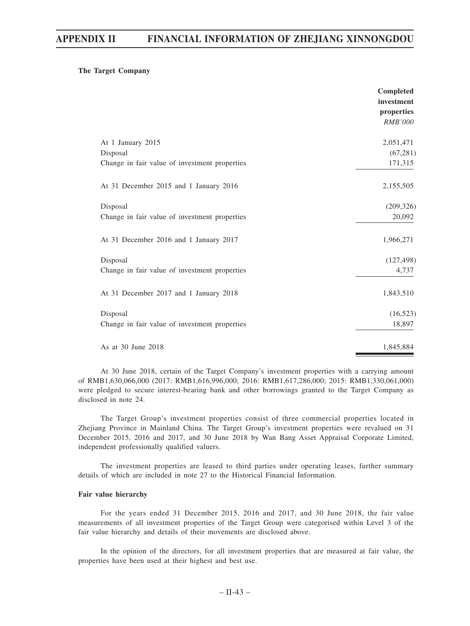## **The Target Company**

|                                               | Completed<br>investment<br>properties<br><b>RMB'000</b> |
|-----------------------------------------------|---------------------------------------------------------|
| At 1 January 2015                             | 2,051,471                                               |
| Disposal                                      | (67, 281)                                               |
| Change in fair value of investment properties | 171,315                                                 |
| At 31 December 2015 and 1 January 2016        | 2,155,505                                               |
| Disposal                                      | (209, 326)                                              |
| Change in fair value of investment properties | 20,092                                                  |
| At 31 December 2016 and 1 January 2017        | 1,966,271                                               |
| Disposal                                      | (127, 498)                                              |
| Change in fair value of investment properties | 4,737                                                   |
| At 31 December 2017 and 1 January 2018        | 1,843,510                                               |
| Disposal                                      | (16, 523)                                               |
| Change in fair value of investment properties | 18,897                                                  |
| As at 30 June 2018                            | 1,845,884                                               |

At 30 June 2018, certain of the Target Company's investment properties with a carrying amount of RMB1,630,066,000 (2017: RMB1,616,996,000; 2016: RMB1,617,286,000; 2015: RMB1,330,061,000) were pledged to secure interest-bearing bank and other borrowings granted to the Target Company as disclosed in note 24.

The Target Group's investment properties consist of three commercial properties located in Zhejiang Province in Mainland China. The Target Group's investment properties were revalued on 31 December 2015, 2016 and 2017, and 30 June 2018 by Wan Bang Asset Appraisal Corporate Limited, independent professionally qualified valuers.

The investment properties are leased to third parties under operating leases, further summary details of which are included in note 27 to the Historical Financial Information.

## **Fair value hierarchy**

For the years ended 31 December 2015, 2016 and 2017, and 30 June 2018, the fair value measurements of all investment properties of the Target Group were categorised within Level 3 of the fair value hierarchy and details of their movements are disclosed above.

In the opinion of the directors, for all investment properties that are measured at fair value, the properties have been used at their highest and best use.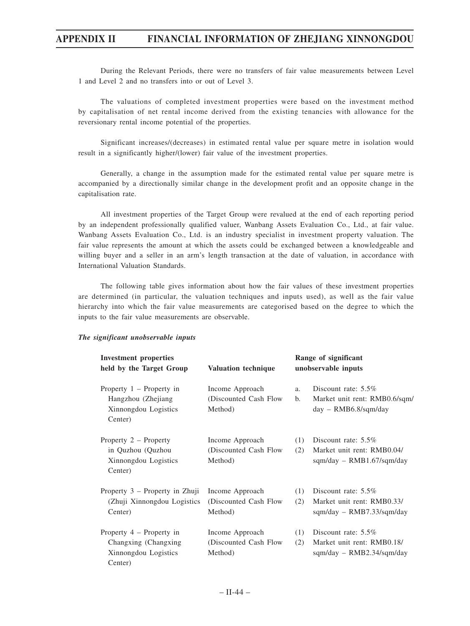During the Relevant Periods, there were no transfers of fair value measurements between Level 1 and Level 2 and no transfers into or out of Level 3.

The valuations of completed investment properties were based on the investment method by capitalisation of net rental income derived from the existing tenancies with allowance for the reversionary rental income potential of the properties.

Significant increases/(decreases) in estimated rental value per square metre in isolation would result in a significantly higher/(lower) fair value of the investment properties.

Generally, a change in the assumption made for the estimated rental value per square metre is accompanied by a directionally similar change in the development profit and an opposite change in the capitalisation rate.

All investment properties of the Target Group were revalued at the end of each reporting period by an independent professionally qualified valuer, Wanbang Assets Evaluation Co., Ltd., at fair value. Wanbang Assets Evaluation Co., Ltd. is an industry specialist in investment property valuation. The fair value represents the amount at which the assets could be exchanged between a knowledgeable and willing buyer and a seller in an arm's length transaction at the date of valuation, in accordance with International Valuation Standards.

The following table gives information about how the fair values of these investment properties are determined (in particular, the valuation techniques and inputs used), as well as the fair value hierarchy into which the fair value measurements are categorised based on the degree to which the inputs to the fair value measurements are observable.

| <b>Investment properties</b><br>held by the Target Group                               | <b>Valuation technique</b>                           |                      | Range of significant<br>unobservable inputs                                              |
|----------------------------------------------------------------------------------------|------------------------------------------------------|----------------------|------------------------------------------------------------------------------------------|
| Property $1$ – Property in<br>Hangzhou (Zhejiang<br>Xinnongdou Logistics<br>Center)    | Income Approach<br>(Discounted Cash Flow)<br>Method) | a.<br>$\mathbf{b}$ . | Discount rate: $5.5\%$<br>Market unit rent: RMB0.6/sqm/<br>$day - \text{RMB6.8/sqm/day}$ |
| Property 2 – Property<br>in Quzhou (Quzhou<br>Xinnongdou Logistics<br>Center)          | Income Approach<br>(Discounted Cash Flow)<br>Method) | (1)<br>(2)           | Discount rate: $5.5\%$<br>Market unit rent: RMB0.04/<br>$sqm/day - RMB1.67/sqm/day$      |
| Property 3 – Property in Zhuji<br>(Zhuji Xinnongdou Logistics)<br>Center)              | Income Approach<br>(Discounted Cash Flow)<br>Method) | (1)<br>(2)           | Discount rate: $5.5\%$<br>Market unit rent: RMB0.33/<br>$sgm/day - RMB7.33/sgm/day$      |
| Property $4$ – Property in<br>Changxing (Changxing)<br>Xinnongdou Logistics<br>Center) | Income Approach<br>(Discounted Cash Flow)<br>Method) | (1)<br>(2)           | Discount rate: 5.5%<br>Market unit rent: RMB0.18/<br>$sgm/day - RMB2.34/sgm/day$         |

#### *The significant unobservable inputs*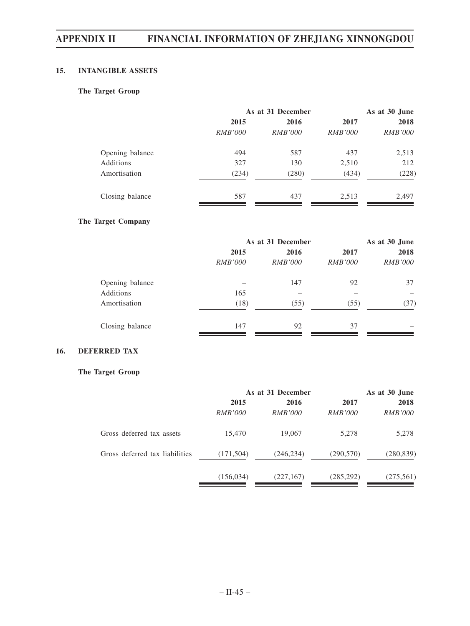# **15. INTANGIBLE ASSETS**

# **The Target Group**

|                 |                | As at 31 December |                |                |
|-----------------|----------------|-------------------|----------------|----------------|
|                 | 2015           | 2016              |                |                |
|                 | <i>RMB'000</i> | <i>RMB'000</i>    | <i>RMB'000</i> | <i>RMB'000</i> |
| Opening balance | 494            | 587               | 437            | 2,513          |
| Additions       | 327            | 130               | 2,510          | 212            |
| Amortisation    | (234)          | (280)             | (434)          | (228)          |
| Closing balance | 587            | 437               | 2,513          | 2,497          |

## **The Target Company**

|                 |                | As at 31 December |                |                |
|-----------------|----------------|-------------------|----------------|----------------|
|                 | 2015           | 2016              |                | 2018           |
|                 | <i>RMB'000</i> | <i>RMB'000</i>    | <i>RMB'000</i> | <i>RMB'000</i> |
| Opening balance |                | 147               | 92             | 37             |
| Additions       | 165            |                   |                |                |
| Amortisation    | (18)           | (55)              | (55)           | (37)           |
| Closing balance | 147            | 92                | 37             |                |

# **16. DEFERRED TAX**

# **The Target Group**

|                                | As at 31 December |                |                | As at 30 June  |  |
|--------------------------------|-------------------|----------------|----------------|----------------|--|
|                                | 2015              | 2016           | 2017           | 2018           |  |
|                                | <i>RMB'000</i>    | <i>RMB'000</i> | <i>RMB'000</i> | <i>RMB'000</i> |  |
| Gross deferred tax assets      | 15,470            | 19,067         | 5,278          | 5,278          |  |
| Gross deferred tax liabilities | (171, 504)        | (246, 234)     | (290, 570)     | (280, 839)     |  |
|                                | (156, 034)        | (227, 167)     | (285, 292)     | (275, 561)     |  |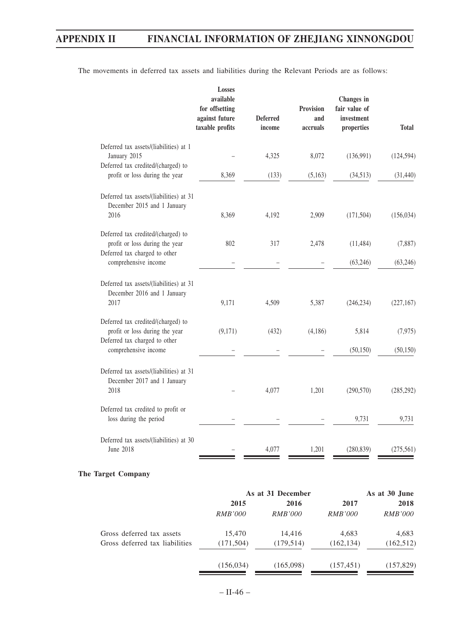| available<br>for offsetting<br>against future<br>taxable profits | <b>Deferred</b><br>income                                                                                                                                                                  | <b>Provision</b><br>and<br>accruals       | Changes in<br>fair value of<br>investment<br>properties | <b>Total</b>                                                      |
|------------------------------------------------------------------|--------------------------------------------------------------------------------------------------------------------------------------------------------------------------------------------|-------------------------------------------|---------------------------------------------------------|-------------------------------------------------------------------|
|                                                                  |                                                                                                                                                                                            |                                           |                                                         |                                                                   |
|                                                                  |                                                                                                                                                                                            |                                           |                                                         | (124, 594)                                                        |
| 8,369                                                            | (133)                                                                                                                                                                                      | (5,163)                                   | (34,513)                                                | (31, 440)                                                         |
|                                                                  |                                                                                                                                                                                            |                                           |                                                         |                                                                   |
|                                                                  |                                                                                                                                                                                            |                                           |                                                         | (156, 034)                                                        |
| 802                                                              | 317                                                                                                                                                                                        | 2,478                                     | (11, 484)                                               | (7,887)                                                           |
|                                                                  |                                                                                                                                                                                            |                                           | (63,246)                                                | (63,246)                                                          |
|                                                                  |                                                                                                                                                                                            |                                           |                                                         | (227, 167)                                                        |
|                                                                  |                                                                                                                                                                                            |                                           |                                                         |                                                                   |
| (9,171)                                                          | (432)                                                                                                                                                                                      | (4,186)                                   | 5,814                                                   | (7, 975)                                                          |
|                                                                  |                                                                                                                                                                                            |                                           | (50, 150)                                               | (50, 150)                                                         |
|                                                                  |                                                                                                                                                                                            |                                           |                                                         |                                                                   |
|                                                                  |                                                                                                                                                                                            |                                           |                                                         | (285, 292)                                                        |
|                                                                  |                                                                                                                                                                                            |                                           | 9,731                                                   | 9,731                                                             |
|                                                                  |                                                                                                                                                                                            |                                           |                                                         | (275, 561)                                                        |
|                                                                  | Deferred tax assets/(liabilities) at 31<br>8,369<br>Deferred tax assets/(liabilities) at 31<br>9,171<br>Deferred tax assets/(liabilities) at 31<br>Deferred tax assets/(liabilities) at 30 | 4,325<br>4,192<br>4,509<br>4,077<br>4,077 | 8,072<br>2,909<br>5,387<br>1,201<br>1,201               | (136,991)<br>(171, 504)<br>(246, 234)<br>(290, 570)<br>(280, 839) |

The movements in deferred tax assets and liabilities during the Relevant Periods are as follows:

## **The Target Company**

|                                | As at 31 December |                |                | As at 30 June  |      |
|--------------------------------|-------------------|----------------|----------------|----------------|------|
|                                | 2015<br>2016      |                |                | 2017           | 2018 |
|                                | <i>RMB'000</i>    | <i>RMB'000</i> | <i>RMB'000</i> | <i>RMB'000</i> |      |
| Gross deferred tax assets      | 15,470            | 14.416         | 4,683          | 4,683          |      |
| Gross deferred tax liabilities | (171, 504)        | (179, 514)     | (162, 134)     | (162, 512)     |      |
|                                | (156, 034)        | (165,098)      | (157, 451)     | (157, 829)     |      |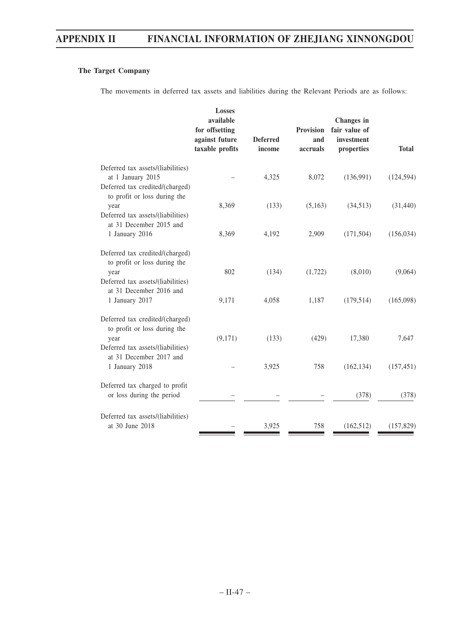# **The Target Company**

The movements in deferred tax assets and liabilities during the Relevant Periods are as follows:

|                                                                                                                                         | <b>Losses</b><br>available<br>for offsetting<br>against future<br>taxable profits | <b>Deferred</b><br>income | <b>Provision</b><br>and<br>accruals | Changes in<br>fair value of<br>investment<br>properties | <b>Total</b>            |
|-----------------------------------------------------------------------------------------------------------------------------------------|-----------------------------------------------------------------------------------|---------------------------|-------------------------------------|---------------------------------------------------------|-------------------------|
| Deferred tax assets/(liabilities)<br>at 1 January 2015<br>Deferred tax credited/(charged)<br>to profit or loss during the               |                                                                                   | 4,325                     | 8,072                               | (136,991)                                               | (124, 594)              |
| year<br>Deferred tax assets/(liabilities)<br>at 31 December 2015 and<br>1 January 2016                                                  | 8,369<br>8,369                                                                    | (133)<br>4,192            | (5,163)<br>2,909                    | (34,513)<br>(171, 504)                                  | (31, 440)<br>(156, 034) |
| Deferred tax credited/(charged)<br>to profit or loss during the<br>year<br>Deferred tax assets/(liabilities)<br>at 31 December 2016 and | 802                                                                               | (134)                     | (1,722)                             | (8,010)                                                 | (9,064)                 |
| 1 January 2017<br>Deferred tax credited/(charged)<br>to profit or loss during the                                                       | 9,171                                                                             | 4,058                     | 1,187                               | (179, 514)                                              | (165,098)               |
| year<br>Deferred tax assets/(liabilities)<br>at 31 December 2017 and<br>1 January 2018                                                  | (9,171)                                                                           | (133)<br>3,925            | (429)<br>758                        | 17,380<br>(162, 134)                                    | 7,647<br>(157, 451)     |
| Deferred tax charged to profit<br>or loss during the period                                                                             |                                                                                   |                           |                                     | (378)                                                   | (378)                   |
| Deferred tax assets/(liabilities)<br>at 30 June 2018                                                                                    |                                                                                   | 3,925                     | 758                                 | (162, 512)                                              | (157, 829)              |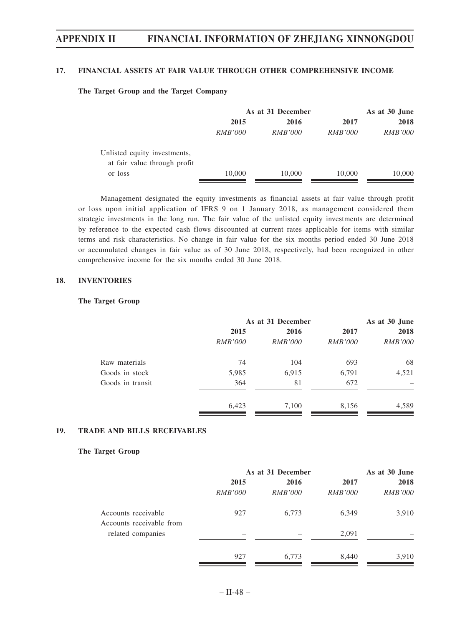#### **17. FINANCIAL ASSETS AT FAIR VALUE THROUGH OTHER COMPREHENSIVE INCOME**

#### **The Target Group and the Target Company**

|                              | As at 31 December |                |                | As at 30 June  |  |
|------------------------------|-------------------|----------------|----------------|----------------|--|
|                              | 2015              | 2016           | 2017           | 2018           |  |
|                              | <i>RMB'000</i>    | <i>RMB'000</i> | <i>RMB'000</i> | <i>RMB'000</i> |  |
| Unlisted equity investments, |                   |                |                |                |  |
| at fair value through profit |                   |                |                |                |  |
| or loss                      | 10,000            | 10,000         | 10,000         | 10,000         |  |

Management designated the equity investments as financial assets at fair value through profit or loss upon initial application of IFRS 9 on 1 January 2018, as management considered them strategic investments in the long run. The fair value of the unlisted equity investments are determined by reference to the expected cash flows discounted at current rates applicable for items with similar terms and risk characteristics. No change in fair value for the six months period ended 30 June 2018 or accumulated changes in fair value as of 30 June 2018, respectively, had been recognized in other comprehensive income for the six months ended 30 June 2018.

#### **18. INVENTORIES**

#### **The Target Group**

|                  |                | As at 31 December |                |                |  |
|------------------|----------------|-------------------|----------------|----------------|--|
|                  | 2015           | 2016              | 2017           | 2018           |  |
|                  | <i>RMB'000</i> | <i>RMB'000</i>    | <i>RMB'000</i> | <i>RMB'000</i> |  |
| Raw materials    | 74             | 104               | 693            | 68             |  |
| Goods in stock   | 5,985          | 6,915             | 6,791          | 4,521          |  |
| Goods in transit | 364            | 81                | 672            |                |  |
|                  | 6,423          | 7,100             | 8,156          | 4,589          |  |

#### **19. TRADE AND BILLS RECEIVABLES**

#### **The Target Group**

|                                                 | As at 31 December |                | As at 30 June  |                |
|-------------------------------------------------|-------------------|----------------|----------------|----------------|
|                                                 | 2015              | 2016           | 2017           | 2018           |
|                                                 | <i>RMB'000</i>    | <i>RMB'000</i> | <i>RMB'000</i> | <b>RMB'000</b> |
| Accounts receivable<br>Accounts receivable from | 927               | 6,773          | 6,349          | 3,910          |
| related companies                               |                   |                | 2,091          |                |
|                                                 | 927               | 6,773          | 8,440          | 3,910          |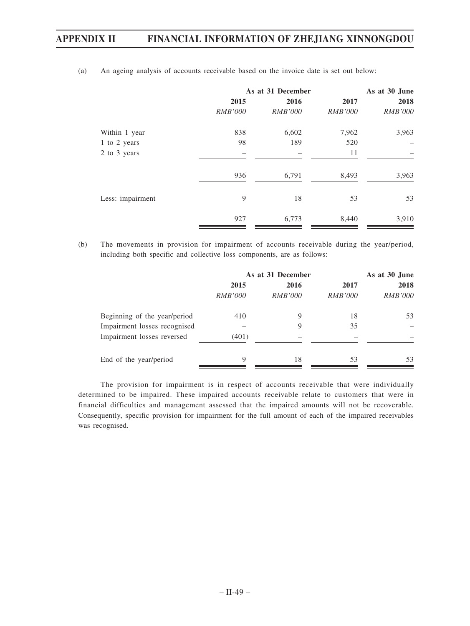|                  | As at 31 December | As at 30 June  |                |                |
|------------------|-------------------|----------------|----------------|----------------|
|                  | 2015              | 2016           | 2017           | 2018           |
|                  | <i>RMB'000</i>    | <i>RMB'000</i> | <i>RMB'000</i> | <i>RMB'000</i> |
| Within 1 year    | 838               | 6,602          | 7,962          | 3,963          |
| 1 to 2 years     | 98                | 189            | 520            |                |
| 2 to 3 years     |                   |                | 11             |                |
|                  | 936               | 6,791          | 8,493          | 3,963          |
| Less: impairment | 9                 | 18             | 53             | 53             |
|                  | 927               | 6,773          | 8,440          | 3,910          |

(a) An ageing analysis of accounts receivable based on the invoice date is set out below:

(b) The movements in provision for impairment of accounts receivable during the year/period, including both specific and collective loss components, are as follows:

|                              | As at 31 December | As at 30 June  |                |                |
|------------------------------|-------------------|----------------|----------------|----------------|
|                              | 2015              | 2016           | 2017           | 2018           |
|                              | <i>RMB'000</i>    | <i>RMB'000</i> | <i>RMB'000</i> | <i>RMB'000</i> |
| Beginning of the year/period | 410               | 9              | 18             | 53             |
| Impairment losses recognised |                   | 9              | 35             |                |
| Impairment losses reversed   | (401)             |                |                |                |
| End of the year/period       | 9                 | 18             | 53             | 53             |

The provision for impairment is in respect of accounts receivable that were individually determined to be impaired. These impaired accounts receivable relate to customers that were in financial difficulties and management assessed that the impaired amounts will not be recoverable. Consequently, specific provision for impairment for the full amount of each of the impaired receivables was recognised.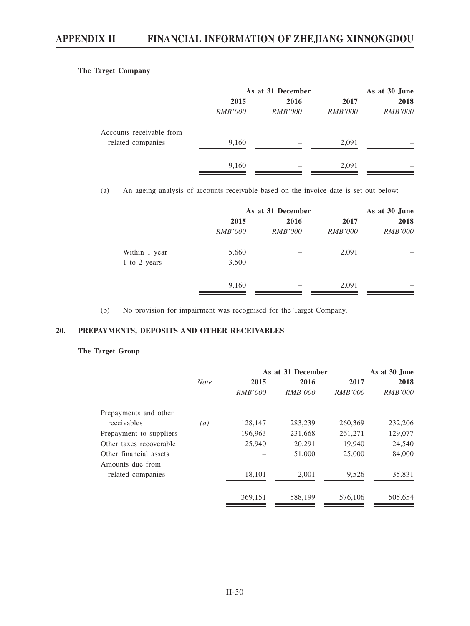### **The Target Company**

|                          | As at 31 December | As at 30 June  |                |                |
|--------------------------|-------------------|----------------|----------------|----------------|
|                          | 2015              | 2016           | 2017           | 2018           |
|                          | <i>RMB'000</i>    | <i>RMB'000</i> | <i>RMB'000</i> | <i>RMB'000</i> |
| Accounts receivable from |                   |                |                |                |
| related companies        | 9,160             |                | 2,091          |                |
|                          | 9,160             |                | 2,091          |                |

(a) An ageing analysis of accounts receivable based on the invoice date is set out below:

|               |                | As at 31 December |                |                |
|---------------|----------------|-------------------|----------------|----------------|
|               | 2015           | 2016              | 2017           | 2018           |
|               | <i>RMB'000</i> | <i>RMB'000</i>    | <i>RMB'000</i> | <i>RMB'000</i> |
| Within 1 year | 5,660          |                   | 2,091          |                |
| 1 to 2 years  | 3,500          |                   |                |                |
|               | 9,160          |                   | 2,091          |                |

(b) No provision for impairment was recognised for the Target Company.

#### **20. PREPAYMENTS, DEPOSITS AND OTHER RECEIVABLES**

### **The Target Group**

|                         |             |                | As at 31 December | As at 30 June  |                |
|-------------------------|-------------|----------------|-------------------|----------------|----------------|
|                         | <b>Note</b> | 2015           | 2016              | 2017           | 2018           |
|                         |             | <i>RMB'000</i> | <i>RMB'000</i>    | <i>RMB'000</i> | <i>RMB'000</i> |
| Prepayments and other   |             |                |                   |                |                |
| receivables             | (a)         | 128,147        | 283,239           | 260,369        | 232,206        |
| Prepayment to suppliers |             | 196,963        | 231,668           | 261,271        | 129,077        |
| Other taxes recoverable |             | 25,940         | 20,291            | 19,940         | 24,540         |
| Other financial assets  |             |                | 51,000            | 25,000         | 84,000         |
| Amounts due from        |             |                |                   |                |                |
| related companies       |             | 18,101         | 2,001             | 9,526          | 35,831         |
|                         |             | 369,151        | 588,199           | 576,106        | 505,654        |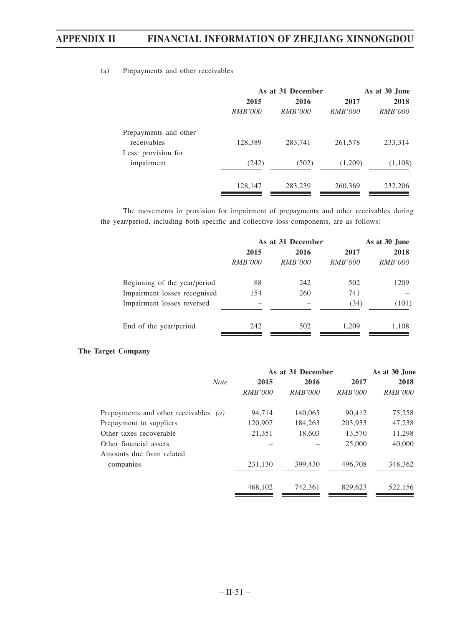#### (a) Prepayments and other receivables

|                       | As at 31 December |                |                | As at 30 June  |  |
|-----------------------|-------------------|----------------|----------------|----------------|--|
|                       | 2015              | 2016           | 2017           | 2018           |  |
|                       | <i>RMB'000</i>    | <i>RMB'000</i> | <i>RMB'000</i> | <i>RMB'000</i> |  |
| Prepayments and other |                   |                |                |                |  |
| receivables           | 128,389           | 283,741        | 261,578        | 233,314        |  |
| Less: provision for   |                   |                |                |                |  |
| impairment            | (242)             | (502)          | (1,209)        | (1,108)        |  |
|                       | 128,147           | 283,239        | 260,369        | 232,206        |  |

The movements in provision for impairment of prepayments and other receivables during the year/period, including both specific and collective loss components, are as follows:

|                              | As at 31 December | As at 30 June  |                |                |
|------------------------------|-------------------|----------------|----------------|----------------|
|                              | 2015              | 2016           | 2017           | 2018           |
|                              | <i>RMB'000</i>    | <i>RMB'000</i> | <i>RMB'000</i> | <i>RMB'000</i> |
| Beginning of the year/period | 88                | 242            | 502            | 1209           |
| Impairment losses recognised | 154               | 260            | 741            |                |
| Impairment losses reversed   |                   |                | (34)           | (101)          |
| End of the year/period       | 242               | 502            | 1.209          | 1,108          |

#### **The Target Company**

|                                       |                |                | As at 30 June  |                   |
|---------------------------------------|----------------|----------------|----------------|-------------------|
| <b>Note</b>                           | 2015           | 2016           | 2017           | 2018              |
|                                       | <i>RMB'000</i> | <i>RMB'000</i> | <i>RMB'000</i> | <i>RMB'000</i>    |
| Prepayments and other receivables (a) | 94,714         | 140,065        | 90,412         | 75,258            |
|                                       | 120,907        | 184.263        | 203,933        | 47,238            |
|                                       | 21,351         | 18.603         | 13,570         | 11,298            |
|                                       |                |                | 25,000         | 40,000            |
|                                       |                |                |                |                   |
|                                       | 231.130        | 399,430        | 496,708        | 348,362           |
|                                       | 468,102        | 742.361        | 829,623        | 522,156           |
|                                       |                |                |                | As at 31 December |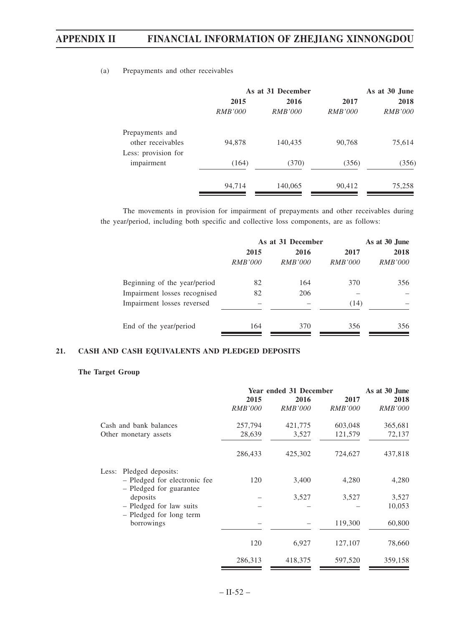|                     |                | As at 31 December | As at 30 June  |                |
|---------------------|----------------|-------------------|----------------|----------------|
|                     | 2015           | 2016              | 2017           | 2018           |
|                     | <i>RMB'000</i> | <i>RMB'000</i>    | <i>RMB'000</i> | <i>RMB'000</i> |
| Prepayments and     |                |                   |                |                |
| other receivables   | 94,878         | 140,435           | 90,768         | 75,614         |
| Less: provision for |                |                   |                |                |
| impairment          | (164)          | (370)             | (356)          | (356)          |
|                     |                |                   |                |                |
|                     | 94,714         | 140,065           | 90,412         | 75,258         |

(a) Prepayments and other receivables

The movements in provision for impairment of prepayments and other receivables during the year/period, including both specific and collective loss components, are as follows:

|                              | As at 31 December | As at 30 June  |                |                |
|------------------------------|-------------------|----------------|----------------|----------------|
|                              | 2015              | 2016           | 2017           | 2018           |
|                              | <i>RMB'000</i>    | <i>RMB'000</i> | <i>RMB'000</i> | <i>RMB'000</i> |
| Beginning of the year/period | 82                | 164            | 370            | 356            |
| Impairment losses recognised | 82                | 206            |                |                |
| Impairment losses reversed   |                   |                | (14)           |                |
| End of the year/period       | 164               | 370            | 356            | 356            |

#### **21. CASH AND CASH EQUIVALENTS AND PLEDGED DEPOSITS**

#### **The Target Group**

|                                                         | Year ended 31 December |                |                | As at 30 June  |  |
|---------------------------------------------------------|------------------------|----------------|----------------|----------------|--|
|                                                         | 2015                   | 2016           | 2017           | 2018           |  |
|                                                         | <b>RMB'000</b>         | <b>RMB'000</b> | <i>RMB'000</i> | <b>RMB'000</b> |  |
| Cash and bank balances                                  | 257,794                | 421,775        | 603,048        | 365,681        |  |
| Other monetary assets                                   | 28,639                 | 3,527          | 121,579        | 72,137         |  |
|                                                         | 286,433                | 425,302        | 724,627        | 437,818        |  |
| Pledged deposits:<br>Less:                              |                        |                |                |                |  |
| - Pledged for electronic fee<br>- Pledged for guarantee | 120                    | 3,400          | 4,280          | 4,280          |  |
| deposits                                                |                        | 3,527          | 3,527          | 3,527          |  |
| - Pledged for law suits<br>- Pledged for long term      |                        |                |                | 10,053         |  |
| borrowings                                              |                        |                | 119,300        | 60,800         |  |
|                                                         | 120                    | 6,927          | 127,107        | 78,660         |  |
|                                                         | 286,313                | 418,375        | 597,520        | 359,158        |  |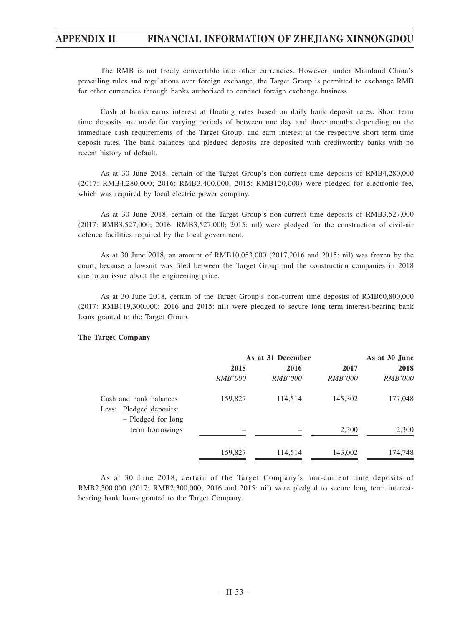The RMB is not freely convertible into other currencies. However, under Mainland China's prevailing rules and regulations over foreign exchange, the Target Group is permitted to exchange RMB for other currencies through banks authorised to conduct foreign exchange business.

Cash at banks earns interest at floating rates based on daily bank deposit rates. Short term time deposits are made for varying periods of between one day and three months depending on the immediate cash requirements of the Target Group, and earn interest at the respective short term time deposit rates. The bank balances and pledged deposits are deposited with creditworthy banks with no recent history of default.

As at 30 June 2018, certain of the Target Group's non-current time deposits of RMB4,280,000 (2017: RMB4,280,000; 2016: RMB3,400,000; 2015: RMB120,000) were pledged for electronic fee, which was required by local electric power company.

As at 30 June 2018, certain of the Target Group's non-current time deposits of RMB3,527,000 (2017: RMB3,527,000; 2016: RMB3,527,000; 2015: nil) were pledged for the construction of civil-air defence facilities required by the local government.

As at 30 June 2018, an amount of RMB10,053,000 (2017,2016 and 2015: nil) was frozen by the court, because a lawsuit was filed between the Target Group and the construction companies in 2018 due to an issue about the engineering price.

As at 30 June 2018, certain of the Target Group's non-current time deposits of RMB60,800,000 (2017: RMB119,300,000; 2016 and 2015: nil) were pledged to secure long term interest-bearing bank loans granted to the Target Group.

#### **The Target Company**

|                                                   | As at 31 December |                |                | As at 30 June  |  |
|---------------------------------------------------|-------------------|----------------|----------------|----------------|--|
|                                                   | 2015              | 2016           | 2017           | 2018           |  |
|                                                   | <i>RMB'000</i>    | <i>RMB'000</i> | <i>RMB'000</i> | <i>RMB'000</i> |  |
| Cash and bank balances<br>Less: Pledged deposits: | 159,827           | 114,514        | 145,302        | 177,048        |  |
| - Pledged for long<br>term borrowings             |                   |                | 2,300          | 2,300          |  |
|                                                   | 159,827           | 114,514        | 143,002        | 174,748        |  |

As at 30 June 2018, certain of the Target Company's non-current time deposits of RMB2,300,000 (2017: RMB2,300,000; 2016 and 2015: nil) were pledged to secure long term interestbearing bank loans granted to the Target Company.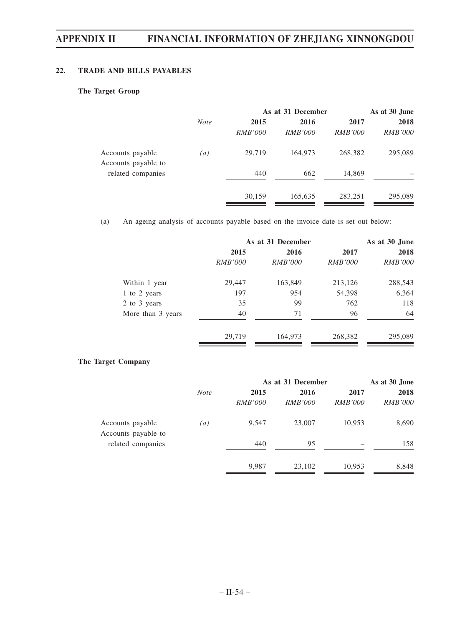### **22. TRADE AND BILLS PAYABLES**

#### **The Target Group**

|                                         |             | As at 31 December | As at 30 June  |                |                |
|-----------------------------------------|-------------|-------------------|----------------|----------------|----------------|
|                                         | <b>Note</b> | 2015              | 2016           | 2017           | 2018           |
|                                         |             | <i>RMB'000</i>    | <i>RMB'000</i> | <i>RMB'000</i> | <i>RMB'000</i> |
| Accounts payable<br>Accounts payable to | (a)         | 29,719            | 164,973        | 268,382        | 295,089        |
| related companies                       |             | 440               | 662            | 14,869         |                |
|                                         |             | 30,159            | 165,635        | 283,251        | 295,089        |

(a) An ageing analysis of accounts payable based on the invoice date is set out below:

|                   | As at 31 December |                |                | As at 30 June  |
|-------------------|-------------------|----------------|----------------|----------------|
|                   | 2015              | 2016           | 2017           | 2018           |
|                   | <i>RMB'000</i>    | <i>RMB'000</i> | <i>RMB'000</i> | <i>RMB'000</i> |
| Within 1 year     | 29,447            | 163,849        | 213,126        | 288,543        |
| 1 to 2 years      | 197               | 954            | 54,398         | 6,364          |
| 2 to 3 years      | 35                | 99             | 762            | 118            |
| More than 3 years | 40                | 71             | 96             | 64             |
|                   | 29,719            | 164,973        | 268,382        | 295,089        |

#### **The Target Company**

|                                         |                  | As at 31 December | As at 30 June  |                |                |
|-----------------------------------------|------------------|-------------------|----------------|----------------|----------------|
|                                         | <b>Note</b>      | 2015              | 2016           | 2017           | 2018           |
|                                         |                  | <i>RMB'000</i>    | <i>RMB'000</i> | <i>RMB'000</i> | <i>RMB'000</i> |
| Accounts payable<br>Accounts payable to | $\left(a\right)$ | 9,547             | 23,007         | 10,953         | 8,690          |
| related companies                       |                  | 440               | 95             |                | 158            |
|                                         |                  | 9,987             | 23,102         | 10,953         | 8,848          |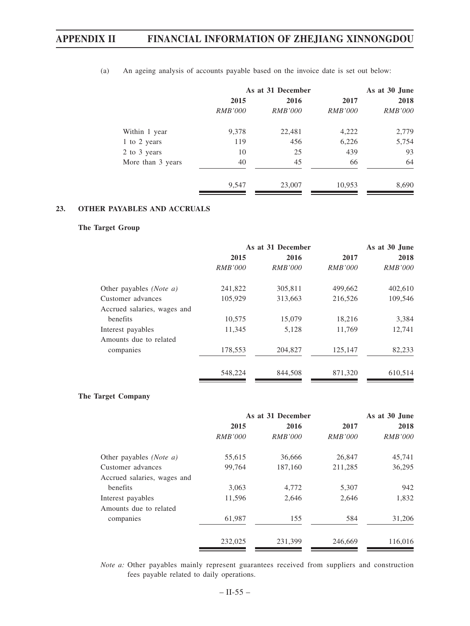|                   | As at 31 December |                |                | As at 30 June  |  |  |
|-------------------|-------------------|----------------|----------------|----------------|--|--|
|                   | 2015              | 2016           | 2017           | 2018           |  |  |
|                   | <i>RMB'000</i>    | <i>RMB'000</i> | <i>RMB'000</i> | <i>RMB'000</i> |  |  |
| Within 1 year     | 9,378             | 22,481         | 4,222          | 2,779          |  |  |
| 1 to 2 years      | 119               | 456            | 6,226          | 5,754          |  |  |
| 2 to 3 years      | 10                | 25             | 439            | 93             |  |  |
| More than 3 years | 40                | 45             | 66             | 64             |  |  |
|                   | 9,547             | 23,007         | 10,953         | 8,690          |  |  |

(a) An ageing analysis of accounts payable based on the invoice date is set out below:

### **23. OTHER PAYABLES AND ACCRUALS**

#### **The Target Group**

|                                  | As at 31 December |                |                | As at 30 June  |  |
|----------------------------------|-------------------|----------------|----------------|----------------|--|
|                                  | 2015              | 2016           | 2017           | 2018           |  |
|                                  | <i>RMB'000</i>    | <i>RMB'000</i> | <i>RMB'000</i> | <i>RMB'000</i> |  |
| Other payables ( <i>Note a</i> ) | 241,822           | 305,811        | 499,662        | 402,610        |  |
| Customer advances                | 105,929           | 313,663        | 216,526        | 109,546        |  |
| Accrued salaries, wages and      |                   |                |                |                |  |
| benefits                         | 10,575            | 15,079         | 18,216         | 3,384          |  |
| Interest payables                | 11,345            | 5,128          | 11,769         | 12,741         |  |
| Amounts due to related           |                   |                |                |                |  |
| companies                        | 178,553           | 204,827        | 125,147        | 82,233         |  |
|                                  | 548,224           | 844,508        | 871,320        | 610,514        |  |

#### **The Target Company**

|                             | As at 31 December |                |                | As at 30 June  |
|-----------------------------|-------------------|----------------|----------------|----------------|
|                             | 2015              | 2016           | 2017           | 2018           |
|                             | <i>RMB'000</i>    | <i>RMB'000</i> | <i>RMB'000</i> | <i>RMB'000</i> |
| Other payables (Note a)     | 55,615            | 36,666         | 26,847         | 45,741         |
| Customer advances           | 99,764            | 187,160        | 211,285        | 36,295         |
| Accrued salaries, wages and |                   |                |                |                |
| benefits                    | 3,063             | 4,772          | 5,307          | 942            |
| Interest payables           | 11,596            | 2,646          | 2,646          | 1,832          |
| Amounts due to related      |                   |                |                |                |
| companies                   | 61,987            | 155            | 584            | 31,206         |
|                             | 232,025           | 231,399        | 246,669        | 116,016        |

*Note a:* Other payables mainly represent guarantees received from suppliers and construction fees payable related to daily operations.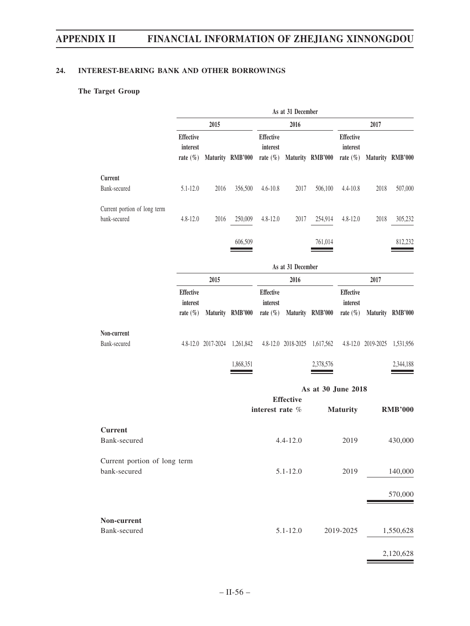#### **24. INTEREST-BEARING BANK AND OTHER BORROWINGS**

## **The Target Group**

|                                              |                                              |                              |                  |                                              | As at 31 December |                              |                                              |                              |                  |
|----------------------------------------------|----------------------------------------------|------------------------------|------------------|----------------------------------------------|-------------------|------------------------------|----------------------------------------------|------------------------------|------------------|
|                                              |                                              | 2015                         |                  |                                              | 2016              |                              |                                              | 2017                         |                  |
|                                              | <b>Effective</b><br>interest<br>rate $(\% )$ |                              | Maturity RMB'000 | Effective<br>interest                        |                   | rate (%) Maturity RMB'000    | Effective<br>interest<br>rate $(\% )$        |                              | Maturity RMB'000 |
| Current                                      |                                              |                              |                  |                                              |                   |                              |                                              |                              |                  |
| Bank-secured                                 | $5.1 - 12.0$                                 | 2016                         | 356,500          | $4.6 - 10.8$                                 | 2017              | 506,100                      | 4.4-10.8                                     | 2018                         | 507,000          |
| Current portion of long term<br>bank-secured | $4.8 - 12.0$                                 | 2016                         | 250,009          | $4.8 - 12.0$                                 | 2017              | 254,914                      | $4.8 - 12.0$                                 | 2018                         | 305,232          |
|                                              |                                              |                              | 606,509          |                                              |                   | 761,014                      |                                              |                              | 812,232          |
|                                              |                                              |                              |                  |                                              | As at 31 December |                              |                                              |                              |                  |
|                                              |                                              | 2015                         |                  |                                              | 2016              |                              |                                              | 2017                         |                  |
|                                              | <b>Effective</b><br>interest<br>rate $(\% )$ |                              | Maturity RMB'000 | <b>Effective</b><br>interest<br>rate $(\% )$ |                   | Maturity RMB'000             | <b>Effective</b><br>interest<br>rate $(\% )$ |                              | Maturity RMB'000 |
| Non-current<br>Bank-secured                  |                                              | 4.8-12.0 2017-2024 1,261,842 |                  |                                              |                   | 4.8-12.0 2018-2025 1,617,562 |                                              | 4.8-12.0 2019-2025 1,531,956 |                  |
|                                              |                                              |                              | 1,868,351        |                                              |                   | 2,378,576                    |                                              |                              | 2,344,188        |
|                                              |                                              |                              |                  |                                              |                   | As at 30 June 2018           |                                              |                              |                  |
|                                              |                                              |                              |                  | interest rate %                              | <b>Effective</b>  |                              | <b>Maturity</b>                              |                              | <b>RMB'000</b>   |
|                                              |                                              |                              |                  |                                              |                   |                              |                                              |                              |                  |
| <b>Current</b><br>Bank-secured               |                                              |                              |                  |                                              | $4.4 - 12.0$      |                              | 2019                                         |                              | 430,000          |
| Current portion of long term<br>bank-secured |                                              |                              |                  |                                              | $5.1 - 12.0$      |                              | 2019                                         |                              | 140,000          |
|                                              |                                              |                              |                  |                                              |                   |                              |                                              |                              | 570,000          |
| Non-current                                  |                                              |                              |                  |                                              |                   |                              |                                              |                              |                  |
| Bank-secured                                 |                                              |                              |                  |                                              | $5.1 - 12.0$      |                              | 2019-2025                                    |                              | 1,550,628        |
|                                              |                                              |                              |                  |                                              |                   |                              |                                              |                              | 2,120,628        |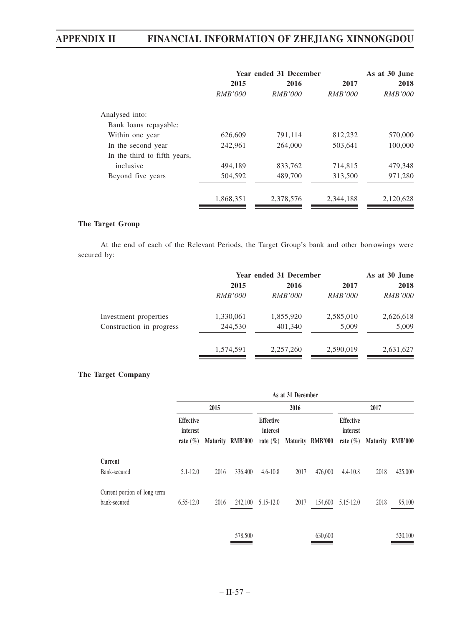|                              | Year ended 31 December | As at 30 June  |                |                |
|------------------------------|------------------------|----------------|----------------|----------------|
|                              | 2015                   | 2016           | 2017           | 2018           |
|                              | <i>RMB'000</i>         | <i>RMB'000</i> | <i>RMB'000</i> | <i>RMB'000</i> |
| Analysed into:               |                        |                |                |                |
| Bank loans repayable:        |                        |                |                |                |
| Within one year              | 626,609                | 791,114        | 812,232        | 570,000        |
| In the second year           | 242,961                | 264,000        | 503,641        | 100,000        |
| In the third to fifth years, |                        |                |                |                |
| inclusive                    | 494.189                | 833,762        | 714,815        | 479,348        |
| Beyond five years            | 504,592                | 489,700        | 313,500        | 971,280        |
|                              | 1,868,351              | 2,378,576      | 2,344,188      | 2,120,628      |

#### **The Target Group**

At the end of each of the Relevant Periods, the Target Group's bank and other borrowings were secured by:

|                          |                | Year ended 31 December |                |                |  |
|--------------------------|----------------|------------------------|----------------|----------------|--|
|                          | 2015           | 2016                   | 2017           | 2018           |  |
|                          | <i>RMB'000</i> | <i>RMB'000</i>         | <i>RMB'000</i> | <i>RMB'000</i> |  |
| Investment properties    | 1,330,061      | 1,855,920              | 2,585,010      | 2,626,618      |  |
| Construction in progress | 244,530        | 401,340                | 5,009          | 5,009          |  |
|                          | 1,574,591      | 2,257,260              | 2,590,019      | 2,631,627      |  |

#### **The Target Company**

|                                              |                                              | As at 31 December |                  |                                              |      |                  |                                              |      |                  |
|----------------------------------------------|----------------------------------------------|-------------------|------------------|----------------------------------------------|------|------------------|----------------------------------------------|------|------------------|
|                                              |                                              | 2015              |                  | 2016                                         |      |                  | 2017                                         |      |                  |
|                                              | <b>Effective</b><br>interest<br>rate $(\% )$ |                   | Maturity RMB'000 | <b>Effective</b><br>interest<br>rate $(\% )$ |      | Maturity RMB'000 | <b>Effective</b><br>interest<br>rate $(\% )$ |      | Maturity RMB'000 |
| Current                                      |                                              |                   |                  |                                              |      |                  |                                              |      |                  |
| Bank-secured                                 | $5.1 - 12.0$                                 | 2016              | 336,400          | $4.6 - 10.8$                                 | 2017 | 476,000          | $4.4 - 10.8$                                 | 2018 | 425,000          |
| Current portion of long term<br>bank-secured | $6.55 - 12.0$                                | 2016              | 242,100          | $5.15 - 12.0$                                | 2017 | 154,600          | 5.15-12.0                                    | 2018 | 95,100           |
|                                              |                                              |                   |                  |                                              |      |                  |                                              |      |                  |

578,500 630,600 520,100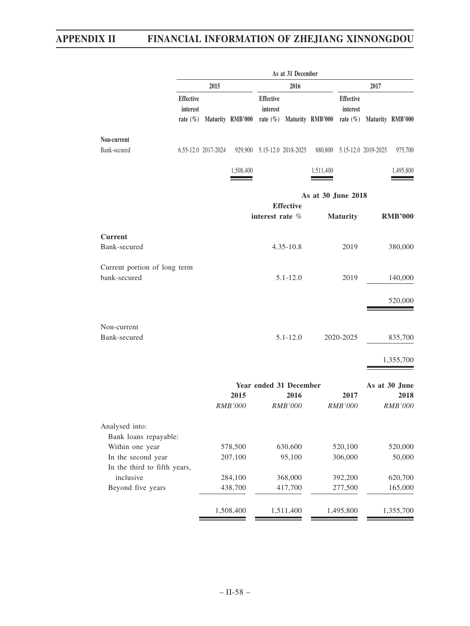|                                                    | As at 31 December                            |                     |                        |                              |                        |                                          |                              |                             |                        |
|----------------------------------------------------|----------------------------------------------|---------------------|------------------------|------------------------------|------------------------|------------------------------------------|------------------------------|-----------------------------|------------------------|
|                                                    | 2016<br>2015                                 |                     |                        |                              | 2017                   |                                          |                              |                             |                        |
|                                                    | <b>Effective</b><br>interest<br>rate $(\% )$ |                     | Maturity RMB'000       | <b>Effective</b><br>interest |                        | rate $(\%)$ Maturity RMB'000 rate $(\%)$ | <b>Effective</b><br>interest |                             | Maturity RMB'000       |
| Non-current                                        |                                              |                     |                        |                              |                        |                                          |                              |                             |                        |
| Bank-secured                                       |                                              | 6.55-12.0 2017-2024 |                        | 929,900 5.15-12.0 2018-2025  |                        |                                          |                              | 880,800 5.15-12.0 2019-2025 | 975,700                |
|                                                    |                                              |                     | 1,508,400              |                              |                        | 1,511,400                                |                              |                             | 1,495,800              |
|                                                    |                                              |                     |                        |                              | <b>Effective</b>       | As at 30 June 2018                       |                              |                             |                        |
|                                                    |                                              |                     |                        | interest rate %              |                        |                                          | <b>Maturity</b>              |                             | <b>RMB'000</b>         |
| <b>Current</b>                                     |                                              |                     |                        |                              |                        |                                          |                              |                             |                        |
| Bank-secured                                       |                                              |                     |                        |                              | $4.35 - 10.8$          |                                          | 2019                         |                             | 380,000                |
| Current portion of long term<br>bank-secured       |                                              |                     |                        |                              | $5.1 - 12.0$           |                                          | 2019                         |                             | 140,000                |
|                                                    |                                              |                     |                        |                              |                        |                                          |                              |                             | 520,000                |
| Non-current<br>Bank-secured                        |                                              |                     |                        |                              | $5.1 - 12.0$           |                                          | 2020-2025                    |                             | 835,700                |
|                                                    |                                              |                     |                        |                              |                        |                                          |                              |                             | 1,355,700              |
|                                                    |                                              |                     |                        |                              |                        |                                          |                              |                             |                        |
|                                                    |                                              |                     |                        | Year ended 31 December       |                        |                                          |                              |                             | As at 30 June          |
|                                                    |                                              |                     | 2015<br><b>RMB'000</b> |                              | 2016<br><b>RMB'000</b> |                                          | 2017<br><b>RMB'000</b>       |                             | 2018<br><b>RMB'000</b> |
| Analysed into:                                     |                                              |                     |                        |                              |                        |                                          |                              |                             |                        |
| Bank loans repayable:                              |                                              |                     |                        |                              |                        |                                          |                              |                             |                        |
| Within one year                                    |                                              |                     | 578,500                |                              | 630,600                |                                          | 520,100                      |                             | 520,000                |
| In the second year<br>In the third to fifth years, |                                              |                     | 207,100                |                              | 95,100                 |                                          | 306,000                      |                             | 50,000                 |
| inclusive                                          |                                              |                     | 284,100                |                              | 368,000                |                                          | 392,200                      |                             | 620,700                |
| Beyond five years                                  |                                              |                     | 438,700                |                              | 417,700                |                                          | 277,500                      |                             | 165,000                |
|                                                    |                                              |                     |                        |                              |                        |                                          |                              |                             |                        |
|                                                    |                                              |                     | 1,508,400              |                              | 1,511,400              |                                          | 1,495,800                    |                             | 1,355,700              |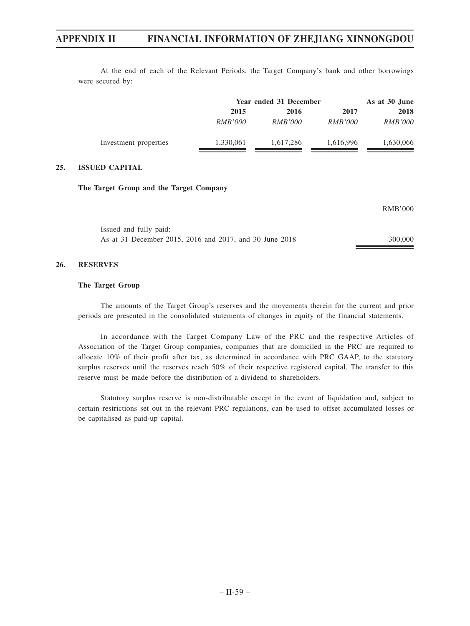At the end of each of the Relevant Periods, the Target Company's bank and other borrowings were secured by:

|                       |                | Year ended 31 December |                |                |
|-----------------------|----------------|------------------------|----------------|----------------|
|                       | 2015           | 2016                   | 2017           | 2018           |
|                       | <i>RMB'000</i> | <i>RMB'000</i>         | <i>RMB'000</i> | <i>RMB'000</i> |
| Investment properties | 1,330,061      | 1.617.286              | 1,616,996      | 1,630,066      |

#### **25. ISSUED CAPITAL**

#### **The Target Group and the Target Company**

|                                                         | RMB'000 |
|---------------------------------------------------------|---------|
| Issued and fully paid:                                  |         |
| As at 31 December 2015, 2016 and 2017, and 30 June 2018 | 300,000 |

#### **26. RESERVES**

#### **The Target Group**

The amounts of the Target Group's reserves and the movements therein for the current and prior periods are presented in the consolidated statements of changes in equity of the financial statements.

In accordance with the Target Company Law of the PRC and the respective Articles of Association of the Target Group companies, companies that are domiciled in the PRC are required to allocate 10% of their profit after tax, as determined in accordance with PRC GAAP, to the statutory surplus reserves until the reserves reach 50% of their respective registered capital. The transfer to this reserve must be made before the distribution of a dividend to shareholders.

Statutory surplus reserve is non-distributable except in the event of liquidation and, subject to certain restrictions set out in the relevant PRC regulations, can be used to offset accumulated losses or be capitalised as paid-up capital.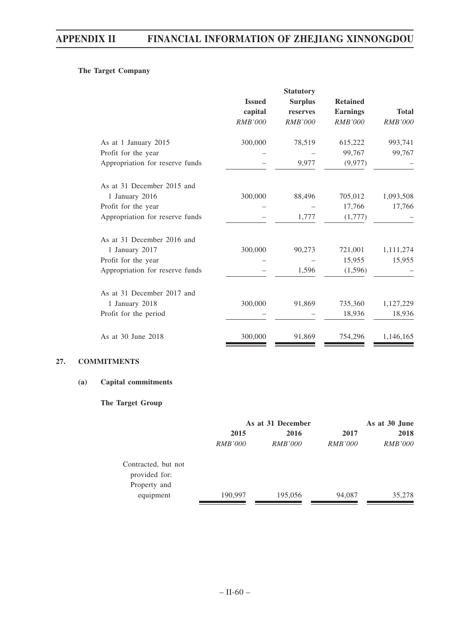### **The Target Company**

|                                 | <b>Issued</b>  | <b>Surplus</b> | <b>Retained</b> |                |
|---------------------------------|----------------|----------------|-----------------|----------------|
|                                 | capital        | reserves       | <b>Earnings</b> | <b>Total</b>   |
|                                 | <i>RMB'000</i> | <b>RMB'000</b> | <b>RMB'000</b>  | <b>RMB'000</b> |
| As at 1 January 2015            | 300,000        | 78,519         | 615,222         | 993,741        |
| Profit for the year             |                |                | 99,767          | 99,767         |
| Appropriation for reserve funds |                | 9,977          | (9,977)         |                |
| As at 31 December 2015 and      |                |                |                 |                |
| 1 January 2016                  | 300,000        | 88,496         | 705,012         | 1,093,508      |
| Profit for the year             |                |                | 17,766          | 17,766         |
| Appropriation for reserve funds |                | 1,777          | (1,777)         |                |
| As at 31 December 2016 and      |                |                |                 |                |
| 1 January 2017                  | 300,000        | 90,273         | 721,001         | 1,111,274      |
| Profit for the year             |                |                | 15,955          | 15,955         |
| Appropriation for reserve funds |                | 1,596          | (1,596)         |                |
| As at 31 December 2017 and      |                |                |                 |                |
| 1 January 2018                  | 300,000        | 91,869         | 735,360         | 1,127,229      |
| Profit for the period           |                |                | 18,936          | 18,936         |
| As at 30 June 2018              | 300,000        | 91,869         | 754,296         | 1,146,165      |

#### **27. COMMITMENTS**

#### **(a) Capital commitments**

#### **The Target Group**

|                                      | As at 31 December |                |                | As at 30 June  |  |
|--------------------------------------|-------------------|----------------|----------------|----------------|--|
|                                      | 2015              | 2016           | 2017           | 2018           |  |
|                                      | <i>RMB'000</i>    | <i>RMB'000</i> | <i>RMB'000</i> | <i>RMB'000</i> |  |
| Contracted, but not<br>provided for: |                   |                |                |                |  |
| Property and                         |                   |                |                |                |  |
| equipment                            | 190,997           | 195,056        | 94,087         | 35,278         |  |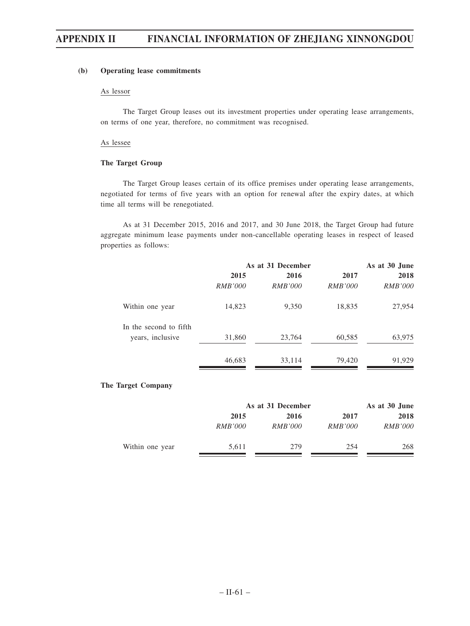#### **(b) Operating lease commitments**

#### As lessor

The Target Group leases out its investment properties under operating lease arrangements, on terms of one year, therefore, no commitment was recognised.

#### As lessee

#### **The Target Group**

The Target Group leases certain of its office premises under operating lease arrangements, negotiated for terms of five years with an option for renewal after the expiry dates, at which time all terms will be renegotiated.

As at 31 December 2015, 2016 and 2017, and 30 June 2018, the Target Group had future aggregate minimum lease payments under non-cancellable operating leases in respect of leased properties as follows:

|                        | As at 31 December |                | As at 30 June  |                |  |
|------------------------|-------------------|----------------|----------------|----------------|--|
|                        | 2015              | 2016           | 2017           | 2018           |  |
|                        | <i>RMB'000</i>    | <i>RMB'000</i> | <i>RMB'000</i> | <i>RMB'000</i> |  |
| Within one year        | 14,823            | 9,350          | 18,835         | 27,954         |  |
| In the second to fifth |                   |                |                |                |  |
| years, inclusive       | 31,860            | 23,764         | 60,585         | 63,975         |  |
|                        | 46,683            | 33,114         | 79,420         | 91,929         |  |

#### **The Target Company**

|                 |                | As at 31 December |                |                |
|-----------------|----------------|-------------------|----------------|----------------|
|                 | 2015           | 2016              | 2017           | 2018           |
|                 | <i>RMB'000</i> | <i>RMB'000</i>    | <i>RMB'000</i> | <i>RMB'000</i> |
| Within one year | 5.611          | 279               | 254            | 268            |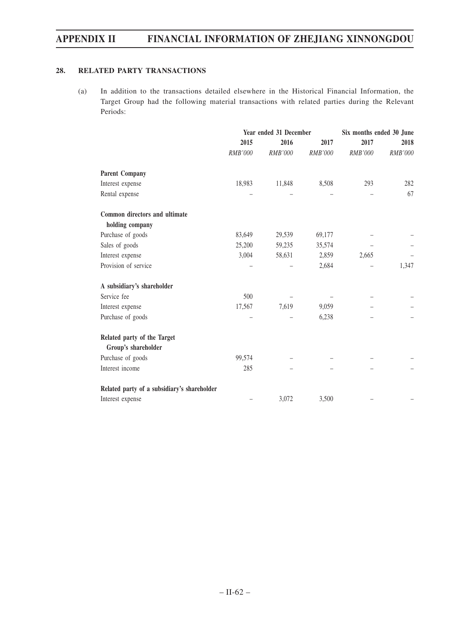#### **28. RELATED PARTY TRANSACTIONS**

(a) In addition to the transactions detailed elsewhere in the Historical Financial Information, the Target Group had the following material transactions with related parties during the Relevant Periods:

|                                             |                | Year ended 31 December | Six months ended 30 June |                |         |
|---------------------------------------------|----------------|------------------------|--------------------------|----------------|---------|
|                                             | 2015           | 2016                   | 2017                     | 2017           | 2018    |
|                                             | <b>RMB'000</b> | <b>RMB'000</b>         | <b>RMB'000</b>           | <b>RMB'000</b> | RMB'000 |
| <b>Parent Company</b>                       |                |                        |                          |                |         |
| Interest expense                            | 18,983         | 11,848                 | 8,508                    | 293            | 282     |
| Rental expense                              |                |                        |                          |                | 67      |
| Common directors and ultimate               |                |                        |                          |                |         |
| holding company                             |                |                        |                          |                |         |
| Purchase of goods                           | 83,649         | 29,539                 | 69,177                   |                |         |
| Sales of goods                              | 25,200         | 59,235                 | 35,574                   |                |         |
| Interest expense                            | 3,004          | 58,631                 | 2,859                    | 2,665          |         |
| Provision of service                        |                |                        | 2,684                    |                | 1,347   |
| A subsidiary's shareholder                  |                |                        |                          |                |         |
| Service fee                                 | 500            |                        |                          |                |         |
| Interest expense                            | 17,567         | 7,619                  | 9,059                    |                |         |
| Purchase of goods                           |                |                        | 6,238                    |                |         |
| Related party of the Target                 |                |                        |                          |                |         |
| Group's shareholder                         |                |                        |                          |                |         |
| Purchase of goods                           | 99,574         |                        |                          |                |         |
| Interest income                             | 285            |                        |                          |                |         |
| Related party of a subsidiary's shareholder |                |                        |                          |                |         |
| Interest expense                            |                | 3,072                  | 3,500                    |                |         |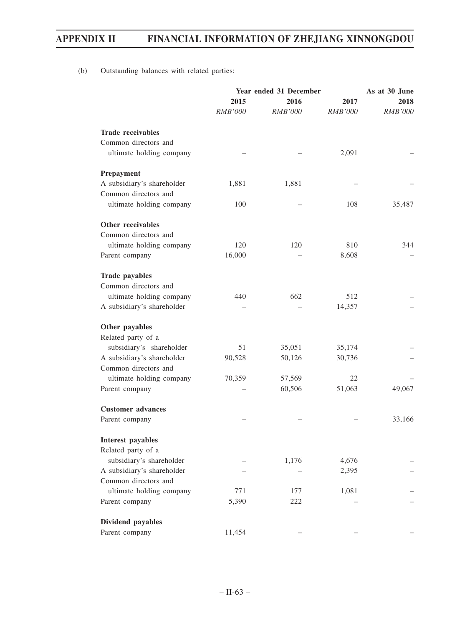(b) Outstanding balances with related parties:

|                            | Year ended 31 December | As at 30 June  |                |                |  |
|----------------------------|------------------------|----------------|----------------|----------------|--|
|                            | 2015<br>2016           |                | 2017           | 2018           |  |
|                            | <b>RMB'000</b>         | <b>RMB'000</b> | <i>RMB'000</i> | <i>RMB'000</i> |  |
| <b>Trade receivables</b>   |                        |                |                |                |  |
| Common directors and       |                        |                |                |                |  |
| ultimate holding company   |                        |                | 2,091          |                |  |
| Prepayment                 |                        |                |                |                |  |
| A subsidiary's shareholder | 1,881                  | 1,881          |                |                |  |
| Common directors and       |                        |                |                |                |  |
| ultimate holding company   | 100                    |                | 108            | 35,487         |  |
| Other receivables          |                        |                |                |                |  |
| Common directors and       |                        |                |                |                |  |
| ultimate holding company   | 120                    | 120            | 810            | 344            |  |
| Parent company             | 16,000                 |                | 8,608          |                |  |
| <b>Trade payables</b>      |                        |                |                |                |  |
| Common directors and       |                        |                |                |                |  |
| ultimate holding company   | 440                    | 662            | 512            |                |  |
| A subsidiary's shareholder |                        |                | 14,357         |                |  |
| Other payables             |                        |                |                |                |  |
| Related party of a         |                        |                |                |                |  |
| subsidiary's shareholder   | 51                     | 35,051         | 35,174         |                |  |
| A subsidiary's shareholder | 90,528                 | 50,126         | 30,736         |                |  |
| Common directors and       |                        |                |                |                |  |
| ultimate holding company   | 70,359                 | 57,569         | 22             |                |  |
| Parent company             |                        | 60,506         | 51,063         | 49,067         |  |
| <b>Customer</b> advances   |                        |                |                |                |  |
| Parent company             |                        |                |                | 33,166         |  |
| Interest payables          |                        |                |                |                |  |
| Related party of a         |                        |                |                |                |  |
| subsidiary's shareholder   |                        | 1,176          | 4,676          |                |  |
| A subsidiary's shareholder |                        |                | 2,395          |                |  |
| Common directors and       |                        |                |                |                |  |
| ultimate holding company   | 771                    | 177            | 1,081          |                |  |
| Parent company             | 5,390                  | 222            |                |                |  |
| Dividend payables          |                        |                |                |                |  |
| Parent company             | 11,454                 |                |                |                |  |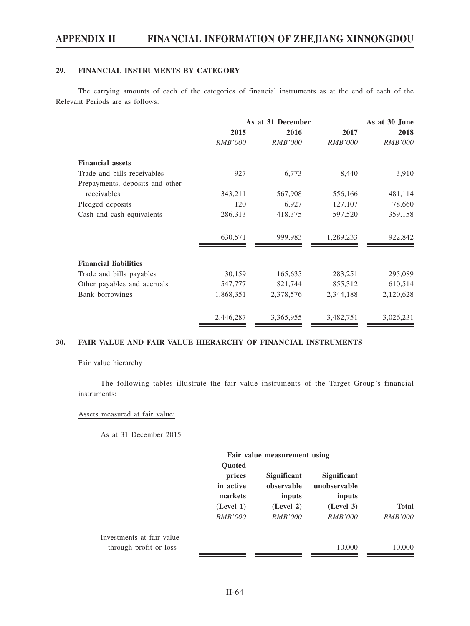#### **29. FINANCIAL INSTRUMENTS BY CATEGORY**

The carrying amounts of each of the categories of financial instruments as at the end of each of the Relevant Periods are as follows:

|                                 |                | As at 31 December | As at 30 June  |                |  |
|---------------------------------|----------------|-------------------|----------------|----------------|--|
|                                 | 2015           | 2016              | 2017           | 2018           |  |
|                                 | <b>RMB'000</b> | <b>RMB'000</b>    | <i>RMB'000</i> | <b>RMB'000</b> |  |
| <b>Financial assets</b>         |                |                   |                |                |  |
| Trade and bills receivables     | 927            | 6,773             | 8,440          | 3,910          |  |
| Prepayments, deposits and other |                |                   |                |                |  |
| receivables                     | 343,211        | 567,908           | 556,166        | 481,114        |  |
| Pledged deposits                | 120            | 6,927             | 127,107        | 78,660         |  |
| Cash and cash equivalents       | 286,313        | 418,375           | 597,520        | 359,158        |  |
|                                 | 630,571        | 999,983           | 1,289,233      | 922,842        |  |
| <b>Financial liabilities</b>    |                |                   |                |                |  |
| Trade and bills payables        | 30,159         | 165,635           | 283,251        | 295,089        |  |
| Other payables and accruals     | 547,777        | 821,744           | 855,312        | 610,514        |  |
| Bank borrowings                 | 1,868,351      | 2,378,576         | 2,344,188      | 2,120,628      |  |
|                                 | 2,446,287      | 3,365,955         | 3,482,751      | 3,026,231      |  |

### **30. FAIR VALUE AND FAIR VALUE HIERARCHY OF FINANCIAL INSTRUMENTS**

#### Fair value hierarchy

The following tables illustrate the fair value instruments of the Target Group's financial instruments:

#### Assets measured at fair value:

As at 31 December 2015

|                                                     | Fair value measurement using                                                   |                                                                           |                                                                             |                                |
|-----------------------------------------------------|--------------------------------------------------------------------------------|---------------------------------------------------------------------------|-----------------------------------------------------------------------------|--------------------------------|
|                                                     | <b>Quoted</b><br>prices<br>in active<br>markets<br>(Level 1)<br><i>RMB'000</i> | <b>Significant</b><br>observable<br>inputs<br>(Level 2)<br><i>RMB'000</i> | <b>Significant</b><br>unobservable<br>inputs<br>(Level 3)<br><i>RMB'000</i> | <b>Total</b><br><i>RMB'000</i> |
| Investments at fair value<br>through profit or loss |                                                                                |                                                                           | 10,000                                                                      | 10,000                         |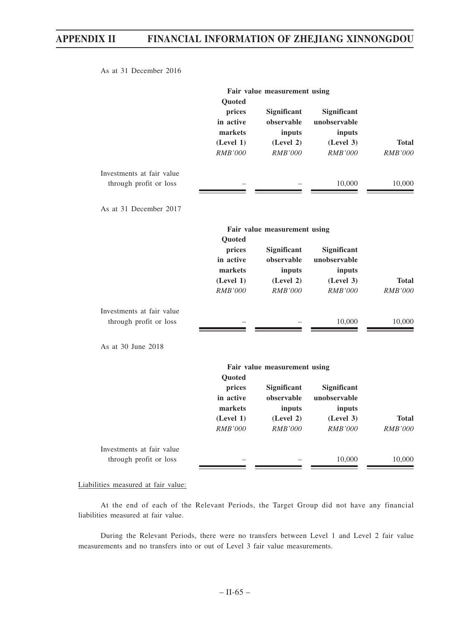As at 31 December 2016

|                                                     | Fair value measurement using<br>Quoted                                  |                                                                    |                                                                      |                                |
|-----------------------------------------------------|-------------------------------------------------------------------------|--------------------------------------------------------------------|----------------------------------------------------------------------|--------------------------------|
|                                                     | prices<br>in active<br>markets<br>(Level 1)<br>RMB'000                  | Significant<br>observable<br>inputs<br>(Level 2)<br>RMB'000        | Significant<br>unobservable<br>inputs<br>(Level 3)<br><b>RMB'000</b> | <b>Total</b><br><b>RMB'000</b> |
| Investments at fair value<br>through profit or loss |                                                                         |                                                                    | 10,000                                                               | 10,000                         |
| As at 31 December 2017                              |                                                                         |                                                                    |                                                                      |                                |
|                                                     |                                                                         | Fair value measurement using                                       |                                                                      |                                |
|                                                     | Quoted<br>prices<br>in active<br>markets<br>(Level 1)<br><b>RMB'000</b> | Significant<br>observable<br>inputs<br>(Level 2)<br><b>RMB'000</b> | Significant<br>unobservable<br>inputs<br>(Level 3)<br><b>RMB'000</b> | <b>Total</b><br><b>RMB'000</b> |
| Investments at fair value<br>through profit or loss |                                                                         |                                                                    | 10,000                                                               | 10,000                         |
| As at 30 June 2018                                  |                                                                         |                                                                    |                                                                      |                                |
|                                                     | Quoted                                                                  | Fair value measurement using                                       |                                                                      |                                |
|                                                     | prices<br>in active<br>markets                                          | Significant<br>observable<br>inputs                                | Significant<br>unobservable<br>inputs                                |                                |
|                                                     | (Level 1)<br><b>RMB'000</b>                                             | (Level 2)<br><b>RMB'000</b>                                        | (Level 3)<br><b>RMB'000</b>                                          | <b>Total</b><br><b>RMB'000</b> |
| Investments at fair value<br>through profit or loss |                                                                         |                                                                    | 10,000                                                               | 10,000                         |

Liabilities measured at fair value:

At the end of each of the Relevant Periods, the Target Group did not have any financial liabilities measured at fair value.

During the Relevant Periods, there were no transfers between Level 1 and Level 2 fair value measurements and no transfers into or out of Level 3 fair value measurements.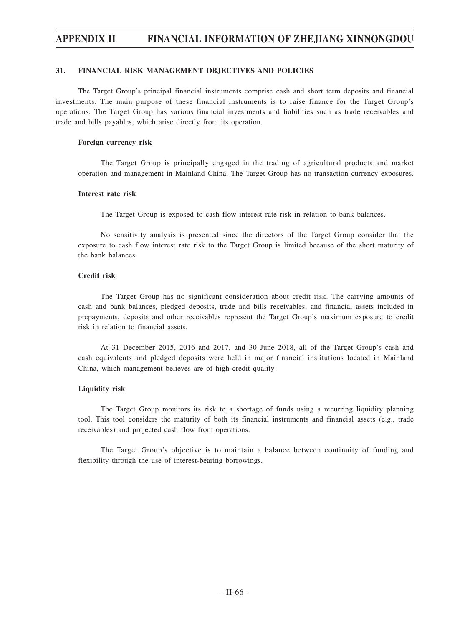#### **31. FINANCIAL RISK MANAGEMENT OBJECTIVES AND POLICIES**

The Target Group's principal financial instruments comprise cash and short term deposits and financial investments. The main purpose of these financial instruments is to raise finance for the Target Group's operations. The Target Group has various financial investments and liabilities such as trade receivables and trade and bills payables, which arise directly from its operation.

#### **Foreign currency risk**

The Target Group is principally engaged in the trading of agricultural products and market operation and management in Mainland China. The Target Group has no transaction currency exposures.

#### **Interest rate risk**

The Target Group is exposed to cash flow interest rate risk in relation to bank balances.

No sensitivity analysis is presented since the directors of the Target Group consider that the exposure to cash flow interest rate risk to the Target Group is limited because of the short maturity of the bank balances.

#### **Credit risk**

The Target Group has no significant consideration about credit risk. The carrying amounts of cash and bank balances, pledged deposits, trade and bills receivables, and financial assets included in prepayments, deposits and other receivables represent the Target Group's maximum exposure to credit risk in relation to financial assets.

At 31 December 2015, 2016 and 2017, and 30 June 2018, all of the Target Group's cash and cash equivalents and pledged deposits were held in major financial institutions located in Mainland China, which management believes are of high credit quality.

#### **Liquidity risk**

The Target Group monitors its risk to a shortage of funds using a recurring liquidity planning tool. This tool considers the maturity of both its financial instruments and financial assets (e.g., trade receivables) and projected cash flow from operations.

The Target Group's objective is to maintain a balance between continuity of funding and flexibility through the use of interest-bearing borrowings.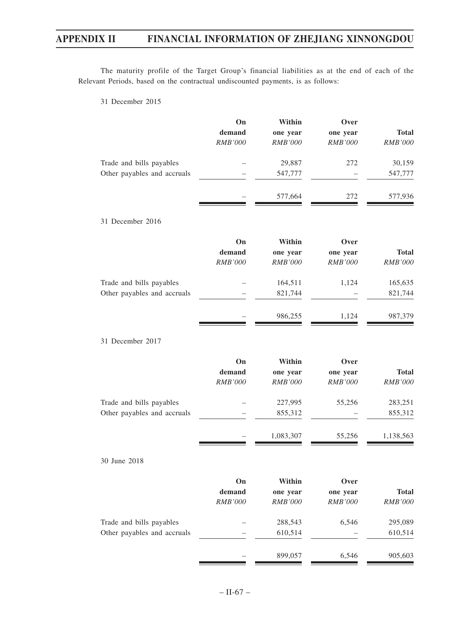The maturity profile of the Target Group's financial liabilities as at the end of each of the Relevant Periods, based on the contractual undiscounted payments, is as follows:

31 December 2015

|                             | On             | Within         | Over           |                |
|-----------------------------|----------------|----------------|----------------|----------------|
|                             | demand         | one year       | one year       | <b>Total</b>   |
|                             | RMB'000        | <b>RMB'000</b> | <b>RMB'000</b> | RMB'000        |
| Trade and bills payables    |                | 29,887         | 272            | 30,159         |
| Other payables and accruals |                | 547,777        |                | 547,777        |
|                             |                | 577,664        | 272            | 577,936        |
| 31 December 2016            |                |                |                |                |
|                             | On             | Within         | Over           |                |
|                             | demand         | one year       | one year       | <b>Total</b>   |
|                             | <b>RMB'000</b> | <b>RMB'000</b> | <b>RMB'000</b> | <b>RMB'000</b> |
| Trade and bills payables    |                | 164,511        | 1,124          | 165,635        |
| Other payables and accruals |                | 821,744        |                | 821,744        |
|                             |                | 986,255        | 1,124          | 987,379        |
| 31 December 2017            |                |                |                |                |
|                             | On             | Within         | Over           |                |
|                             | demand         | one year       | one year       | <b>Total</b>   |
|                             | RMB'000        | <b>RMB'000</b> | <b>RMB'000</b> | <b>RMB'000</b> |
| Trade and bills payables    |                | 227,995        | 55,256         | 283,251        |
| Other payables and accruals |                | 855,312        |                | 855,312        |
|                             |                | 1,083,307      | 55,256         | 1,138,563      |
| 30 June 2018                |                |                |                |                |
|                             | On             | Within         | Over           |                |
|                             | demand         | one year       | one year       | <b>Total</b>   |
|                             | $RMB'000$      | RMB'000        | RMB'000        | RMB'000        |
| Trade and bills payables    |                | 288,543        | 6,546          | 295,089        |
| Other payables and accruals |                | 610,514        |                | 610,514        |
|                             |                | 899,057        | 6,546          | 905,603        |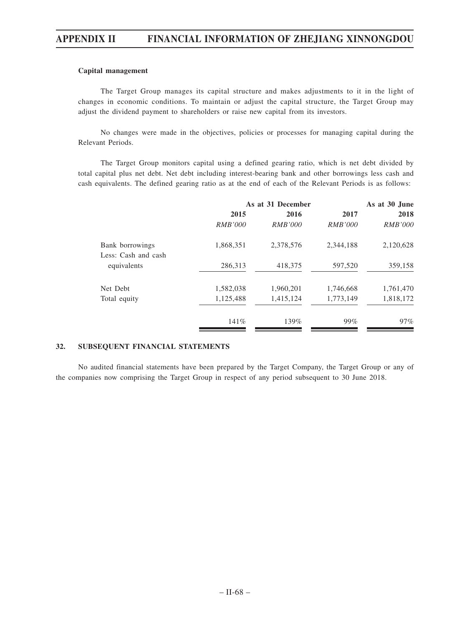#### **Capital management**

The Target Group manages its capital structure and makes adjustments to it in the light of changes in economic conditions. To maintain or adjust the capital structure, the Target Group may adjust the dividend payment to shareholders or raise new capital from its investors.

No changes were made in the objectives, policies or processes for managing capital during the Relevant Periods.

The Target Group monitors capital using a defined gearing ratio, which is net debt divided by total capital plus net debt. Net debt including interest-bearing bank and other borrowings less cash and cash equivalents. The defined gearing ratio as at the end of each of the Relevant Periods is as follows:

|                     | As at 31 December |                |                | As at 30 June  |  |  |
|---------------------|-------------------|----------------|----------------|----------------|--|--|
|                     | 2015              | 2016           | 2017           | 2018           |  |  |
|                     | <i>RMB'000</i>    | <i>RMB'000</i> | <i>RMB'000</i> | <i>RMB'000</i> |  |  |
| Bank borrowings     | 1,868,351         | 2,378,576      | 2,344,188      | 2,120,628      |  |  |
| Less: Cash and cash |                   |                |                |                |  |  |
| equivalents         | 286,313           | 418,375        | 597,520        | 359,158        |  |  |
| Net Debt            | 1,582,038         | 1,960,201      | 1,746,668      | 1,761,470      |  |  |
| Total equity        | 1,125,488         | 1,415,124      | 1,773,149      | 1,818,172      |  |  |
|                     | 141%              | 139%           | 99%            | $97\%$         |  |  |

#### **32. SUBSEQUENT FINANCIAL STATEMENTS**

No audited financial statements have been prepared by the Target Company, the Target Group or any of the companies now comprising the Target Group in respect of any period subsequent to 30 June 2018.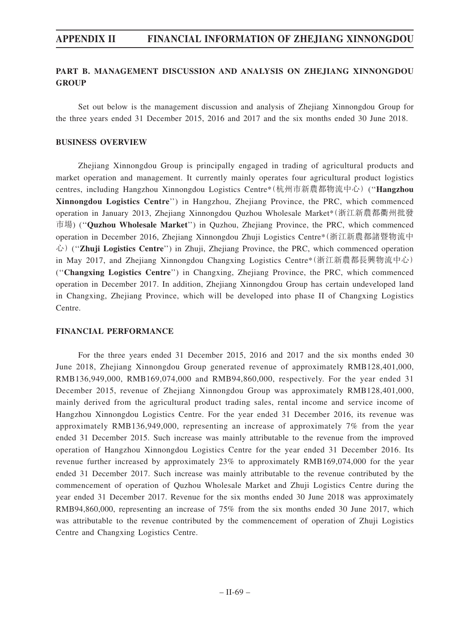## **PART B. MANAGEMENT DISCUSSION AND ANALYSIS ON ZHEJIANG XINNONGDOU GROUP**

Set out below is the management discussion and analysis of Zhejiang Xinnongdou Group for the three years ended 31 December 2015, 2016 and 2017 and the six months ended 30 June 2018.

#### **BUSINESS OVERVIEW**

Zhejiang Xinnongdou Group is principally engaged in trading of agricultural products and market operation and management. It currently mainly operates four agricultural product logistics centres, including Hangzhou Xinnongdou Logistics Centre\*(杭州市新農都物流中心) (''**Hangzhou Xinnongdou Logistics Centre**'') in Hangzhou, Zhejiang Province, the PRC, which commenced operation in January 2013, Zhejiang Xinnongdou Quzhou Wholesale Market\*(浙江新農都衢州批發 市場) (''**Quzhou Wholesale Market**'') in Quzhou, Zhejiang Province, the PRC, which commenced operation in December 2016, Zhejiang Xinnongdou Zhuji Logistics Centre\*(浙江新農都諸暨物流中 心) (''**Zhuji Logistics Centre**'') in Zhuji, Zhejiang Province, the PRC, which commenced operation in May 2017, and Zhejiang Xinnongdou Changxing Logistics Centre\*(浙江新農都長興物流中心) (''**Changxing Logistics Centre**'') in Changxing, Zhejiang Province, the PRC, which commenced operation in December 2017. In addition, Zhejiang Xinnongdou Group has certain undeveloped land in Changxing, Zhejiang Province, which will be developed into phase II of Changxing Logistics Centre.

### **FINANCIAL PERFORMANCE**

For the three years ended 31 December 2015, 2016 and 2017 and the six months ended 30 June 2018, Zhejiang Xinnongdou Group generated revenue of approximately RMB128,401,000, RMB136,949,000, RMB169,074,000 and RMB94,860,000, respectively. For the year ended 31 December 2015, revenue of Zhejiang Xinnongdou Group was approximately RMB128,401,000, mainly derived from the agricultural product trading sales, rental income and service income of Hangzhou Xinnongdou Logistics Centre. For the year ended 31 December 2016, its revenue was approximately RMB136,949,000, representing an increase of approximately 7% from the year ended 31 December 2015. Such increase was mainly attributable to the revenue from the improved operation of Hangzhou Xinnongdou Logistics Centre for the year ended 31 December 2016. Its revenue further increased by approximately 23% to approximately RMB169,074,000 for the year ended 31 December 2017. Such increase was mainly attributable to the revenue contributed by the commencement of operation of Quzhou Wholesale Market and Zhuji Logistics Centre during the year ended 31 December 2017. Revenue for the six months ended 30 June 2018 was approximately RMB94,860,000, representing an increase of 75% from the six months ended 30 June 2017, which was attributable to the revenue contributed by the commencement of operation of Zhuji Logistics Centre and Changxing Logistics Centre.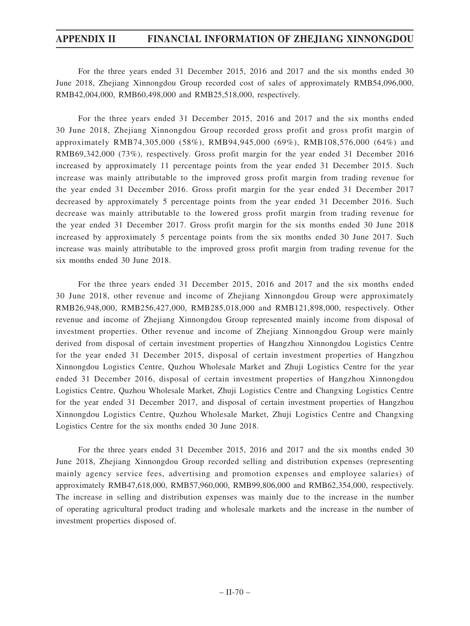For the three years ended 31 December 2015, 2016 and 2017 and the six months ended 30 June 2018, Zhejiang Xinnongdou Group recorded cost of sales of approximately RMB54,096,000, RMB42,004,000, RMB60,498,000 and RMB25,518,000, respectively.

For the three years ended 31 December 2015, 2016 and 2017 and the six months ended 30 June 2018, Zhejiang Xinnongdou Group recorded gross profit and gross profit margin of approximately RMB74,305,000 (58%), RMB94,945,000 (69%), RMB108,576,000 (64%) and RMB69,342,000 (73%), respectively. Gross profit margin for the year ended 31 December 2016 increased by approximately 11 percentage points from the year ended 31 December 2015. Such increase was mainly attributable to the improved gross profit margin from trading revenue for the year ended 31 December 2016. Gross profit margin for the year ended 31 December 2017 decreased by approximately 5 percentage points from the year ended 31 December 2016. Such decrease was mainly attributable to the lowered gross profit margin from trading revenue for the year ended 31 December 2017. Gross profit margin for the six months ended 30 June 2018 increased by approximately 5 percentage points from the six months ended 30 June 2017. Such increase was mainly attributable to the improved gross profit margin from trading revenue for the six months ended 30 June 2018.

For the three years ended 31 December 2015, 2016 and 2017 and the six months ended 30 June 2018, other revenue and income of Zhejiang Xinnongdou Group were approximately RMB26,948,000, RMB256,427,000, RMB285,018,000 and RMB121,898,000, respectively. Other revenue and income of Zhejiang Xinnongdou Group represented mainly income from disposal of investment properties. Other revenue and income of Zhejiang Xinnongdou Group were mainly derived from disposal of certain investment properties of Hangzhou Xinnongdou Logistics Centre for the year ended 31 December 2015, disposal of certain investment properties of Hangzhou Xinnongdou Logistics Centre, Quzhou Wholesale Market and Zhuji Logistics Centre for the year ended 31 December 2016, disposal of certain investment properties of Hangzhou Xinnongdou Logistics Centre, Quzhou Wholesale Market, Zhuji Logistics Centre and Changxing Logistics Centre for the year ended 31 December 2017, and disposal of certain investment properties of Hangzhou Xinnongdou Logistics Centre, Quzhou Wholesale Market, Zhuji Logistics Centre and Changxing Logistics Centre for the six months ended 30 June 2018.

For the three years ended 31 December 2015, 2016 and 2017 and the six months ended 30 June 2018, Zhejiang Xinnongdou Group recorded selling and distribution expenses (representing mainly agency service fees, advertising and promotion expenses and employee salaries) of approximately RMB47,618,000, RMB57,960,000, RMB99,806,000 and RMB62,354,000, respectively. The increase in selling and distribution expenses was mainly due to the increase in the number of operating agricultural product trading and wholesale markets and the increase in the number of investment properties disposed of.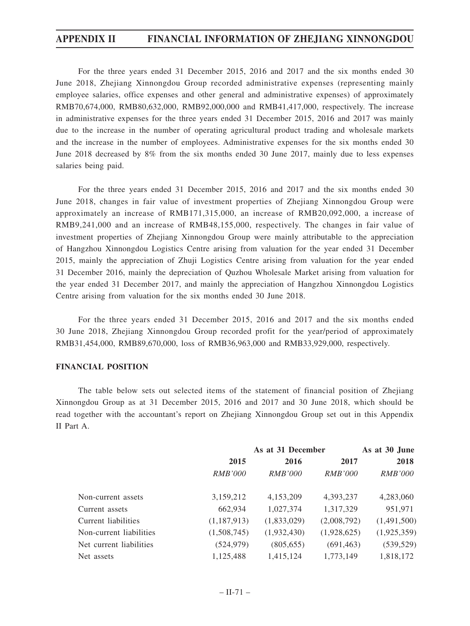For the three years ended 31 December 2015, 2016 and 2017 and the six months ended 30 June 2018, Zhejiang Xinnongdou Group recorded administrative expenses (representing mainly employee salaries, office expenses and other general and administrative expenses) of approximately RMB70,674,000, RMB80,632,000, RMB92,000,000 and RMB41,417,000, respectively. The increase in administrative expenses for the three years ended 31 December 2015, 2016 and 2017 was mainly due to the increase in the number of operating agricultural product trading and wholesale markets and the increase in the number of employees. Administrative expenses for the six months ended 30 June 2018 decreased by 8% from the six months ended 30 June 2017, mainly due to less expenses salaries being paid.

For the three years ended 31 December 2015, 2016 and 2017 and the six months ended 30 June 2018, changes in fair value of investment properties of Zhejiang Xinnongdou Group were approximately an increase of RMB171,315,000, an increase of RMB20,092,000, a increase of RMB9,241,000 and an increase of RMB48,155,000, respectively. The changes in fair value of investment properties of Zhejiang Xinnongdou Group were mainly attributable to the appreciation of Hangzhou Xinnongdou Logistics Centre arising from valuation for the year ended 31 December 2015, mainly the appreciation of Zhuji Logistics Centre arising from valuation for the year ended 31 December 2016, mainly the depreciation of Quzhou Wholesale Market arising from valuation for the year ended 31 December 2017, and mainly the appreciation of Hangzhou Xinnongdou Logistics Centre arising from valuation for the six months ended 30 June 2018.

For the three years ended 31 December 2015, 2016 and 2017 and the six months ended 30 June 2018, Zhejiang Xinnongdou Group recorded profit for the year/period of approximately RMB31,454,000, RMB89,670,000, loss of RMB36,963,000 and RMB33,929,000, respectively.

#### **FINANCIAL POSITION**

The table below sets out selected items of the statement of financial position of Zhejiang Xinnongdou Group as at 31 December 2015, 2016 and 2017 and 30 June 2018, which should be read together with the accountant's report on Zhejiang Xinnongdou Group set out in this Appendix II Part A.

|                         | As at 31 December |                |                | As at 30 June  |  |
|-------------------------|-------------------|----------------|----------------|----------------|--|
|                         | 2015              | 2016           | 2017           | 2018           |  |
|                         | <i>RMB'000</i>    | <i>RMB'000</i> | <i>RMB'000</i> | <i>RMB'000</i> |  |
| Non-current assets      | 3,159,212         | 4,153,209      | 4,393,237      | 4,283,060      |  |
| Current assets          | 662,934           | 1,027,374      | 1,317,329      | 951,971        |  |
| Current liabilities     | (1,187,913)       | (1,833,029)    | (2,008,792)    | (1,491,500)    |  |
| Non-current liabilities | (1,508,745)       | (1,932,430)    | (1,928,625)    | (1,925,359)    |  |
| Net current liabilities | (524, 979)        | (805, 655)     | (691, 463)     | (539, 529)     |  |
| Net assets              | 1,125,488         | 1,415,124      | 1,773,149      | 1,818,172      |  |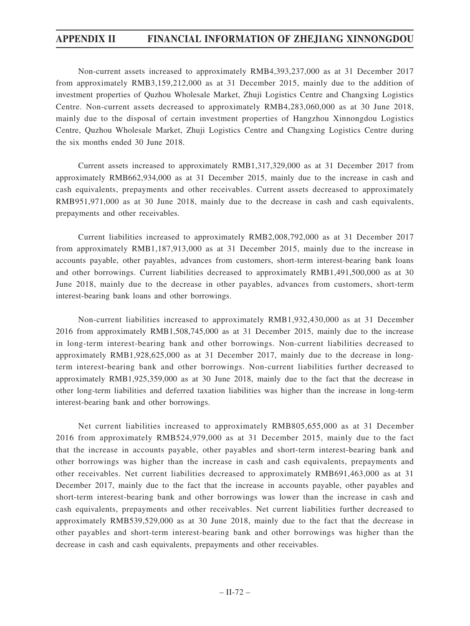Non-current assets increased to approximately RMB4,393,237,000 as at 31 December 2017 from approximately RMB3,159,212,000 as at 31 December 2015, mainly due to the addition of investment properties of Quzhou Wholesale Market, Zhuji Logistics Centre and Changxing Logistics Centre. Non-current assets decreased to approximately RMB4,283,060,000 as at 30 June 2018, mainly due to the disposal of certain investment properties of Hangzhou Xinnongdou Logistics Centre, Quzhou Wholesale Market, Zhuji Logistics Centre and Changxing Logistics Centre during the six months ended 30 June 2018.

Current assets increased to approximately RMB1,317,329,000 as at 31 December 2017 from approximately RMB662,934,000 as at 31 December 2015, mainly due to the increase in cash and cash equivalents, prepayments and other receivables. Current assets decreased to approximately RMB951,971,000 as at 30 June 2018, mainly due to the decrease in cash and cash equivalents, prepayments and other receivables.

Current liabilities increased to approximately RMB2,008,792,000 as at 31 December 2017 from approximately RMB1,187,913,000 as at 31 December 2015, mainly due to the increase in accounts payable, other payables, advances from customers, short-term interest-bearing bank loans and other borrowings. Current liabilities decreased to approximately RMB1,491,500,000 as at 30 June 2018, mainly due to the decrease in other payables, advances from customers, short-term interest-bearing bank loans and other borrowings.

Non-current liabilities increased to approximately RMB1,932,430,000 as at 31 December 2016 from approximately RMB1,508,745,000 as at 31 December 2015, mainly due to the increase in long-term interest-bearing bank and other borrowings. Non-current liabilities decreased to approximately RMB1,928,625,000 as at 31 December 2017, mainly due to the decrease in longterm interest-bearing bank and other borrowings. Non-current liabilities further decreased to approximately RMB1,925,359,000 as at 30 June 2018, mainly due to the fact that the decrease in other long-term liabilities and deferred taxation liabilities was higher than the increase in long-term interest-bearing bank and other borrowings.

Net current liabilities increased to approximately RMB805,655,000 as at 31 December 2016 from approximately RMB524,979,000 as at 31 December 2015, mainly due to the fact that the increase in accounts payable, other payables and short-term interest-bearing bank and other borrowings was higher than the increase in cash and cash equivalents, prepayments and other receivables. Net current liabilities decreased to approximately RMB691,463,000 as at 31 December 2017, mainly due to the fact that the increase in accounts payable, other payables and short-term interest-bearing bank and other borrowings was lower than the increase in cash and cash equivalents, prepayments and other receivables. Net current liabilities further decreased to approximately RMB539,529,000 as at 30 June 2018, mainly due to the fact that the decrease in other payables and short-term interest-bearing bank and other borrowings was higher than the decrease in cash and cash equivalents, prepayments and other receivables.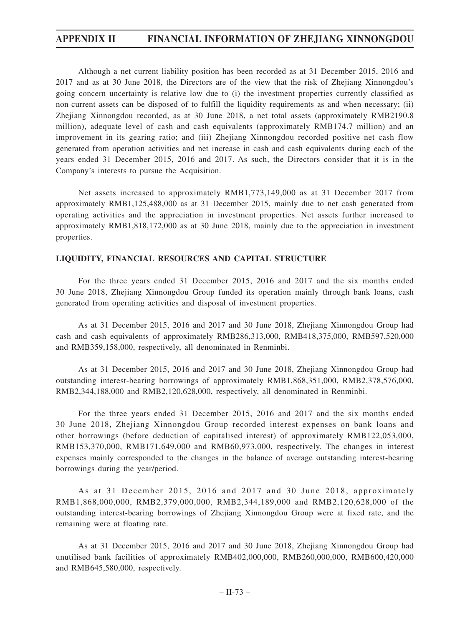Although a net current liability position has been recorded as at 31 December 2015, 2016 and 2017 and as at 30 June 2018, the Directors are of the view that the risk of Zhejiang Xinnongdou's going concern uncertainty is relative low due to (i) the investment properties currently classified as non-current assets can be disposed of to fulfill the liquidity requirements as and when necessary; (ii) Zhejiang Xinnongdou recorded, as at 30 June 2018, a net total assets (approximately RMB2190.8 million), adequate level of cash and cash equivalents (approximately RMB174.7 million) and an improvement in its gearing ratio; and (iii) Zhejiang Xinnongdou recorded positive net cash flow generated from operation activities and net increase in cash and cash equivalents during each of the years ended 31 December 2015, 2016 and 2017. As such, the Directors consider that it is in the Company's interests to pursue the Acquisition.

Net assets increased to approximately RMB1,773,149,000 as at 31 December 2017 from approximately RMB1,125,488,000 as at 31 December 2015, mainly due to net cash generated from operating activities and the appreciation in investment properties. Net assets further increased to approximately RMB1,818,172,000 as at 30 June 2018, mainly due to the appreciation in investment properties.

#### **LIQUIDITY, FINANCIAL RESOURCES AND CAPITAL STRUCTURE**

For the three years ended 31 December 2015, 2016 and 2017 and the six months ended 30 June 2018, Zhejiang Xinnongdou Group funded its operation mainly through bank loans, cash generated from operating activities and disposal of investment properties.

As at 31 December 2015, 2016 and 2017 and 30 June 2018, Zhejiang Xinnongdou Group had cash and cash equivalents of approximately RMB286,313,000, RMB418,375,000, RMB597,520,000 and RMB359,158,000, respectively, all denominated in Renminbi.

As at 31 December 2015, 2016 and 2017 and 30 June 2018, Zhejiang Xinnongdou Group had outstanding interest-bearing borrowings of approximately RMB1,868,351,000, RMB2,378,576,000, RMB2,344,188,000 and RMB2,120,628,000, respectively, all denominated in Renminbi.

For the three years ended 31 December 2015, 2016 and 2017 and the six months ended 30 June 2018, Zhejiang Xinnongdou Group recorded interest expenses on bank loans and other borrowings (before deduction of capitalised interest) of approximately RMB122,053,000, RMB153,370,000, RMB171,649,000 and RMB60,973,000, respectively. The changes in interest expenses mainly corresponded to the changes in the balance of average outstanding interest-bearing borrowings during the year/period.

As at 31 December 2015, 2016 and 2017 and 30 June 2018, approximately RMB1,868,000,000, RMB2,379,000,000, RMB2,344,189,000 and RMB2,120,628,000 of the outstanding interest-bearing borrowings of Zhejiang Xinnongdou Group were at fixed rate, and the remaining were at floating rate.

As at 31 December 2015, 2016 and 2017 and 30 June 2018, Zhejiang Xinnongdou Group had unutilised bank facilities of approximately RMB402,000,000, RMB260,000,000, RMB600,420,000 and RMB645,580,000, respectively.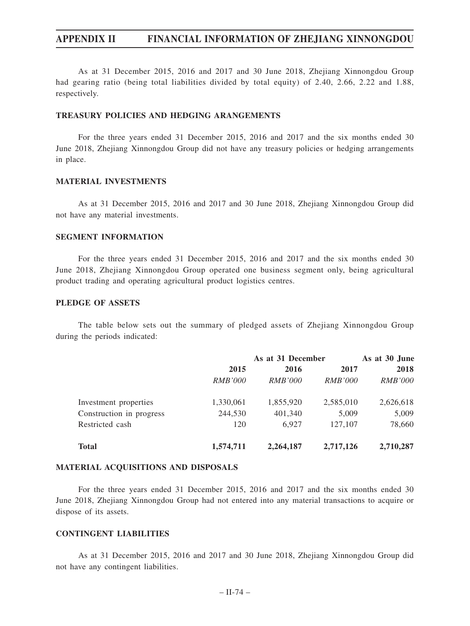As at 31 December 2015, 2016 and 2017 and 30 June 2018, Zhejiang Xinnongdou Group had gearing ratio (being total liabilities divided by total equity) of 2.40, 2.66, 2.22 and 1.88, respectively.

#### **TREASURY POLICIES AND HEDGING ARANGEMENTS**

For the three years ended 31 December 2015, 2016 and 2017 and the six months ended 30 June 2018, Zhejiang Xinnongdou Group did not have any treasury policies or hedging arrangements in place.

#### **MATERIAL INVESTMENTS**

As at 31 December 2015, 2016 and 2017 and 30 June 2018, Zhejiang Xinnongdou Group did not have any material investments.

#### **SEGMENT INFORMATION**

For the three years ended 31 December 2015, 2016 and 2017 and the six months ended 30 June 2018, Zhejiang Xinnongdou Group operated one business segment only, being agricultural product trading and operating agricultural product logistics centres.

#### **PLEDGE OF ASSETS**

The table below sets out the summary of pledged assets of Zhejiang Xinnongdou Group during the periods indicated:

|                          | As at 31 December |                |                | As at 30 June  |  |
|--------------------------|-------------------|----------------|----------------|----------------|--|
|                          | 2015              | 2016           | 2017           | 2018           |  |
|                          | <i>RMB'000</i>    | <i>RMB'000</i> | <i>RMB'000</i> | <i>RMB'000</i> |  |
| Investment properties    | 1,330,061         | 1,855,920      | 2,585,010      | 2,626,618      |  |
| Construction in progress | 244,530           | 401,340        | 5,009          | 5,009          |  |
| Restricted cash          | 120               | 6.927          | 127,107        | 78,660         |  |
| <b>Total</b>             | 1,574,711         | 2,264,187      | 2,717,126      | 2,710,287      |  |

#### **MATERIAL ACQUISITIONS AND DISPOSALS**

For the three years ended 31 December 2015, 2016 and 2017 and the six months ended 30 June 2018, Zhejiang Xinnongdou Group had not entered into any material transactions to acquire or dispose of its assets.

#### **CONTINGENT LIABILITIES**

As at 31 December 2015, 2016 and 2017 and 30 June 2018, Zhejiang Xinnongdou Group did not have any contingent liabilities.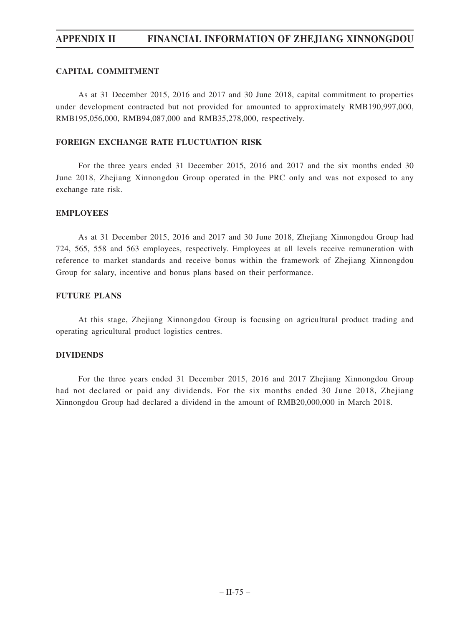#### **CAPITAL COMMITMENT**

As at 31 December 2015, 2016 and 2017 and 30 June 2018, capital commitment to properties under development contracted but not provided for amounted to approximately RMB190,997,000, RMB195,056,000, RMB94,087,000 and RMB35,278,000, respectively.

#### **FOREIGN EXCHANGE RATE FLUCTUATION RISK**

For the three years ended 31 December 2015, 2016 and 2017 and the six months ended 30 June 2018, Zhejiang Xinnongdou Group operated in the PRC only and was not exposed to any exchange rate risk.

#### **EMPLOYEES**

As at 31 December 2015, 2016 and 2017 and 30 June 2018, Zhejiang Xinnongdou Group had 724, 565, 558 and 563 employees, respectively. Employees at all levels receive remuneration with reference to market standards and receive bonus within the framework of Zhejiang Xinnongdou Group for salary, incentive and bonus plans based on their performance.

#### **FUTURE PLANS**

At this stage, Zhejiang Xinnongdou Group is focusing on agricultural product trading and operating agricultural product logistics centres.

#### **DIVIDENDS**

For the three years ended 31 December 2015, 2016 and 2017 Zhejiang Xinnongdou Group had not declared or paid any dividends. For the six months ended 30 June 2018, Zhejiang Xinnongdou Group had declared a dividend in the amount of RMB20,000,000 in March 2018.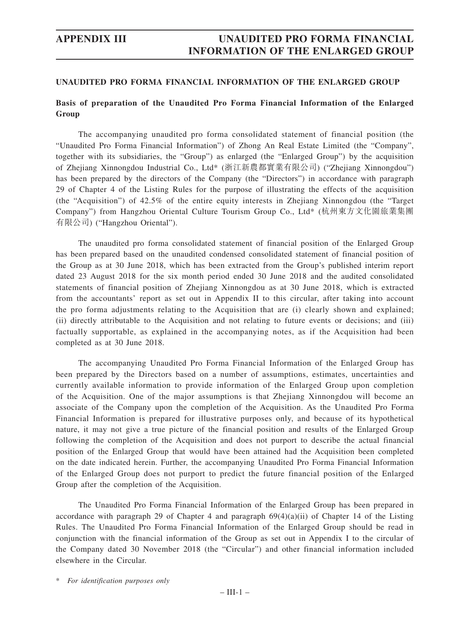### **Basis of preparation of the Unaudited Pro Forma Financial Information of the Enlarged Group**

The accompanying unaudited pro forma consolidated statement of financial position (the "Unaudited Pro Forma Financial Information") of Zhong An Real Estate Limited (the "Company", together with its subsidiaries, the "Group") as enlarged (the "Enlarged Group") by the acquisition of Zhejiang Xinnongdou Industrial Co., Ltd\* (浙江新農都實業有限公司) ("Zhejiang Xinnongdou") has been prepared by the directors of the Company (the "Directors") in accordance with paragraph 29 of Chapter 4 of the Listing Rules for the purpose of illustrating the effects of the acquisition (the "Acquisition") of 42.5% of the entire equity interests in Zhejiang Xinnongdou (the "Target Company") from Hangzhou Oriental Culture Tourism Group Co., Ltd\* (杭州東方文化園旅業集團 有限公司) ("Hangzhou Oriental").

The unaudited pro forma consolidated statement of financial position of the Enlarged Group has been prepared based on the unaudited condensed consolidated statement of financial position of the Group as at 30 June 2018, which has been extracted from the Group's published interim report dated 23 August 2018 for the six month period ended 30 June 2018 and the audited consolidated statements of financial position of Zhejiang Xinnongdou as at 30 June 2018, which is extracted from the accountants' report as set out in Appendix II to this circular, after taking into account the pro forma adjustments relating to the Acquisition that are (i) clearly shown and explained; (ii) directly attributable to the Acquisition and not relating to future events or decisions; and (iii) factually supportable, as explained in the accompanying notes, as if the Acquisition had been completed as at 30 June 2018.

The accompanying Unaudited Pro Forma Financial Information of the Enlarged Group has been prepared by the Directors based on a number of assumptions, estimates, uncertainties and currently available information to provide information of the Enlarged Group upon completion of the Acquisition. One of the major assumptions is that Zhejiang Xinnongdou will become an associate of the Company upon the completion of the Acquisition. As the Unaudited Pro Forma Financial Information is prepared for illustrative purposes only, and because of its hypothetical nature, it may not give a true picture of the financial position and results of the Enlarged Group following the completion of the Acquisition and does not purport to describe the actual financial position of the Enlarged Group that would have been attained had the Acquisition been completed on the date indicated herein. Further, the accompanying Unaudited Pro Forma Financial Information of the Enlarged Group does not purport to predict the future financial position of the Enlarged Group after the completion of the Acquisition.

The Unaudited Pro Forma Financial Information of the Enlarged Group has been prepared in accordance with paragraph 29 of Chapter 4 and paragraph  $69(4)(a)(ii)$  of Chapter 14 of the Listing Rules. The Unaudited Pro Forma Financial Information of the Enlarged Group should be read in conjunction with the financial information of the Group as set out in Appendix I to the circular of the Company dated 30 November 2018 (the "Circular") and other financial information included elsewhere in the Circular.

\* *For identification purposes only*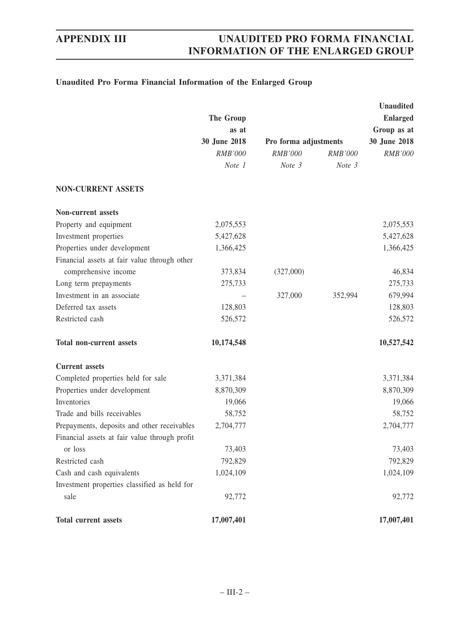## **Unaudited Pro Forma Financial Information of the Enlarged Group**

|                                               |              |                       |                | <b>Unaudited</b> |
|-----------------------------------------------|--------------|-----------------------|----------------|------------------|
|                                               | The Group    |                       |                | <b>Enlarged</b>  |
|                                               | as at        |                       |                | Group as at      |
|                                               | 30 June 2018 | Pro forma adjustments |                | 30 June 2018     |
|                                               | RMB'000      | <b>RMB'000</b>        | <b>RMB'000</b> | RMB'000          |
|                                               | Note 1       | Note 3                | Note 3         |                  |
| <b>NON-CURRENT ASSETS</b>                     |              |                       |                |                  |
| <b>Non-current assets</b>                     |              |                       |                |                  |
| Property and equipment                        | 2,075,553    |                       |                | 2,075,553        |
| Investment properties                         | 5,427,628    |                       |                | 5,427,628        |
| Properties under development                  | 1,366,425    |                       |                | 1,366,425        |
| Financial assets at fair value through other  |              |                       |                |                  |
| comprehensive income                          | 373,834      | (327,000)             |                | 46,834           |
| Long term prepayments                         | 275,733      |                       |                | 275,733          |
| Investment in an associate                    |              | 327,000               | 352,994        | 679,994          |
| Deferred tax assets                           | 128,803      |                       |                | 128,803          |
| Restricted cash                               | 526,572      |                       |                | 526,572          |
| <b>Total non-current assets</b>               | 10,174,548   |                       |                | 10,527,542       |
| <b>Current</b> assets                         |              |                       |                |                  |
| Completed properties held for sale            | 3,371,384    |                       |                | 3,371,384        |
| Properties under development                  | 8,870,309    |                       |                | 8,870,309        |
| Inventories                                   | 19,066       |                       |                | 19,066           |
| Trade and bills receivables                   | 58,752       |                       |                | 58,752           |
| Prepayments, deposits and other receivables   | 2,704,777    |                       |                | 2,704,777        |
| Financial assets at fair value through profit |              |                       |                |                  |
| or loss                                       | 73,403       |                       |                | 73,403           |
| Restricted cash                               | 792,829      |                       |                | 792,829          |
| Cash and cash equivalents                     | 1,024,109    |                       |                | 1,024,109        |
| Investment properties classified as held for  |              |                       |                |                  |
| sale                                          | 92,772       |                       |                | 92,772           |
| Total current assets                          | 17,007,401   |                       |                | 17,007,401       |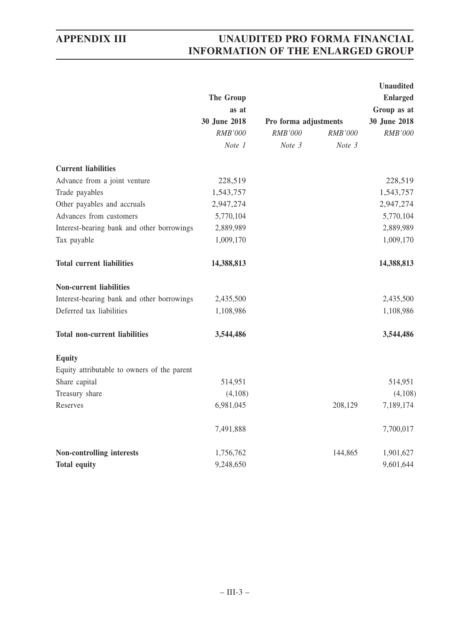|                                             |                       |                       |         | <b>Unaudited</b> |  |
|---------------------------------------------|-----------------------|-----------------------|---------|------------------|--|
|                                             | The Group             |                       |         | <b>Enlarged</b>  |  |
|                                             | as at<br>30 June 2018 |                       |         | Group as at      |  |
|                                             |                       | Pro forma adjustments |         | 30 June 2018     |  |
|                                             | RMB'000               | <b>RMB'000</b>        | RMB'000 | RMB'000          |  |
|                                             | Note 1                | Note 3                | Note 3  |                  |  |
| <b>Current liabilities</b>                  |                       |                       |         |                  |  |
| Advance from a joint venture                | 228,519               |                       |         | 228,519          |  |
| Trade payables                              | 1,543,757             |                       |         | 1,543,757        |  |
| Other payables and accruals                 | 2,947,274             |                       |         | 2,947,274        |  |
| Advances from customers                     | 5,770,104             |                       |         | 5,770,104        |  |
| Interest-bearing bank and other borrowings  | 2,889,989             |                       |         | 2,889,989        |  |
| Tax payable                                 | 1,009,170             |                       |         | 1,009,170        |  |
| <b>Total current liabilities</b>            | 14,388,813            |                       |         | 14,388,813       |  |
| <b>Non-current liabilities</b>              |                       |                       |         |                  |  |
| Interest-bearing bank and other borrowings  | 2,435,500             |                       |         | 2,435,500        |  |
| Deferred tax liabilities                    | 1,108,986             |                       |         | 1,108,986        |  |
| <b>Total non-current liabilities</b>        | 3,544,486             |                       |         | 3,544,486        |  |
| <b>Equity</b>                               |                       |                       |         |                  |  |
| Equity attributable to owners of the parent |                       |                       |         |                  |  |
| Share capital                               | 514,951               |                       |         | 514,951          |  |
| Treasury share                              | (4,108)               |                       |         | (4,108)          |  |
| Reserves                                    | 6,981,045             |                       | 208,129 | 7,189,174        |  |
|                                             | 7,491,888             |                       |         | 7,700,017        |  |
| Non-controlling interests                   | 1,756,762             |                       | 144,865 | 1,901,627        |  |
| <b>Total equity</b>                         | 9,248,650             |                       |         | 9,601,644        |  |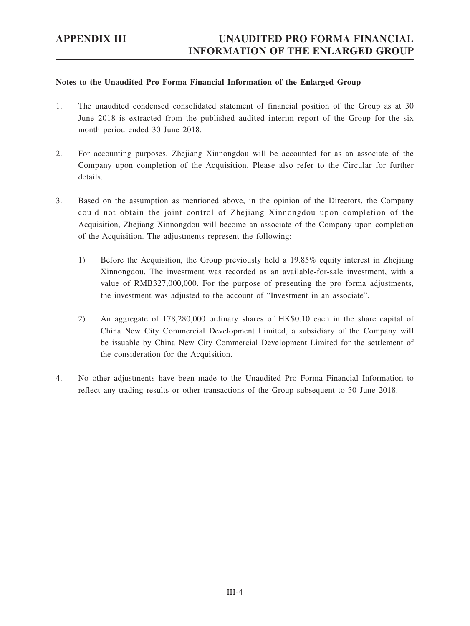#### **Notes to the Unaudited Pro Forma Financial Information of the Enlarged Group**

- 1. The unaudited condensed consolidated statement of financial position of the Group as at 30 June 2018 is extracted from the published audited interim report of the Group for the six month period ended 30 June 2018.
- 2. For accounting purposes, Zhejiang Xinnongdou will be accounted for as an associate of the Company upon completion of the Acquisition. Please also refer to the Circular for further details.
- 3. Based on the assumption as mentioned above, in the opinion of the Directors, the Company could not obtain the joint control of Zhejiang Xinnongdou upon completion of the Acquisition, Zhejiang Xinnongdou will become an associate of the Company upon completion of the Acquisition. The adjustments represent the following:
	- 1) Before the Acquisition, the Group previously held a 19.85% equity interest in Zhejiang Xinnongdou. The investment was recorded as an available-for-sale investment, with a value of RMB327,000,000. For the purpose of presenting the pro forma adjustments, the investment was adjusted to the account of "Investment in an associate".
	- 2) An aggregate of 178,280,000 ordinary shares of HK\$0.10 each in the share capital of China New City Commercial Development Limited, a subsidiary of the Company will be issuable by China New City Commercial Development Limited for the settlement of the consideration for the Acquisition.
- 4. No other adjustments have been made to the Unaudited Pro Forma Financial Information to reflect any trading results or other transactions of the Group subsequent to 30 June 2018.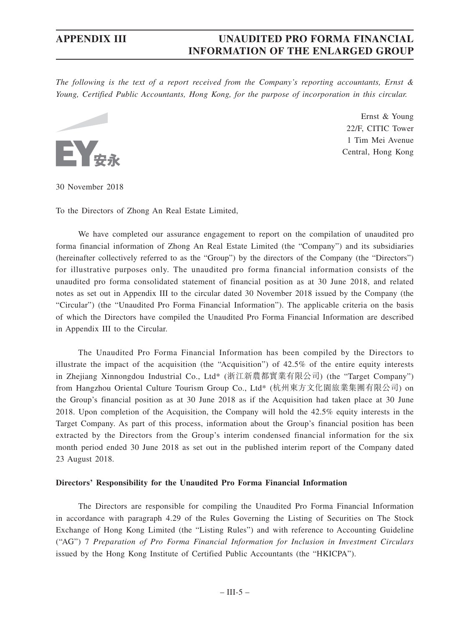*The following is the text of a report received from the Company's reporting accountants, Ernst & Young, Certified Public Accountants, Hong Kong, for the purpose of incorporation in this circular.*



Ernst & Young 22/F, CITIC Tower 1 Tim Mei Avenue Central, Hong Kong

30 November 2018

To the Directors of Zhong An Real Estate Limited,

We have completed our assurance engagement to report on the compilation of unaudited pro forma financial information of Zhong An Real Estate Limited (the "Company") and its subsidiaries (hereinafter collectively referred to as the "Group") by the directors of the Company (the "Directors") for illustrative purposes only. The unaudited pro forma financial information consists of the unaudited pro forma consolidated statement of financial position as at 30 June 2018, and related notes as set out in Appendix III to the circular dated 30 November 2018 issued by the Company (the "Circular") (the "Unaudited Pro Forma Financial Information"). The applicable criteria on the basis of which the Directors have compiled the Unaudited Pro Forma Financial Information are described in Appendix III to the Circular.

The Unaudited Pro Forma Financial Information has been compiled by the Directors to illustrate the impact of the acquisition (the "Acquisition") of 42.5% of the entire equity interests in Zhejiang Xinnongdou Industrial Co., Ltd\* (浙江新農都實業有限公司) (the "Target Company") from Hangzhou Oriental Culture Tourism Group Co., Ltd\* (杭州東方文化園旅業集團有限公司) on the Group's financial position as at 30 June 2018 as if the Acquisition had taken place at 30 June 2018. Upon completion of the Acquisition, the Company will hold the 42.5% equity interests in the Target Company. As part of this process, information about the Group's financial position has been extracted by the Directors from the Group's interim condensed financial information for the six month period ended 30 June 2018 as set out in the published interim report of the Company dated 23 August 2018.

#### **Directors' Responsibility for the Unaudited Pro Forma Financial Information**

The Directors are responsible for compiling the Unaudited Pro Forma Financial Information in accordance with paragraph 4.29 of the Rules Governing the Listing of Securities on The Stock Exchange of Hong Kong Limited (the "Listing Rules") and with reference to Accounting Guideline ("AG") 7 *Preparation of Pro Forma Financial Information for Inclusion in Investment Circulars* issued by the Hong Kong Institute of Certified Public Accountants (the "HKICPA").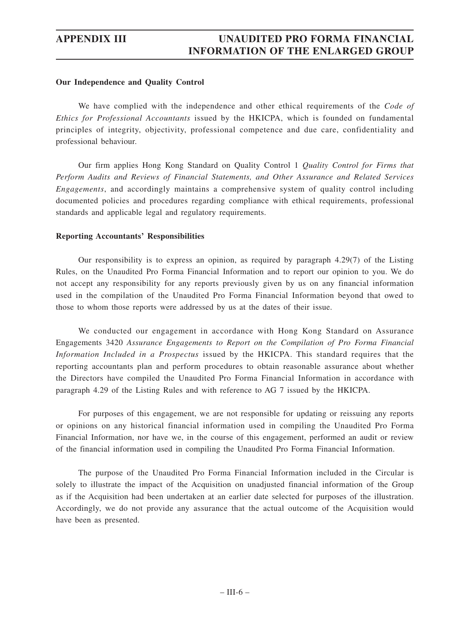#### **Our Independence and Quality Control**

We have complied with the independence and other ethical requirements of the *Code of Ethics for Professional Accountants* issued by the HKICPA, which is founded on fundamental principles of integrity, objectivity, professional competence and due care, confidentiality and professional behaviour.

Our firm applies Hong Kong Standard on Quality Control 1 *Quality Control for Firms that Perform Audits and Reviews of Financial Statements, and Other Assurance and Related Services Engagements*, and accordingly maintains a comprehensive system of quality control including documented policies and procedures regarding compliance with ethical requirements, professional standards and applicable legal and regulatory requirements.

#### **Reporting Accountants' Responsibilities**

Our responsibility is to express an opinion, as required by paragraph 4.29(7) of the Listing Rules, on the Unaudited Pro Forma Financial Information and to report our opinion to you. We do not accept any responsibility for any reports previously given by us on any financial information used in the compilation of the Unaudited Pro Forma Financial Information beyond that owed to those to whom those reports were addressed by us at the dates of their issue.

We conducted our engagement in accordance with Hong Kong Standard on Assurance Engagements 3420 *Assurance Engagements to Report on the Compilation of Pro Forma Financial Information Included in a Prospectus* issued by the HKICPA. This standard requires that the reporting accountants plan and perform procedures to obtain reasonable assurance about whether the Directors have compiled the Unaudited Pro Forma Financial Information in accordance with paragraph 4.29 of the Listing Rules and with reference to AG 7 issued by the HKICPA.

For purposes of this engagement, we are not responsible for updating or reissuing any reports or opinions on any historical financial information used in compiling the Unaudited Pro Forma Financial Information, nor have we, in the course of this engagement, performed an audit or review of the financial information used in compiling the Unaudited Pro Forma Financial Information.

The purpose of the Unaudited Pro Forma Financial Information included in the Circular is solely to illustrate the impact of the Acquisition on unadjusted financial information of the Group as if the Acquisition had been undertaken at an earlier date selected for purposes of the illustration. Accordingly, we do not provide any assurance that the actual outcome of the Acquisition would have been as presented.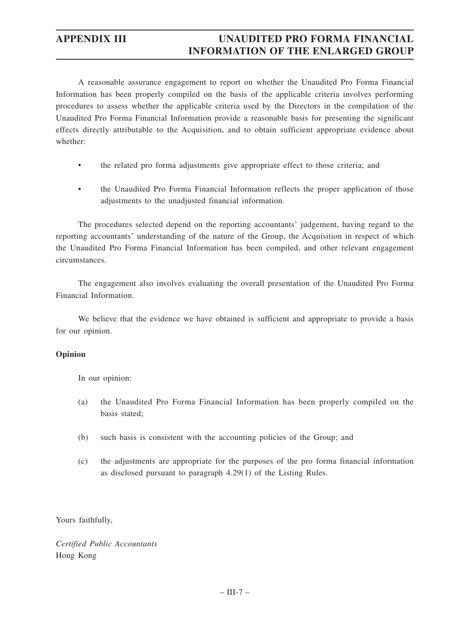A reasonable assurance engagement to report on whether the Unaudited Pro Forma Financial Information has been properly compiled on the basis of the applicable criteria involves performing procedures to assess whether the applicable criteria used by the Directors in the compilation of the Unaudited Pro Forma Financial Information provide a reasonable basis for presenting the significant effects directly attributable to the Acquisition, and to obtain sufficient appropriate evidence about whether:

- the related pro forma adjustments give appropriate effect to those criteria; and
- the Unaudited Pro Forma Financial Information reflects the proper application of those adjustments to the unadjusted financial information.

The procedures selected depend on the reporting accountants' judgement, having regard to the reporting accountants' understanding of the nature of the Group, the Acquisition in respect of which the Unaudited Pro Forma Financial Information has been compiled, and other relevant engagement circumstances.

The engagement also involves evaluating the overall presentation of the Unaudited Pro Forma Financial Information.

We believe that the evidence we have obtained is sufficient and appropriate to provide a basis for our opinion.

#### **Opinion**

In our opinion:

- (a) the Unaudited Pro Forma Financial Information has been properly compiled on the basis stated;
- (b) such basis is consistent with the accounting policies of the Group; and
- (c) the adjustments are appropriate for the purposes of the pro forma financial information as disclosed pursuant to paragraph 4.29(1) of the Listing Rules.

Yours faithfully,

*Certified Public Accountants* Hong Kong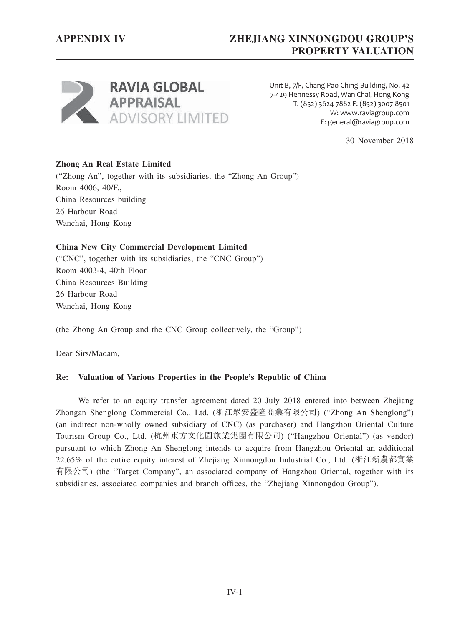## **APPENDIX IV ZHEJIANG XINNONGDOU GROUP'S PROPERTY VALUATION**



Unit B, 7/F, Chang Pao Ching Building, No. 42 7-429 Hennessy Road, Wan Chai, Hong Kong T: (852) 3624 7882 F: (852) 3007 8501 W: www.raviagroup.com E: general@raviagroup.com

30 November 2018

### **Zhong An Real Estate Limited**

("Zhong An", together with its subsidiaries, the "Zhong An Group") Room 4006, 40/F., China Resources building 26 Harbour Road Wanchai, Hong Kong

#### **China New City Commercial Development Limited**

("CNC", together with its subsidiaries, the "CNC Group") Room 4003-4, 40th Floor China Resources Building 26 Harbour Road Wanchai, Hong Kong

(the Zhong An Group and the CNC Group collectively, the "Group")

Dear Sirs/Madam,

#### **Re: Valuation of Various Properties in the People's Republic of China**

We refer to an equity transfer agreement dated 20 July 2018 entered into between Zhejiang Zhongan Shenglong Commercial Co., Ltd. (浙江眾安盛隆商業有限公司) ("Zhong An Shenglong") (an indirect non-wholly owned subsidiary of CNC) (as purchaser) and Hangzhou Oriental Culture Tourism Group Co., Ltd. (杭州東方文化園旅業集團有限公司) ("Hangzhou Oriental") (as vendor) pursuant to which Zhong An Shenglong intends to acquire from Hangzhou Oriental an additional 22.65% of the entire equity interest of Zhejiang Xinnongdou Industrial Co., Ltd. (浙江新農都實業 有限公司) (the "Target Company", an associated company of Hangzhou Oriental, together with its subsidiaries, associated companies and branch offices, the "Zhejiang Xinnongdou Group").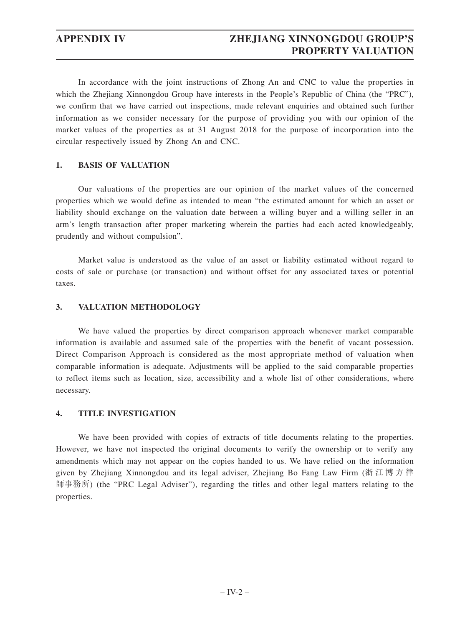In accordance with the joint instructions of Zhong An and CNC to value the properties in which the Zhejiang Xinnongdou Group have interests in the People's Republic of China (the "PRC"), we confirm that we have carried out inspections, made relevant enquiries and obtained such further information as we consider necessary for the purpose of providing you with our opinion of the market values of the properties as at 31 August 2018 for the purpose of incorporation into the circular respectively issued by Zhong An and CNC.

# **1. BASIS OF VALUATION**

Our valuations of the properties are our opinion of the market values of the concerned properties which we would define as intended to mean "the estimated amount for which an asset or liability should exchange on the valuation date between a willing buyer and a willing seller in an arm's length transaction after proper marketing wherein the parties had each acted knowledgeably, prudently and without compulsion".

Market value is understood as the value of an asset or liability estimated without regard to costs of sale or purchase (or transaction) and without offset for any associated taxes or potential taxes.

### **3. VALUATION METHODOLOGY**

We have valued the properties by direct comparison approach whenever market comparable information is available and assumed sale of the properties with the benefit of vacant possession. Direct Comparison Approach is considered as the most appropriate method of valuation when comparable information is adequate. Adjustments will be applied to the said comparable properties to reflect items such as location, size, accessibility and a whole list of other considerations, where necessary.

# **4. TITLE INVESTIGATION**

We have been provided with copies of extracts of title documents relating to the properties. However, we have not inspected the original documents to verify the ownership or to verify any amendments which may not appear on the copies handed to us. We have relied on the information given by Zhejiang Xinnongdou and its legal adviser, Zhejiang Bo Fang Law Firm (浙江博方律 師事務所) (the "PRC Legal Adviser"), regarding the titles and other legal matters relating to the properties.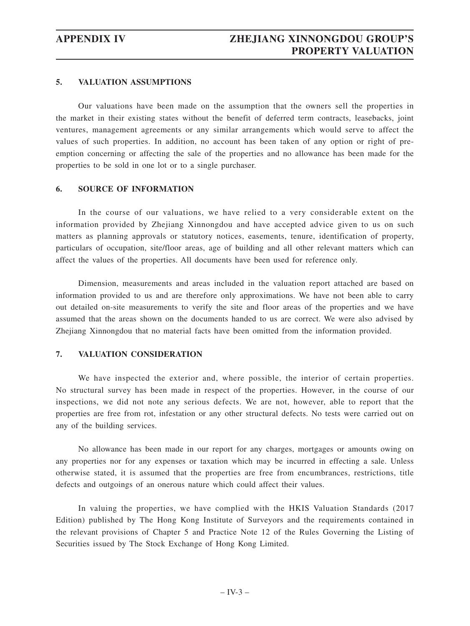# **5. VALUATION ASSUMPTIONS**

Our valuations have been made on the assumption that the owners sell the properties in the market in their existing states without the benefit of deferred term contracts, leasebacks, joint ventures, management agreements or any similar arrangements which would serve to affect the values of such properties. In addition, no account has been taken of any option or right of preemption concerning or affecting the sale of the properties and no allowance has been made for the properties to be sold in one lot or to a single purchaser.

### **6. SOURCE OF INFORMATION**

In the course of our valuations, we have relied to a very considerable extent on the information provided by Zhejiang Xinnongdou and have accepted advice given to us on such matters as planning approvals or statutory notices, easements, tenure, identification of property, particulars of occupation, site/floor areas, age of building and all other relevant matters which can affect the values of the properties. All documents have been used for reference only.

Dimension, measurements and areas included in the valuation report attached are based on information provided to us and are therefore only approximations. We have not been able to carry out detailed on-site measurements to verify the site and floor areas of the properties and we have assumed that the areas shown on the documents handed to us are correct. We were also advised by Zhejiang Xinnongdou that no material facts have been omitted from the information provided.

# **7. VALUATION CONSIDERATION**

We have inspected the exterior and, where possible, the interior of certain properties. No structural survey has been made in respect of the properties. However, in the course of our inspections, we did not note any serious defects. We are not, however, able to report that the properties are free from rot, infestation or any other structural defects. No tests were carried out on any of the building services.

No allowance has been made in our report for any charges, mortgages or amounts owing on any properties nor for any expenses or taxation which may be incurred in effecting a sale. Unless otherwise stated, it is assumed that the properties are free from encumbrances, restrictions, title defects and outgoings of an onerous nature which could affect their values.

In valuing the properties, we have complied with the HKIS Valuation Standards (2017 Edition) published by The Hong Kong Institute of Surveyors and the requirements contained in the relevant provisions of Chapter 5 and Practice Note 12 of the Rules Governing the Listing of Securities issued by The Stock Exchange of Hong Kong Limited.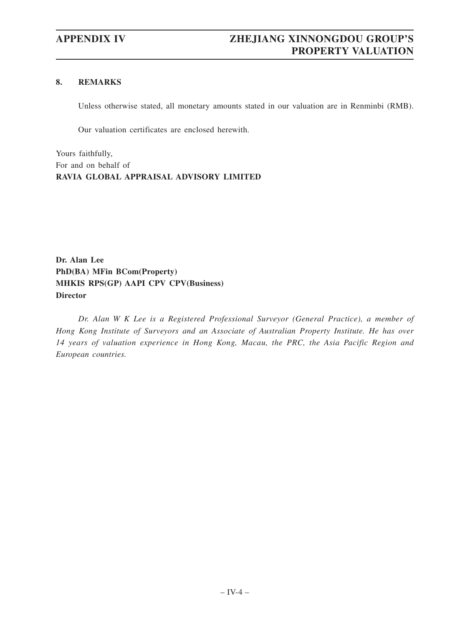# **8. REMARKS**

Unless otherwise stated, all monetary amounts stated in our valuation are in Renminbi (RMB).

Our valuation certificates are enclosed herewith.

Yours faithfully, For and on behalf of **RAVIA GLOBAL APPRAISAL ADVISORY LIMITED**

**Dr. Alan Lee PhD(BA) MFin BCom(Property) MHKIS RPS(GP) AAPI CPV CPV(Business) Director**

*Dr. Alan W K Lee is a Registered Professional Surveyor (General Practice), a member of Hong Kong Institute of Surveyors and an Associate of Australian Property Institute. He has over 14 years of valuation experience in Hong Kong, Macau, the PRC, the Asia Pacific Region and European countries.*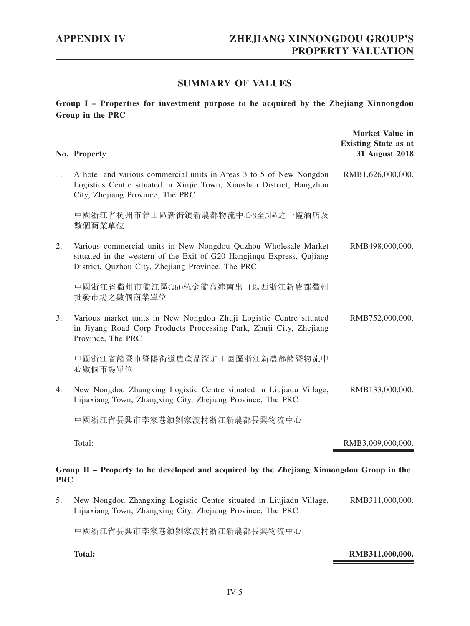# **SUMMARY OF VALUES**

**Group I – Properties for investment purpose to be acquired by the Zhejiang Xinnongdou Group in the PRC**

|            | No. Property                                                                                                                                                                                  | <b>Market Value in</b><br><b>Existing State as at</b><br>31 August 2018 |
|------------|-----------------------------------------------------------------------------------------------------------------------------------------------------------------------------------------------|-------------------------------------------------------------------------|
| 1.         | A hotel and various commercial units in Areas 3 to 5 of New Nongdou<br>Logistics Centre situated in Xinjie Town, Xiaoshan District, Hangzhou<br>City, Zhejiang Province, The PRC              | RMB1,626,000,000.                                                       |
|            | 中國浙江省杭州市蕭山區新街鎮新農都物流中心3至5區之一幢酒店及<br>數個商業單位                                                                                                                                                     |                                                                         |
| 2.         | Various commercial units in New Nongdou Quzhou Wholesale Market<br>situated in the western of the Exit of G20 Hangjinqu Express, Qujiang<br>District, Quzhou City, Zhejiang Province, The PRC | RMB498,000,000.                                                         |
|            | 中國浙江省衢州市衢江區G60杭金衢高速南出口以西浙江新農都衢州<br>批發市場之數個商業單位                                                                                                                                                |                                                                         |
| 3.         | Various market units in New Nongdou Zhuji Logistic Centre situated<br>in Jiyang Road Corp Products Processing Park, Zhuji City, Zhejiang<br>Province, The PRC                                 | RMB752,000,000.                                                         |
|            | 中國浙江省諸暨市暨陽街道農產品深加工園區浙江新農都諸暨物流中<br>心數個市場單位                                                                                                                                                     |                                                                         |
| 4.         | New Nongdou Zhangxing Logistic Centre situated in Liujiadu Village,<br>Lijiaxiang Town, Zhangxing City, Zhejiang Province, The PRC                                                            | RMB133,000,000.                                                         |
|            | 中國浙江省長興市李家巷鎮劉家渡村浙江新農都長興物流中心                                                                                                                                                                   |                                                                         |
|            | Total:                                                                                                                                                                                        | RMB3,009,000,000.                                                       |
| <b>PRC</b> | Group II – Property to be developed and acquired by the Zhejiang Xinnongdou Group in the                                                                                                      |                                                                         |
| 5.         | New Nongdou Zhangxing Logistic Centre situated in Liujiadu Village,<br>Lijiaxiang Town, Zhangxing City, Zhejiang Province, The PRC                                                            | RMB311,000,000.                                                         |
|            | 中國浙江省長興市李家巷鎮劉家渡村浙江新農都長興物流中心                                                                                                                                                                   |                                                                         |

**Total: RMB311,000,000.**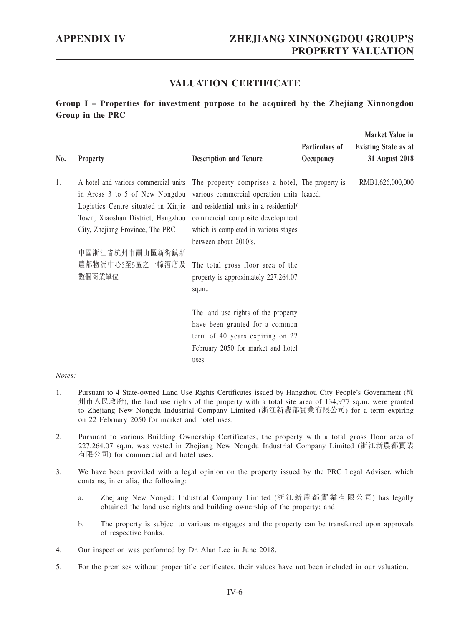# **VALUATION CERTIFICATE**

**Group I – Properties for investment purpose to be acquired by the Zhejiang Xinnongdou Group in the PRC**

| No. | <b>Property</b>                                                                                                                                                                                                                                                                                                                                            | <b>Description and Tenure</b>                                                                                                                           | Particulars of<br>Occupancy | Market Value in<br><b>Existing State as at</b><br>31 August 2018 |
|-----|------------------------------------------------------------------------------------------------------------------------------------------------------------------------------------------------------------------------------------------------------------------------------------------------------------------------------------------------------------|---------------------------------------------------------------------------------------------------------------------------------------------------------|-----------------------------|------------------------------------------------------------------|
| 1.  | A hotel and various commercial units The property comprises a hotel, The property is<br>in Areas 3 to 5 of New Nongdou various commercial operation units leased.<br>Logistics Centre situated in Xinjie and residential units in a residential/<br>Town, Xiaoshan District, Hangzhou commercial composite development<br>City, Zhejiang Province, The PRC | which is completed in various stages<br>between about 2010's.                                                                                           |                             | RMB1,626,000,000                                                 |
|     | 中國浙江省杭州市蕭山區新街鎮新<br>農都物流中心3至5區之一幢酒店及<br>數個商業單位                                                                                                                                                                                                                                                                                                              | The total gross floor area of the<br>property is approximately 227,264.07<br>sq.m                                                                       |                             |                                                                  |
|     |                                                                                                                                                                                                                                                                                                                                                            | The land use rights of the property<br>have been granted for a common<br>term of 40 years expiring on 22<br>February 2050 for market and hotel<br>uses. |                             |                                                                  |

- 1. Pursuant to 4 State-owned Land Use Rights Certificates issued by Hangzhou City People's Government (杭 州市人民政府), the land use rights of the property with a total site area of 134,977 sq.m. were granted to Zhejiang New Nongdu Industrial Company Limited (浙江新農都實業有限公司) for a term expiring on 22 February 2050 for market and hotel uses.
- 2. Pursuant to various Building Ownership Certificates, the property with a total gross floor area of 227,264.07 sq.m. was vested in Zhejiang New Nongdu Industrial Company Limited (浙江新農都實業 有限公司) for commercial and hotel uses.
- 3. We have been provided with a legal opinion on the property issued by the PRC Legal Adviser, which contains, inter alia, the following:
	- a. Zhejiang New Nongdu Industrial Company Limited (浙江新農都實業有限公司) has legally obtained the land use rights and building ownership of the property; and
	- b. The property is subject to various mortgages and the property can be transferred upon approvals of respective banks.
- 4. Our inspection was performed by Dr. Alan Lee in June 2018.
- 5. For the premises without proper title certificates, their values have not been included in our valuation.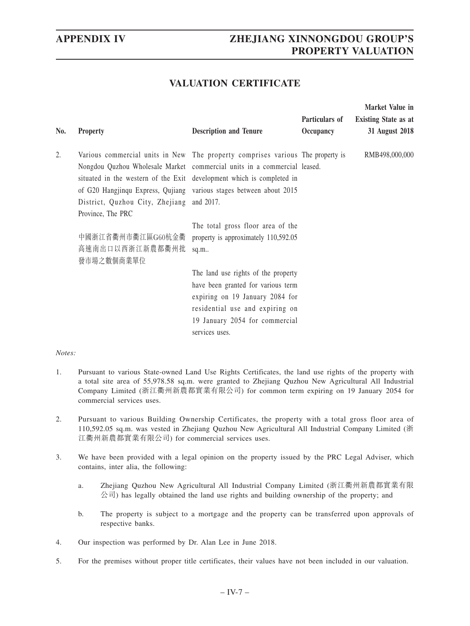# **VALUATION CERTIFICATE**

| No. | <b>Property</b>                                                                                                                                                                                                                                                                                                                                                              | <b>Description and Tenure</b>                                                                                                                                                                       | Particulars of<br>Occupancy | Market Value in<br><b>Existing State as at</b><br>31 August 2018 |
|-----|------------------------------------------------------------------------------------------------------------------------------------------------------------------------------------------------------------------------------------------------------------------------------------------------------------------------------------------------------------------------------|-----------------------------------------------------------------------------------------------------------------------------------------------------------------------------------------------------|-----------------------------|------------------------------------------------------------------|
| 2.  | Various commercial units in New The property comprises various The property is<br>Nongdou Quzhou Wholesale Market commercial units in a commercial leased.<br>situated in the western of the Exit development which is completed in<br>of G20 Hangjinqu Express, Qujiang various stages between about 2015<br>District, Quzhou City, Zhejiang and 2017.<br>Province, The PRC |                                                                                                                                                                                                     |                             | RMB498,000,000                                                   |
|     | 中國浙江省衢州市衢江區G60杭金衢<br>高速南出口以西浙江新農都衢州批<br>發市場之數個商業單位                                                                                                                                                                                                                                                                                                                           | The total gross floor area of the<br>property is approximately 110,592.05<br>sq.m                                                                                                                   |                             |                                                                  |
|     |                                                                                                                                                                                                                                                                                                                                                                              | The land use rights of the property<br>have been granted for various term<br>expiring on 19 January 2084 for<br>residential use and expiring on<br>19 January 2054 for commercial<br>services uses. |                             |                                                                  |

- 1. Pursuant to various State-owned Land Use Rights Certificates, the land use rights of the property with a total site area of 55,978.58 sq.m. were granted to Zhejiang Quzhou New Agricultural All Industrial Company Limited (浙江衢州新農都實業有限公司) for common term expiring on 19 January 2054 for commercial services uses.
- 2. Pursuant to various Building Ownership Certificates, the property with a total gross floor area of 110,592.05 sq.m. was vested in Zhejiang Quzhou New Agricultural All Industrial Company Limited (浙 江衢州新農都實業有限公司) for commercial services uses.
- 3. We have been provided with a legal opinion on the property issued by the PRC Legal Adviser, which contains, inter alia, the following:
	- a. Zhejiang Quzhou New Agricultural All Industrial Company Limited (浙江衢州新農都實業有限  $\Diamond$ 司) has legally obtained the land use rights and building ownership of the property; and
	- b. The property is subject to a mortgage and the property can be transferred upon approvals of respective banks.
- 4. Our inspection was performed by Dr. Alan Lee in June 2018.
- 5. For the premises without proper title certificates, their values have not been included in our valuation.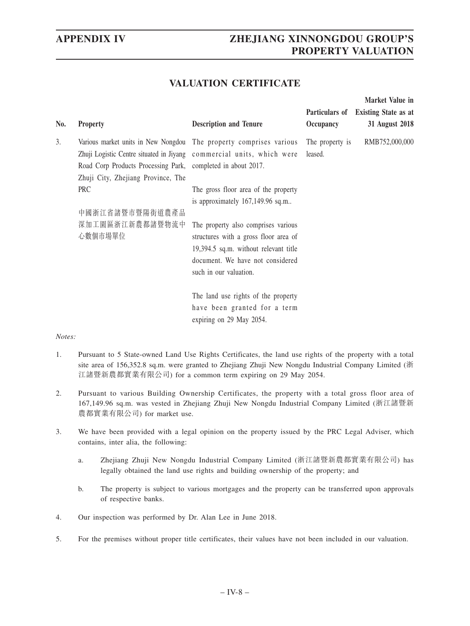**Market Value in** 

# **VALUATION CERTIFICATE**

| No. | <b>Property</b>                                                                                    | <b>Description and Tenure</b>                                                                                                                                                       | Particulars of<br>Occupancy | <b>Existing State as at</b><br>31 August 2018 |
|-----|----------------------------------------------------------------------------------------------------|-------------------------------------------------------------------------------------------------------------------------------------------------------------------------------------|-----------------------------|-----------------------------------------------|
| 3.  | Road Corp Products Processing Park, completed in about 2017.<br>Zhuji City, Zhejiang Province, The | Various market units in New Nongdou The property comprises various<br>Zhuji Logistic Centre situated in Jiyang commercial units, which were                                         | The property is<br>leased.  | RMB752,000,000                                |
|     | <b>PRC</b><br>中國浙江省諸暨市暨陽街道農產品                                                                      | The gross floor area of the property<br>is approximately 167,149.96 sq.m                                                                                                            |                             |                                               |
|     | 深加工園區浙江新農都諸暨物流中<br>心數個市場單位                                                                         | The property also comprises various<br>structures with a gross floor area of<br>19,394.5 sq.m. without relevant title<br>document. We have not considered<br>such in our valuation. |                             |                                               |
|     |                                                                                                    | The land use rights of the property<br>have been granted for a term<br>expiring on 29 May 2054.                                                                                     |                             |                                               |

- 1. Pursuant to 5 State-owned Land Use Rights Certificates, the land use rights of the property with a total site area of 156,352.8 sq.m. were granted to Zhejiang Zhuji New Nongdu Industrial Company Limited (浙 江諸暨新農都實業有限公司) for a common term expiring on 29 May 2054.
- 2. Pursuant to various Building Ownership Certificates, the property with a total gross floor area of 167,149.96 sq.m. was vested in Zhejiang Zhuji New Nongdu Industrial Company Limited (浙江諸暨新 農都實業有限公司) for market use.
- 3. We have been provided with a legal opinion on the property issued by the PRC Legal Adviser, which contains, inter alia, the following:
	- a. Zhejiang Zhuji New Nongdu Industrial Company Limited (浙江諸暨新農都實業有限公司) has legally obtained the land use rights and building ownership of the property; and
	- b. The property is subject to various mortgages and the property can be transferred upon approvals of respective banks.
- 4. Our inspection was performed by Dr. Alan Lee in June 2018.
- 5. For the premises without proper title certificates, their values have not been included in our valuation.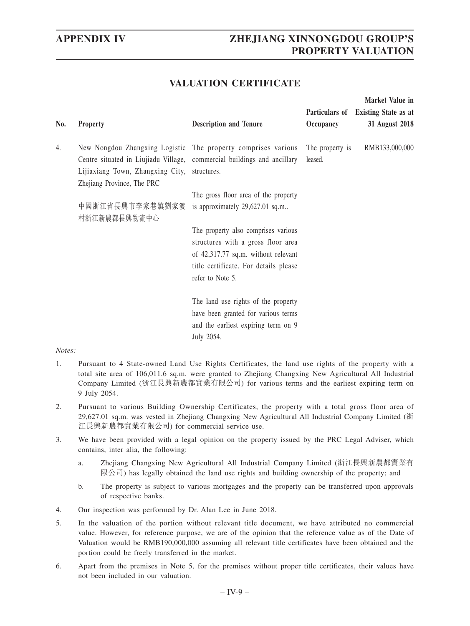**Market Value in** 

# **VALUATION CERTIFICATE**

| No. | <b>Property</b>                                                                                                                                                                                                        | <b>Description and Tenure</b>                                                                                                                                                 | Occupancy                  | Particulars of Existing State as at<br>31 August 2018 |
|-----|------------------------------------------------------------------------------------------------------------------------------------------------------------------------------------------------------------------------|-------------------------------------------------------------------------------------------------------------------------------------------------------------------------------|----------------------------|-------------------------------------------------------|
| 4.  | New Nongdou Zhangxing Logistic The property comprises various<br>Centre situated in Liujiadu Village, commercial buildings and ancillary<br>Lijiaxiang Town, Zhangxing City, structures.<br>Zhejiang Province, The PRC |                                                                                                                                                                               | The property is<br>leased. | RMB133,000,000                                        |
|     | 中國浙江省長興市李家巷鎮劉家渡<br>村浙江新農都長興物流中心                                                                                                                                                                                        | The gross floor area of the property<br>is approximately 29,627.01 sq.m                                                                                                       |                            |                                                       |
|     |                                                                                                                                                                                                                        | The property also comprises various<br>structures with a gross floor area<br>of 42,317.77 sq.m. without relevant<br>title certificate. For details please<br>refer to Note 5. |                            |                                                       |
|     |                                                                                                                                                                                                                        | The land use rights of the property<br>have been granted for various terms<br>and the earliest expiring term on 9<br>July 2054.                                               |                            |                                                       |

- 1. Pursuant to 4 State-owned Land Use Rights Certificates, the land use rights of the property with a total site area of 106,011.6 sq.m. were granted to Zhejiang Changxing New Agricultural All Industrial Company Limited (浙江長興新農都實業有限公司) for various terms and the earliest expiring term on 9 July 2054.
- 2. Pursuant to various Building Ownership Certificates, the property with a total gross floor area of 29,627.01 sq.m. was vested in Zhejiang Changxing New Agricultural All Industrial Company Limited (浙 江長興新農都實業有限公司) for commercial service use.
- 3. We have been provided with a legal opinion on the property issued by the PRC Legal Adviser, which contains, inter alia, the following:
	- a. Zhejiang Changxing New Agricultural All Industrial Company Limited (浙江長興新農都實業有 限公司) has legally obtained the land use rights and building ownership of the property; and
	- b. The property is subject to various mortgages and the property can be transferred upon approvals of respective banks.
- 4. Our inspection was performed by Dr. Alan Lee in June 2018.
- 5. In the valuation of the portion without relevant title document, we have attributed no commercial value. However, for reference purpose, we are of the opinion that the reference value as of the Date of Valuation would be RMB190,000,000 assuming all relevant title certificates have been obtained and the portion could be freely transferred in the market.
- 6. Apart from the premises in Note 5, for the premises without proper title certificates, their values have not been included in our valuation.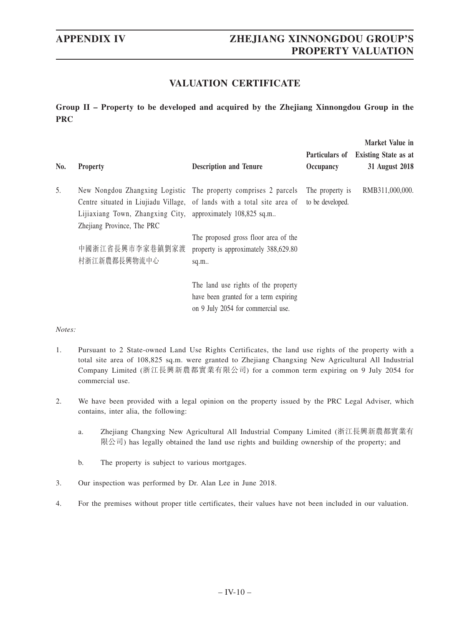# **VALUATION CERTIFICATE**

**Group II – Property to be developed and acquired by the Zhejiang Xinnongdou Group in the PRC**

| No. | <b>Property</b>                                                                           | <b>Description and Tenure</b>                                                                                                              | Particulars of<br>Occupancy         | Market Value in<br><b>Existing State as at</b><br>31 August 2018 |
|-----|-------------------------------------------------------------------------------------------|--------------------------------------------------------------------------------------------------------------------------------------------|-------------------------------------|------------------------------------------------------------------|
| 5.  | Lijiaxiang Town, Zhangxing City, approximately 108,825 sq.m<br>Zhejiang Province, The PRC | New Nongdou Zhangxing Logistic The property comprises 2 parcels<br>Centre situated in Liujiadu Village, of lands with a total site area of | The property is<br>to be developed. | RMB311,000,000.                                                  |
|     | 中國浙江省長興市李家巷鎮劉家渡<br>村浙江新農都長興物流中心                                                           | The proposed gross floor area of the<br>property is approximately 388,629.80<br>sq.m.                                                      |                                     |                                                                  |
|     |                                                                                           | The land use rights of the property<br>have been granted for a term expiring<br>on 9 July 2054 for commercial use.                         |                                     |                                                                  |

- 1. Pursuant to 2 State-owned Land Use Rights Certificates, the land use rights of the property with a total site area of 108,825 sq.m. were granted to Zhejiang Changxing New Agricultural All Industrial Company Limited (浙江長興新農都實業有限公司) for a common term expiring on 9 July 2054 for commercial use.
- 2. We have been provided with a legal opinion on the property issued by the PRC Legal Adviser, which contains, inter alia, the following:
	- a. Zhejiang Changxing New Agricultural All Industrial Company Limited (浙江長興新農都實業有 限公司) has legally obtained the land use rights and building ownership of the property; and
	- b. The property is subject to various mortgages.
- 3. Our inspection was performed by Dr. Alan Lee in June 2018.
- 4. For the premises without proper title certificates, their values have not been included in our valuation.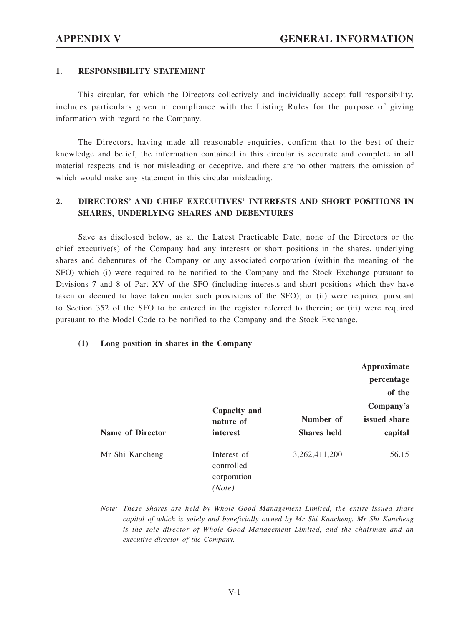# **1. RESPONSIBILITY STATEMENT**

This circular, for which the Directors collectively and individually accept full responsibility, includes particulars given in compliance with the Listing Rules for the purpose of giving information with regard to the Company.

The Directors, having made all reasonable enquiries, confirm that to the best of their knowledge and belief, the information contained in this circular is accurate and complete in all material respects and is not misleading or deceptive, and there are no other matters the omission of which would make any statement in this circular misleading.

# **2. DIRECTORS' AND CHIEF EXECUTIVES' INTERESTS AND SHORT POSITIONS IN SHARES, UNDERLYING SHARES AND DEBENTURES**

Save as disclosed below, as at the Latest Practicable Date, none of the Directors or the chief executive(s) of the Company had any interests or short positions in the shares, underlying shares and debentures of the Company or any associated corporation (within the meaning of the SFO) which (i) were required to be notified to the Company and the Stock Exchange pursuant to Divisions 7 and 8 of Part XV of the SFO (including interests and short positions which they have taken or deemed to have taken under such provisions of the SFO); or (ii) were required pursuant to Section 352 of the SFO to be entered in the register referred to therein; or (iii) were required pursuant to the Model Code to be notified to the Company and the Stock Exchange.

# **(1) Long position in shares in the Company**

|                         |                                                    |                                 | Approximate<br>percentage<br>of the<br>Company's |
|-------------------------|----------------------------------------------------|---------------------------------|--------------------------------------------------|
| <b>Name of Director</b> | Capacity and<br>nature of<br>interest              | Number of<br><b>Shares</b> held | issued share<br>capital                          |
| Mr Shi Kancheng         | Interest of<br>controlled<br>corporation<br>(Note) | 3, 262, 411, 200                | 56.15                                            |

*Note: These Shares are held by Whole Good Management Limited, the entire issued share capital of which is solely and beneficially owned by Mr Shi Kancheng. Mr Shi Kancheng is the sole director of Whole Good Management Limited, and the chairman and an executive director of the Company.*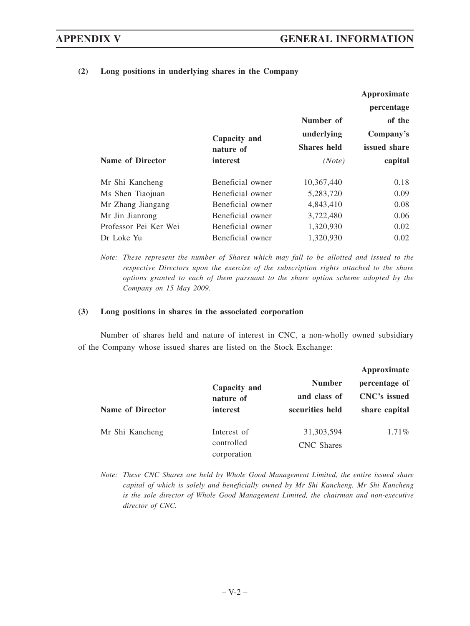|                         |                  |                    | Approximate  |
|-------------------------|------------------|--------------------|--------------|
|                         |                  |                    | percentage   |
|                         |                  | Number of          | of the       |
|                         | Capacity and     | underlying         | Company's    |
|                         | nature of        | <b>Shares</b> held | issued share |
| <b>Name of Director</b> | interest         | (Note)             | capital      |
| Mr Shi Kancheng         | Beneficial owner | 10.367.440         | 0.18         |
| Ms Shen Tiaojuan        | Beneficial owner | 5,283,720          | 0.09         |
| Mr Zhang Jiangang       | Beneficial owner | 4,843,410          | 0.08         |
| Mr Jin Jianrong         | Beneficial owner | 3,722,480          | 0.06         |
| Professor Pei Ker Wei   | Beneficial owner | 1,320,930          | 0.02         |
| Dr Loke Yu              | Beneficial owner | 1,320,930          | 0.02         |

**(2) Long positions in underlying shares in the Company**

*Note: These represent the number of Shares which may fall to be allotted and issued to the respective Directors upon the exercise of the subscription rights attached to the share options granted to each of them pursuant to the share option scheme adopted by the Company on 15 May 2009.*

### **(3) Long positions in shares in the associated corporation**

Number of shares held and nature of interest in CNC, a non-wholly owned subsidiary of the Company whose issued shares are listed on the Stock Exchange:

|                         |                                          |                                   | Approximate                   |  |
|-------------------------|------------------------------------------|-----------------------------------|-------------------------------|--|
|                         | Capacity and<br>nature of                | <b>Number</b><br>and class of     | percentage of<br>CNC's issued |  |
| <b>Name of Director</b> | interest                                 | securities held                   | share capital                 |  |
| Mr Shi Kancheng         | Interest of<br>controlled<br>corporation | 31, 303, 594<br><b>CNC</b> Shares | $1.71\%$                      |  |

*Note: These CNC Shares are held by Whole Good Management Limited, the entire issued share capital of which is solely and beneficially owned by Mr Shi Kancheng. Mr Shi Kancheng is the sole director of Whole Good Management Limited, the chairman and non-executive director of CNC.*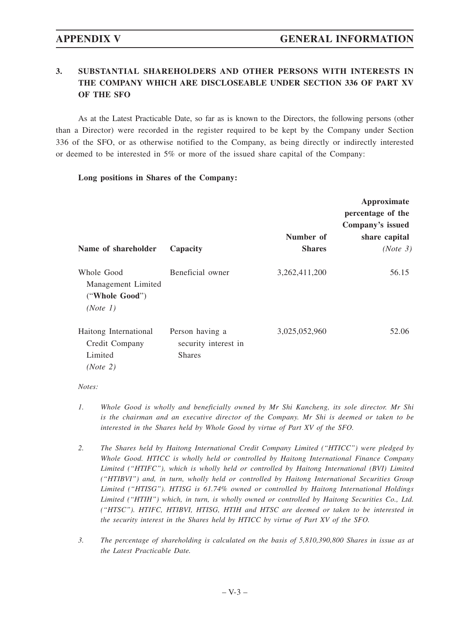# **3. SUBSTANTIAL SHAREHOLDERS AND OTHER PERSONS WITH INTERESTS IN THE COMPANY WHICH ARE DISCLOSEABLE UNDER SECTION 336 OF PART XV OF THE SFO**

As at the Latest Practicable Date, so far as is known to the Directors, the following persons (other than a Director) were recorded in the register required to be kept by the Company under Section 336 of the SFO, or as otherwise notified to the Company, as being directly or indirectly interested or deemed to be interested in 5% or more of the issued share capital of the Company:

### **Long positions in Shares of the Company:**

|                                                                |                                                          |                  | Approximate       |
|----------------------------------------------------------------|----------------------------------------------------------|------------------|-------------------|
|                                                                |                                                          |                  | percentage of the |
|                                                                |                                                          |                  | Company's issued  |
|                                                                |                                                          | Number of        | share capital     |
| Name of shareholder                                            | Capacity                                                 | <b>Shares</b>    | (Note 3)          |
| Whole Good<br>Management Limited<br>("Whole Good")<br>(Note 1) | Beneficial owner                                         | 3, 262, 411, 200 | 56.15             |
| Haitong International<br>Credit Company<br>Limited<br>(Note 2) | Person having a<br>security interest in<br><b>Shares</b> | 3,025,052,960    | 52.06             |

- *1. Whole Good is wholly and beneficially owned by Mr Shi Kancheng, its sole director. Mr Shi is the chairman and an executive director of the Company. Mr Shi is deemed or taken to be interested in the Shares held by Whole Good by virtue of Part XV of the SFO.*
- *2. The Shares held by Haitong International Credit Company Limited ("HTICC") were pledged by Whole Good. HTICC is wholly held or controlled by Haitong International Finance Company Limited ("HTIFC"), which is wholly held or controlled by Haitong International (BVI) Limited ("HTIBVI") and, in turn, wholly held or controlled by Haitong International Securities Group Limited ("HTISG"). HTISG is 61.74% owned or controlled by Haitong International Holdings Limited ("HTIH") which, in turn, is wholly owned or controlled by Haitong Securities Co., Ltd. ("HTSC"). HTIFC, HTIBVI, HTISG, HTIH and HTSC are deemed or taken to be interested in the security interest in the Shares held by HTICC by virtue of Part XV of the SFO.*
- *3. The percentage of shareholding is calculated on the basis of 5,810,390,800 Shares in issue as at the Latest Practicable Date.*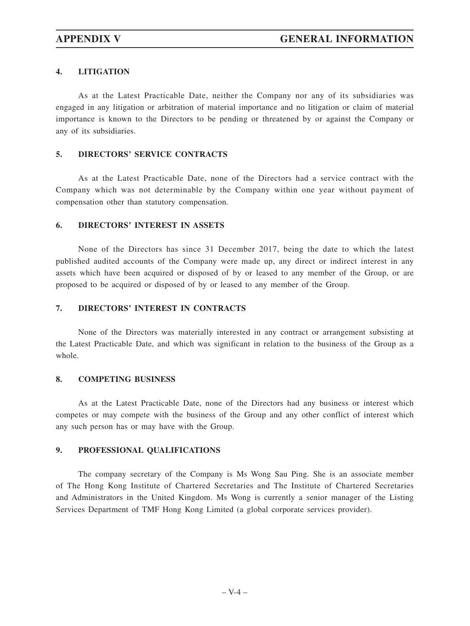# **4. LITIGATION**

As at the Latest Practicable Date, neither the Company nor any of its subsidiaries was engaged in any litigation or arbitration of material importance and no litigation or claim of material importance is known to the Directors to be pending or threatened by or against the Company or any of its subsidiaries.

# **5. DIRECTORS' SERVICE CONTRACTS**

As at the Latest Practicable Date, none of the Directors had a service contract with the Company which was not determinable by the Company within one year without payment of compensation other than statutory compensation.

# **6. DIRECTORS' INTEREST IN ASSETS**

None of the Directors has since 31 December 2017, being the date to which the latest published audited accounts of the Company were made up, any direct or indirect interest in any assets which have been acquired or disposed of by or leased to any member of the Group, or are proposed to be acquired or disposed of by or leased to any member of the Group.

# **7. DIRECTORS' INTEREST IN CONTRACTS**

None of the Directors was materially interested in any contract or arrangement subsisting at the Latest Practicable Date, and which was significant in relation to the business of the Group as a whole.

# **8. COMPETING BUSINESS**

As at the Latest Practicable Date, none of the Directors had any business or interest which competes or may compete with the business of the Group and any other conflict of interest which any such person has or may have with the Group.

# **9. PROFESSIONAL QUALIFICATIONS**

The company secretary of the Company is Ms Wong Sau Ping. She is an associate member of The Hong Kong Institute of Chartered Secretaries and The Institute of Chartered Secretaries and Administrators in the United Kingdom. Ms Wong is currently a senior manager of the Listing Services Department of TMF Hong Kong Limited (a global corporate services provider).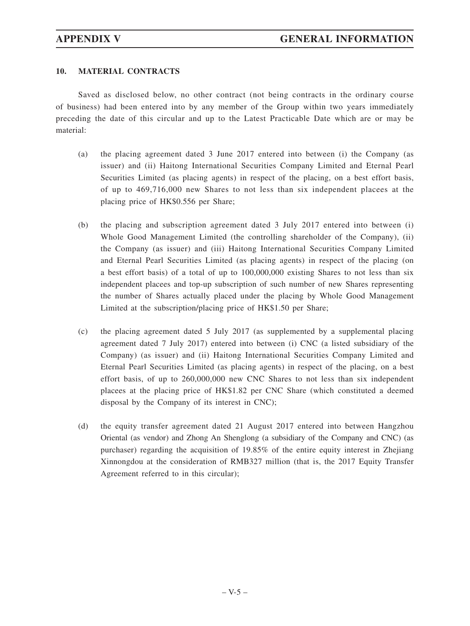# **10. MATERIAL CONTRACTS**

Saved as disclosed below, no other contract (not being contracts in the ordinary course of business) had been entered into by any member of the Group within two years immediately preceding the date of this circular and up to the Latest Practicable Date which are or may be material:

- (a) the placing agreement dated 3 June 2017 entered into between (i) the Company (as issuer) and (ii) Haitong International Securities Company Limited and Eternal Pearl Securities Limited (as placing agents) in respect of the placing, on a best effort basis, of up to 469,716,000 new Shares to not less than six independent placees at the placing price of HK\$0.556 per Share;
- (b) the placing and subscription agreement dated 3 July 2017 entered into between (i) Whole Good Management Limited (the controlling shareholder of the Company), (ii) the Company (as issuer) and (iii) Haitong International Securities Company Limited and Eternal Pearl Securities Limited (as placing agents) in respect of the placing (on a best effort basis) of a total of up to 100,000,000 existing Shares to not less than six independent placees and top-up subscription of such number of new Shares representing the number of Shares actually placed under the placing by Whole Good Management Limited at the subscription/placing price of HK\$1.50 per Share;
- (c) the placing agreement dated 5 July 2017 (as supplemented by a supplemental placing agreement dated 7 July 2017) entered into between (i) CNC (a listed subsidiary of the Company) (as issuer) and (ii) Haitong International Securities Company Limited and Eternal Pearl Securities Limited (as placing agents) in respect of the placing, on a best effort basis, of up to 260,000,000 new CNC Shares to not less than six independent placees at the placing price of HK\$1.82 per CNC Share (which constituted a deemed disposal by the Company of its interest in CNC);
- (d) the equity transfer agreement dated 21 August 2017 entered into between Hangzhou Oriental (as vendor) and Zhong An Shenglong (a subsidiary of the Company and CNC) (as purchaser) regarding the acquisition of 19.85% of the entire equity interest in Zhejiang Xinnongdou at the consideration of RMB327 million (that is, the 2017 Equity Transfer Agreement referred to in this circular);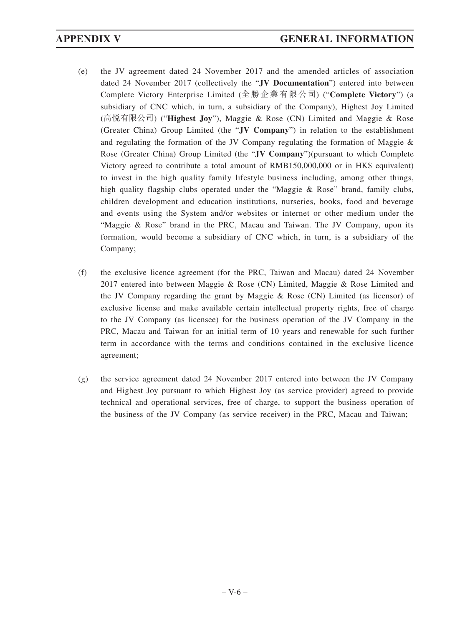- (e) the JV agreement dated 24 November 2017 and the amended articles of association dated 24 November 2017 (collectively the "**JV Documentation**") entered into between Complete Victory Enterprise Limited (全勝企業有限公司) ("**Complete Victory**") (a subsidiary of CNC which, in turn, a subsidiary of the Company), Highest Joy Limited (高悅有限公司) ("**Highest Joy**"), Maggie & Rose (CN) Limited and Maggie & Rose (Greater China) Group Limited (the "**JV Company**") in relation to the establishment and regulating the formation of the JV Company regulating the formation of Maggie & Rose (Greater China) Group Limited (the "**JV Company**")(pursuant to which Complete Victory agreed to contribute a total amount of RMB150,000,000 or in HK\$ equivalent) to invest in the high quality family lifestyle business including, among other things, high quality flagship clubs operated under the "Maggie & Rose" brand, family clubs, children development and education institutions, nurseries, books, food and beverage and events using the System and/or websites or internet or other medium under the "Maggie & Rose" brand in the PRC, Macau and Taiwan. The JV Company, upon its formation, would become a subsidiary of CNC which, in turn, is a subsidiary of the Company;
- (f) the exclusive licence agreement (for the PRC, Taiwan and Macau) dated 24 November 2017 entered into between Maggie & Rose (CN) Limited, Maggie & Rose Limited and the JV Company regarding the grant by Maggie & Rose (CN) Limited (as licensor) of exclusive license and make available certain intellectual property rights, free of charge to the JV Company (as licensee) for the business operation of the JV Company in the PRC, Macau and Taiwan for an initial term of 10 years and renewable for such further term in accordance with the terms and conditions contained in the exclusive licence agreement;
- (g) the service agreement dated 24 November 2017 entered into between the JV Company and Highest Joy pursuant to which Highest Joy (as service provider) agreed to provide technical and operational services, free of charge, to support the business operation of the business of the JV Company (as service receiver) in the PRC, Macau and Taiwan;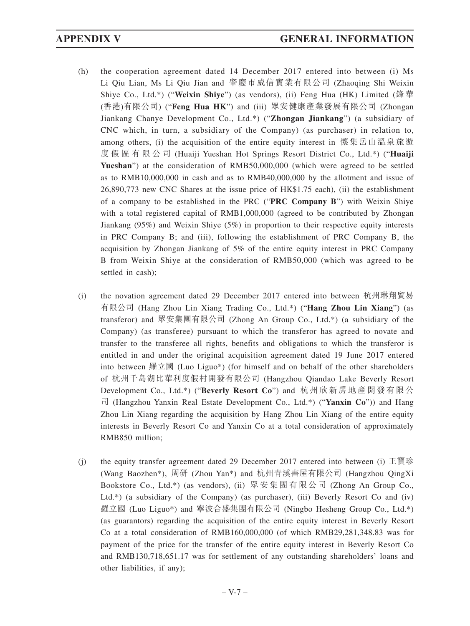- (h) the cooperation agreement dated 14 December 2017 entered into between (i) Ms Li Qiu Lian, Ms Li Qiu Jian and 肇慶市威信實業有限公司 (Zhaoqing Shi Weixin Shiye Co., Ltd.\*) ("**Weixin Shiye**") (as vendors), (ii) Feng Hua (HK) Limited (鋒華 (香港)有限公司) ("**Feng Hua HK**") and (iii) 眾安健康產業發展有限公司 (Zhongan Jiankang Chanye Development Co., Ltd.\*) ("**Zhongan Jiankang**") (a subsidiary of CNC which, in turn, a subsidiary of the Company) (as purchaser) in relation to, among others, (i) the acquisition of the entire equity interest in 懷集岳山溫泉旅遊 度假區有限公司 (Huaiji Yueshan Hot Springs Resort District Co., Ltd.\*) ("**Huaiji Yueshan**") at the consideration of RMB50,000,000 (which were agreed to be settled as to RMB10,000,000 in cash and as to RMB40,000,000 by the allotment and issue of 26,890,773 new CNC Shares at the issue price of HK\$1.75 each), (ii) the establishment of a company to be established in the PRC ("**PRC Company B**") with Weixin Shiye with a total registered capital of RMB1,000,000 (agreed to be contributed by Zhongan Jiankang (95%) and Weixin Shiye (5%) in proportion to their respective equity interests in PRC Company B; and (iii), following the establishment of PRC Company B, the acquisition by Zhongan Jiankang of 5% of the entire equity interest in PRC Company B from Weixin Shiye at the consideration of RMB50,000 (which was agreed to be settled in cash);
- (i) the novation agreement dated 29 December 2017 entered into between 杭州琳翔貿易 有限公司 (Hang Zhou Lin Xiang Trading Co., Ltd.\*) ("**Hang Zhou Lin Xiang**") (as transferor) and 眾安集團有限公司 (Zhong An Group Co., Ltd.\*) (a subsidiary of the Company) (as transferee) pursuant to which the transferor has agreed to novate and transfer to the transferee all rights, benefits and obligations to which the transferor is entitled in and under the original acquisition agreement dated 19 June 2017 entered into between 羅立國 (Luo Liguo\*) (for himself and on behalf of the other shareholders of 杭州千島湖比華利度假村開發有限公司 (Hangzhou Qiandao Lake Beverly Resort Development Co., Ltd.\*) ("**Beverly Resort Co**") and 杭州欣新房地產開發有限公 司 (Hangzhou Yanxin Real Estate Development Co., Ltd.\*) ("**Yanxin Co**")) and Hang Zhou Lin Xiang regarding the acquisition by Hang Zhou Lin Xiang of the entire equity interests in Beverly Resort Co and Yanxin Co at a total consideration of approximately RMB850 million;
- (j) the equity transfer agreement dated 29 December 2017 entered into between (i) 王寶珍 (Wang Baozhen\*), 周研 (Zhou Yan\*) and 杭州青溪書屋有限公司 (Hangzhou QingXi Bookstore Co., Ltd.\*) (as vendors), (ii) 眾安集團有限公司 (Zhong An Group Co., Ltd.\*) (a subsidiary of the Company) (as purchaser), (iii) Beverly Resort Co and (iv) 羅立國 (Luo Liguo\*) and 寧波合盛集團有限公司 (Ningbo Hesheng Group Co., Ltd.\*) (as guarantors) regarding the acquisition of the entire equity interest in Beverly Resort Co at a total consideration of RMB160,000,000 (of which RMB29,281,348.83 was for payment of the price for the transfer of the entire equity interest in Beverly Resort Co and RMB130,718,651.17 was for settlement of any outstanding shareholders' loans and other liabilities, if any);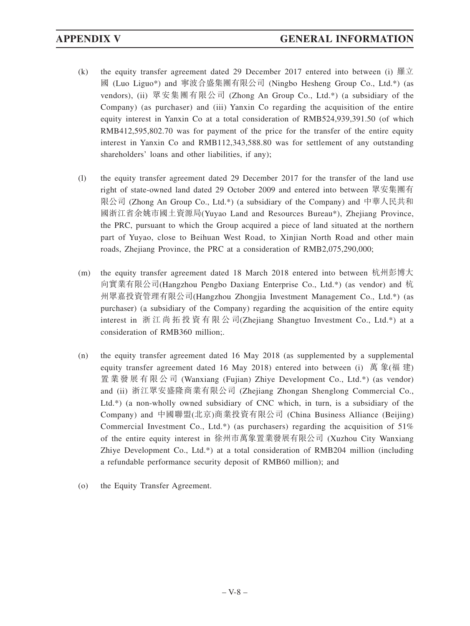- (k) the equity transfer agreement dated 29 December 2017 entered into between (i) 羅立 國 (Luo Liguo\*) and 寧波合盛集團有限公司 (Ningbo Hesheng Group Co., Ltd.\*) (as vendors), (ii) 眾安集團有限公司 (Zhong An Group Co., Ltd.\*) (a subsidiary of the Company) (as purchaser) and (iii) Yanxin Co regarding the acquisition of the entire equity interest in Yanxin Co at a total consideration of RMB524,939,391.50 (of which RMB412,595,802.70 was for payment of the price for the transfer of the entire equity interest in Yanxin Co and RMB112,343,588.80 was for settlement of any outstanding shareholders' loans and other liabilities, if any);
- (l) the equity transfer agreement dated 29 December 2017 for the transfer of the land use right of state-owned land dated 29 October 2009 and entered into between 眾安集團有 限公司 (Zhong An Group Co., Ltd.\*) (a subsidiary of the Company) and 中華人民共和 國浙江省余姚市國土資源局(Yuyao Land and Resources Bureau\*), Zhejiang Province, the PRC, pursuant to which the Group acquired a piece of land situated at the northern part of Yuyao, close to Beihuan West Road, to Xinjian North Road and other main roads, Zhejiang Province, the PRC at a consideration of RMB2,075,290,000;
- (m) the equity transfer agreement dated 18 March 2018 entered into between 杭州彭博大 向實業有限公司(Hangzhou Pengbo Daxiang Enterprise Co., Ltd.\*) (as vendor) and 杭 州眾嘉投資管理有限公司(Hangzhou Zhongjia Investment Management Co., Ltd.\*) (as purchaser) (a subsidiary of the Company) regarding the acquisition of the entire equity interest in 浙江尚拓投資有限公司(Zhejiang Shangtuo Investment Co., Ltd.\*) at a consideration of RMB360 million;.
- (n) the equity transfer agreement dated 16 May 2018 (as supplemented by a supplemental equity transfer agreement dated 16 May 2018) entered into between (i) 萬 象(福 建) 置業發展有限公司 (Wanxiang (Fujian) Zhiye Development Co., Ltd.\*) (as vendor) and (ii) 浙江眾安盛隆商業有限公司 (Zhejiang Zhongan Shenglong Commercial Co., Ltd.\*) (a non-wholly owned subsidiary of CNC which, in turn, is a subsidiary of the Company) and 中國聯盟(北京)商業投資有限公司 (China Business Alliance (Beijing) Commercial Investment Co., Ltd.\*) (as purchasers) regarding the acquisition of  $51\%$ of the entire equity interest in 徐州市萬象置業發展有限公司 (Xuzhou City Wanxiang Zhiye Development Co., Ltd.\*) at a total consideration of RMB204 million (including a refundable performance security deposit of RMB60 million); and
- (o) the Equity Transfer Agreement.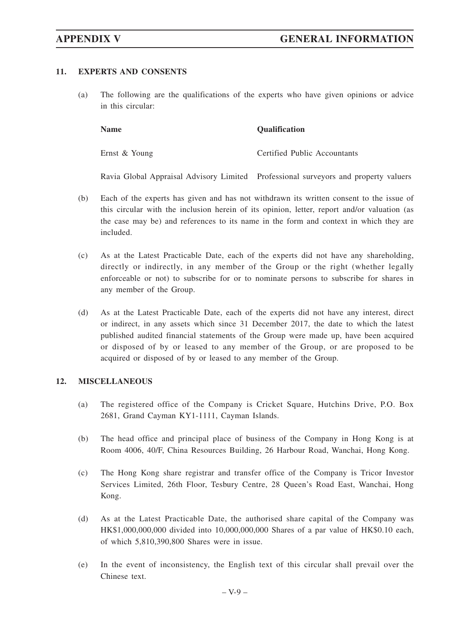# **11. EXPERTS AND CONSENTS**

(a) The following are the qualifications of the experts who have given opinions or advice in this circular:

Ernst & Young Certified Public Accountants

**Name Qualification** 

Ravia Global Appraisal Advisory Limited Professional surveyors and property valuers

- (b) Each of the experts has given and has not withdrawn its written consent to the issue of this circular with the inclusion herein of its opinion, letter, report and/or valuation (as the case may be) and references to its name in the form and context in which they are included.
- (c) As at the Latest Practicable Date, each of the experts did not have any shareholding, directly or indirectly, in any member of the Group or the right (whether legally enforceable or not) to subscribe for or to nominate persons to subscribe for shares in any member of the Group.
- (d) As at the Latest Practicable Date, each of the experts did not have any interest, direct or indirect, in any assets which since 31 December 2017, the date to which the latest published audited financial statements of the Group were made up, have been acquired or disposed of by or leased to any member of the Group, or are proposed to be acquired or disposed of by or leased to any member of the Group.

# **12. MISCELLANEOUS**

- (a) The registered office of the Company is Cricket Square, Hutchins Drive, P.O. Box 2681, Grand Cayman KY1-1111, Cayman Islands.
- (b) The head office and principal place of business of the Company in Hong Kong is at Room 4006, 40/F, China Resources Building, 26 Harbour Road, Wanchai, Hong Kong.
- (c) The Hong Kong share registrar and transfer office of the Company is Tricor Investor Services Limited, 26th Floor, Tesbury Centre, 28 Queen's Road East, Wanchai, Hong Kong.
- (d) As at the Latest Practicable Date, the authorised share capital of the Company was HK\$1,000,000,000 divided into 10,000,000,000 Shares of a par value of HK\$0.10 each, of which 5,810,390,800 Shares were in issue.
- (e) In the event of inconsistency, the English text of this circular shall prevail over the Chinese text.